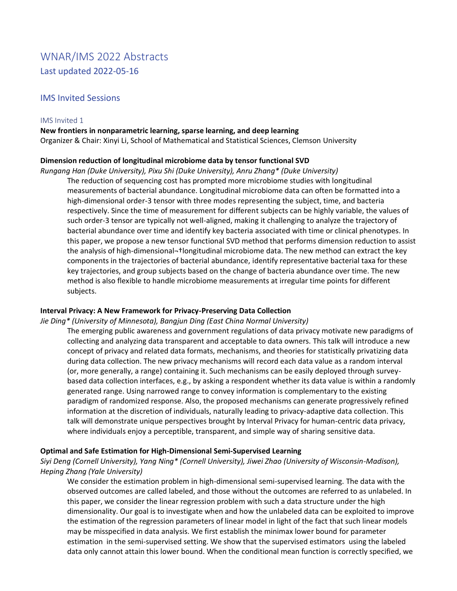# WNAR/IMS 2022 Abstracts Last updated 2022-05-16

# IMS Invited Sessions

### IMS Invited 1

# **New frontiers in nonparametric learning, sparse learning, and deep learning**

Organizer & Chair: Xinyi Li, School of Mathematical and Statistical Sciences, Clemson University

# **Dimension reduction of longitudinal microbiome data by tensor functional SVD**

*Rungang Han (Duke University), Pixu Shi (Duke University), Anru Zhang\* (Duke University)*

The reduction of sequencing cost has prompted more microbiome studies with longitudinal measurements of bacterial abundance. Longitudinal microbiome data can often be formatted into a high-dimensional order-3 tensor with three modes representing the subject, time, and bacteria respectively. Since the time of measurement for different subjects can be highly variable, the values of such order-3 tensor are typically not well-aligned, making it challenging to analyze the trajectory of bacterial abundance over time and identify key bacteria associated with time or clinical phenotypes. In this paper, we propose a new tensor functional SVD method that performs dimension reduction to assist the analysis of high-dimensional-+longitudinal microbiome data. The new method can extract the key components in the trajectories of bacterial abundance, identify representative bacterial taxa for these key trajectories, and group subjects based on the change of bacteria abundance over time. The new method is also flexible to handle microbiome measurements at irregular time points for different subjects.

# **Interval Privacy: A New Framework for Privacy-Preserving Data Collection**

# *Jie Ding\* (University of Minnesota), Bangjun Ding (East China Normal University)*

The emerging public awareness and government regulations of data privacy motivate new paradigms of collecting and analyzing data transparent and acceptable to data owners. This talk will introduce a new concept of privacy and related data formats, mechanisms, and theories for statistically privatizing data during data collection. The new privacy mechanisms will record each data value as a random interval (or, more generally, a range) containing it. Such mechanisms can be easily deployed through surveybased data collection interfaces, e.g., by asking a respondent whether its data value is within a randomly generated range. Using narrowed range to convey information is complementary to the existing paradigm of randomized response. Also, the proposed mechanisms can generate progressively refined information at the discretion of individuals, naturally leading to privacy-adaptive data collection. This talk will demonstrate unique perspectives brought by Interval Privacy for human-centric data privacy, where individuals enjoy a perceptible, transparent, and simple way of sharing sensitive data.

# **Optimal and Safe Estimation for High-Dimensional Semi-Supervised Learning**

*Siyi Deng (Cornell University), Yang Ning\* (Cornell University), Jiwei Zhao (University of Wisconsin-Madison), Heping Zhang (Yale University)*

We consider the estimation problem in high-dimensional semi-supervised learning. The data with the observed outcomes are called labeled, and those without the outcomes are referred to as unlabeled. In this paper, we consider the linear regression problem with such a data structure under the high dimensionality. Our goal is to investigate when and how the unlabeled data can be exploited to improve the estimation of the regression parameters of linear model in light of the fact that such linear models may be misspecified in data analysis. We first establish the minimax lower bound for parameter estimation in the semi-supervised setting. We show that the supervised estimators using the labeled data only cannot attain this lower bound. When the conditional mean function is correctly specified, we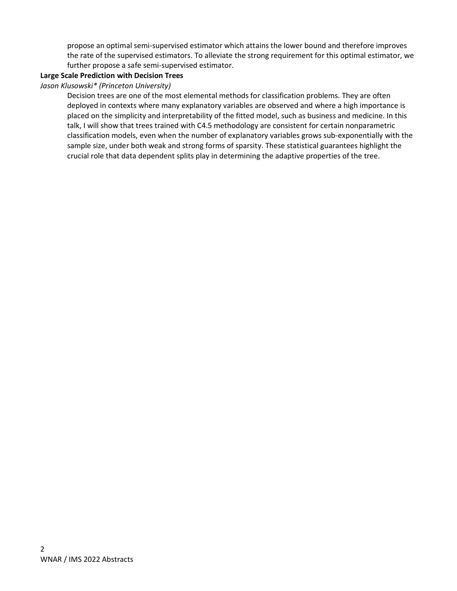propose an optimal semi-supervised estimator which attains the lower bound and therefore improves the rate of the supervised estimators. To alleviate the strong requirement for this optimal estimator, we further propose a safe semi-supervised estimator.

# **Large Scale Prediction with Decision Trees**

# *Jason Klusowski\* (Princeton University)*

Decision trees are one of the most elemental methods for classification problems. They are often deployed in contexts where many explanatory variables are observed and where a high importance is placed on the simplicity and interpretability of the fitted model, such as business and medicine. In this talk, I will show that trees trained with C4.5 methodology are consistent for certain nonparametric classification models, even when the number of explanatory variables grows sub-exponentially with the sample size, under both weak and strong forms of sparsity. These statistical guarantees highlight the crucial role that data dependent splits play in determining the adaptive properties of the tree.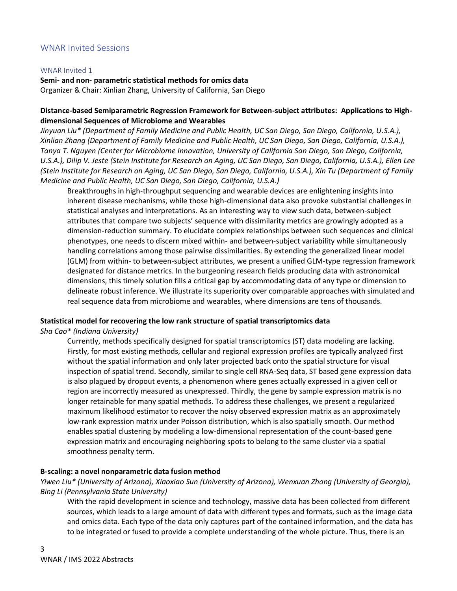# WNAR Invited Sessions

#### WNAR Invited 1

**Semi- and non- parametric statistical methods for omics data** Organizer & Chair: Xinlian Zhang, University of California, San Diego

# **Distance-based Semiparametric Regression Framework for Between-subject attributes: Applications to Highdimensional Sequences of Microbiome and Wearables**

*Jinyuan Liu\* (Department of Family Medicine and Public Health, UC San Diego, San Diego, California, U.S.A.), Xinlian Zhang (Department of Family Medicine and Public Health, UC San Diego, San Diego, California, U.S.A.), Tanya T. Nguyen (Center for Microbiome Innovation, University of California San Diego, San Diego, California, U.S.A.), Dilip V. Jeste (Stein Institute for Research on Aging, UC San Diego, San Diego, California, U.S.A.), Ellen Lee (Stein Institute for Research on Aging, UC San Diego, San Diego, California, U.S.A.), Xin Tu (Department of Family Medicine and Public Health, UC San Diego, San Diego, California, U.S.A.)*

Breakthroughs in high-throughput sequencing and wearable devices are enlightening insights into inherent disease mechanisms, while those high-dimensional data also provoke substantial challenges in statistical analyses and interpretations. As an interesting way to view such data, between-subject attributes that compare two subjects' sequence with dissimilarity metrics are growingly adopted as a dimension-reduction summary. To elucidate complex relationships between such sequences and clinical phenotypes, one needs to discern mixed within- and between-subject variability while simultaneously handling correlations among those pairwise dissimilarities. By extending the generalized linear model (GLM) from within- to between-subject attributes, we present a unified GLM-type regression framework designated for distance metrics. In the burgeoning research fields producing data with astronomical dimensions, this timely solution fills a critical gap by accommodating data of any type or dimension to delineate robust inference. We illustrate its superiority over comparable approaches with simulated and real sequence data from microbiome and wearables, where dimensions are tens of thousands.

# **Statistical model for recovering the low rank structure of spatial transcriptomics data**

*Sha Cao\* (Indiana University)*

Currently, methods specifically designed for spatial transcriptomics (ST) data modeling are lacking. Firstly, for most existing methods, cellular and regional expression profiles are typically analyzed first without the spatial information and only later projected back onto the spatial structure for visual inspection of spatial trend. Secondly, similar to single cell RNA-Seq data, ST based gene expression data is also plagued by dropout events, a phenomenon where genes actually expressed in a given cell or region are incorrectly measured as unexpressed. Thirdly, the gene by sample expression matrix is no longer retainable for many spatial methods. To address these challenges, we present a regularized maximum likelihood estimator to recover the noisy observed expression matrix as an approximately low-rank expression matrix under Poisson distribution, which is also spatially smooth. Our method enables spatial clustering by modeling a low-dimensional representation of the count-based gene expression matrix and encouraging neighboring spots to belong to the same cluster via a spatial smoothness penalty term.

# **B-scaling: a novel nonparametric data fusion method**

*Yiwen Liu\* (University of Arizona), Xiaoxiao Sun (University of Arizona), Wenxuan Zhong (University of Georgia), Bing Li (Pennsylvania State University)*

With the rapid development in science and technology, massive data has been collected from different sources, which leads to a large amount of data with different types and formats, such as the image data and omics data. Each type of the data only captures part of the contained information, and the data has to be integrated or fused to provide a complete understanding of the whole picture. Thus, there is an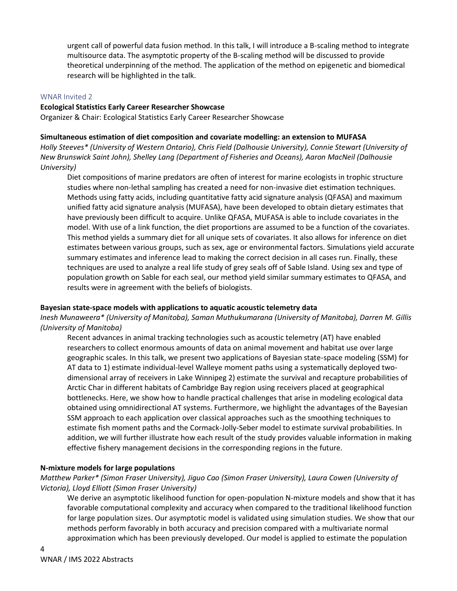urgent call of powerful data fusion method. In this talk, I will introduce a B-scaling method to integrate multisource data. The asymptotic property of the B-scaling method will be discussed to provide theoretical underpinning of the method. The application of the method on epigenetic and biomedical research will be highlighted in the talk.

#### WNAR Invited 2

#### **Ecological Statistics Early Career Researcher Showcase**

Organizer & Chair: Ecological Statistics Early Career Researcher Showcase

#### **Simultaneous estimation of diet composition and covariate modelling: an extension to MUFASA**

*Holly Steeves\* (University of Western Ontario), Chris Field (Dalhousie University), Connie Stewart (University of New Brunswick Saint John), Shelley Lang (Department of Fisheries and Oceans), Aaron MacNeil (Dalhousie University)*

Diet compositions of marine predators are often of interest for marine ecologists in trophic structure studies where non-lethal sampling has created a need for non-invasive diet estimation techniques. Methods using fatty acids, including quantitative fatty acid signature analysis (QFASA) and maximum unified fatty acid signature analysis (MUFASA), have been developed to obtain dietary estimates that have previously been difficult to acquire. Unlike QFASA, MUFASA is able to include covariates in the model. With use of a link function, the diet proportions are assumed to be a function of the covariates. This method yields a summary diet for all unique sets of covariates. It also allows for inference on diet estimates between various groups, such as sex, age or environmental factors. Simulations yield accurate summary estimates and inference lead to making the correct decision in all cases run. Finally, these techniques are used to analyze a real life study of grey seals off of Sable Island. Using sex and type of population growth on Sable for each seal, our method yield similar summary estimates to QFASA, and results were in agreement with the beliefs of biologists.

#### **Bayesian state-space models with applications to aquatic acoustic telemetry data**

*Inesh Munaweera\* (University of Manitoba), Saman Muthukumarana (University of Manitoba), Darren M. Gillis (University of Manitoba)*

Recent advances in animal tracking technologies such as acoustic telemetry (AT) have enabled researchers to collect enormous amounts of data on animal movement and habitat use over large geographic scales. In this talk, we present two applications of Bayesian state-space modeling (SSM) for AT data to 1) estimate individual-level Walleye moment paths using a systematically deployed twodimensional array of receivers in Lake Winnipeg 2) estimate the survival and recapture probabilities of Arctic Char in different habitats of Cambridge Bay region using receivers placed at geographical bottlenecks. Here, we show how to handle practical challenges that arise in modeling ecological data obtained using omnidirectional AT systems. Furthermore, we highlight the advantages of the Bayesian SSM approach to each application over classical approaches such as the smoothing techniques to estimate fish moment paths and the Cormack-Jolly-Seber model to estimate survival probabilities. In addition, we will further illustrate how each result of the study provides valuable information in making effective fishery management decisions in the corresponding regions in the future.

#### **N-mixture models for large populations**

# *Matthew Parker\* (Simon Fraser University), Jiguo Cao (Simon Fraser University), Laura Cowen (University of Victoria), Lloyd Elliott (Simon Fraser University)*

We derive an asymptotic likelihood function for open-population N-mixture models and show that it has favorable computational complexity and accuracy when compared to the traditional likelihood function for large population sizes. Our asymptotic model is validated using simulation studies. We show that our methods perform favorably in both accuracy and precision compared with a multivariate normal approximation which has been previously developed. Our model is applied to estimate the population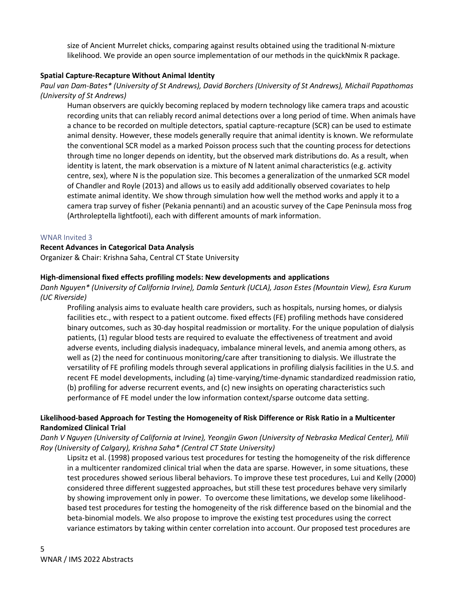size of Ancient Murrelet chicks, comparing against results obtained using the traditional N-mixture likelihood. We provide an open source implementation of our methods in the quickNmix R package.

### **Spatial Capture-Recapture Without Animal Identity**

# *Paul van Dam-Bates\* (University of St Andrews), David Borchers (University of St Andrews), Michail Papathomas (University of St Andrews)*

Human observers are quickly becoming replaced by modern technology like camera traps and acoustic recording units that can reliably record animal detections over a long period of time. When animals have a chance to be recorded on multiple detectors, spatial capture-recapture (SCR) can be used to estimate animal density. However, these models generally require that animal identity is known. We reformulate the conventional SCR model as a marked Poisson process such that the counting process for detections through time no longer depends on identity, but the observed mark distributions do. As a result, when identity is latent, the mark observation is a mixture of N latent animal characteristics (e.g. activity centre, sex), where N is the population size. This becomes a generalization of the unmarked SCR model of Chandler and Royle (2013) and allows us to easily add additionally observed covariates to help estimate animal identity. We show through simulation how well the method works and apply it to a camera trap survey of fisher (Pekania pennanti) and an acoustic survey of the Cape Peninsula moss frog (Arthroleptella lightfooti), each with different amounts of mark information.

#### WNAR Invited 3

#### **Recent Advances in Categorical Data Analysis**

Organizer & Chair: Krishna Saha, Central CT State University

#### **High-dimensional fixed effects profiling models: New developments and applications**

*Danh Nguyen\* (University of California Irvine), Damla Senturk (UCLA), Jason Estes (Mountain View), Esra Kurum (UC Riverside)*

Profiling analysis aims to evaluate health care providers, such as hospitals, nursing homes, or dialysis facilities etc., with respect to a patient outcome. fixed effects (FE) profiling methods have considered binary outcomes, such as 30-day hospital readmission or mortality. For the unique population of dialysis patients, (1) regular blood tests are required to evaluate the effectiveness of treatment and avoid adverse events, including dialysis inadequacy, imbalance mineral levels, and anemia among others, as well as (2) the need for continuous monitoring/care after transitioning to dialysis. We illustrate the versatility of FE profiling models through several applications in profiling dialysis facilities in the U.S. and recent FE model developments, including (a) time-varying/time-dynamic standardized readmission ratio, (b) profiling for adverse recurrent events, and (c) new insights on operating characteristics such performance of FE model under the low information context/sparse outcome data setting.

# **Likelihood-based Approach for Testing the Homogeneity of Risk Difference or Risk Ratio in a Multicenter Randomized Clinical Trial**

# *Danh V Nguyen (University of California at Irvine), Yeongjin Gwon (University of Nebraska Medical Center), Mili Roy (University of Calgary), Krishna Saha\* (Central CT State University)*

Lipsitz et al. (1998) proposed various test procedures for testing the homogeneity of the risk difference in a multicenter randomized clinical trial when the data are sparse. However, in some situations, these test procedures showed serious liberal behaviors. To improve these test procedures, Lui and Kelly (2000) considered three different suggested approaches, but still these test procedures behave very similarly by showing improvement only in power. To overcome these limitations, we develop some likelihoodbased test procedures for testing the homogeneity of the risk difference based on the binomial and the beta-binomial models. We also propose to improve the existing test procedures using the correct variance estimators by taking within center correlation into account. Our proposed test procedures are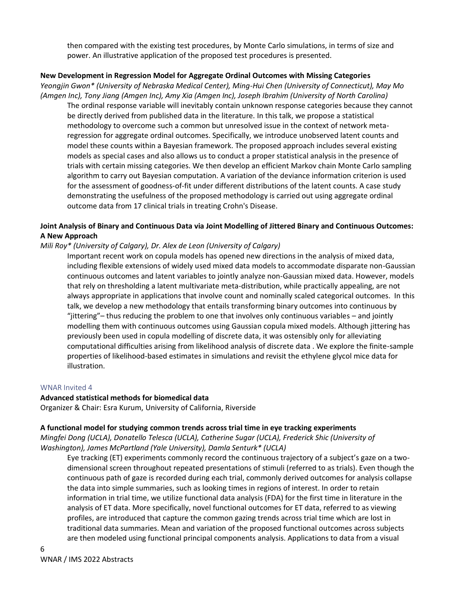then compared with the existing test procedures, by Monte Carlo simulations, in terms of size and power. An illustrative application of the proposed test procedures is presented.

# **New Development in Regression Model for Aggregate Ordinal Outcomes with Missing Categories**

*Yeongjin Gwon\* (University of Nebraska Medical Center), Ming-Hui Chen (University of Connecticut), May Mo (Amgen Inc), Tony Jiang (Amgen Inc), Amy Xia (Amgen Inc), Joseph Ibrahim (University of North Carolina)* The ordinal response variable will inevitably contain unknown response categories because they cannot be directly derived from published data in the literature. In this talk, we propose a statistical methodology to overcome such a common but unresolved issue in the context of network metaregression for aggregate ordinal outcomes. Specifically, we introduce unobserved latent counts and model these counts within a Bayesian framework. The proposed approach includes several existing models as special cases and also allows us to conduct a proper statistical analysis in the presence of trials with certain missing categories. We then develop an efficient Markov chain Monte Carlo sampling algorithm to carry out Bayesian computation. A variation of the deviance information criterion is used for the assessment of goodness-of-fit under different distributions of the latent counts. A case study demonstrating the usefulness of the proposed methodology is carried out using aggregate ordinal outcome data from 17 clinical trials in treating Crohn's Disease.

# **Joint Analysis of Binary and Continuous Data via Joint Modelling of Jittered Binary and Continuous Outcomes: A New Approach**

# *Mili Roy\* (University of Calgary), Dr. Alex de Leon (University of Calgary)*

Important recent work on copula models has opened new directions in the analysis of mixed data, including flexible extensions of widely used mixed data models to accommodate disparate non-Gaussian continuous outcomes and latent variables to jointly analyze non-Gaussian mixed data. However, models that rely on thresholding a latent multivariate meta-distribution, while practically appealing, are not always appropriate in applications that involve count and nominally scaled categorical outcomes. In this talk, we develop a new methodology that entails transforming binary outcomes into continuous by "jittering"– thus reducing the problem to one that involves only continuous variables – and jointly modelling them with continuous outcomes using Gaussian copula mixed models. Although jittering has previously been used in copula modelling of discrete data, it was ostensibly only for alleviating computational difficulties arising from likelihood analysis of discrete data . We explore the finite-sample properties of likelihood-based estimates in simulations and revisit the ethylene glycol mice data for illustration.

# WNAR Invited 4

# **Advanced statistical methods for biomedical data**

Organizer & Chair: Esra Kurum, University of California, Riverside

# **A functional model for studying common trends across trial time in eye tracking experiments**

*Mingfei Dong (UCLA), Donatello Telesca (UCLA), Catherine Sugar (UCLA), Frederick Shic (University of Washington), James McPartland (Yale University), Damla Senturk\* (UCLA)*

Eye tracking (ET) experiments commonly record the continuous trajectory of a subject's gaze on a twodimensional screen throughout repeated presentations of stimuli (referred to as trials). Even though the continuous path of gaze is recorded during each trial, commonly derived outcomes for analysis collapse the data into simple summaries, such as looking times in regions of interest. In order to retain information in trial time, we utilize functional data analysis (FDA) for the first time in literature in the analysis of ET data. More specifically, novel functional outcomes for ET data, referred to as viewing profiles, are introduced that capture the common gazing trends across trial time which are lost in traditional data summaries. Mean and variation of the proposed functional outcomes across subjects are then modeled using functional principal components analysis. Applications to data from a visual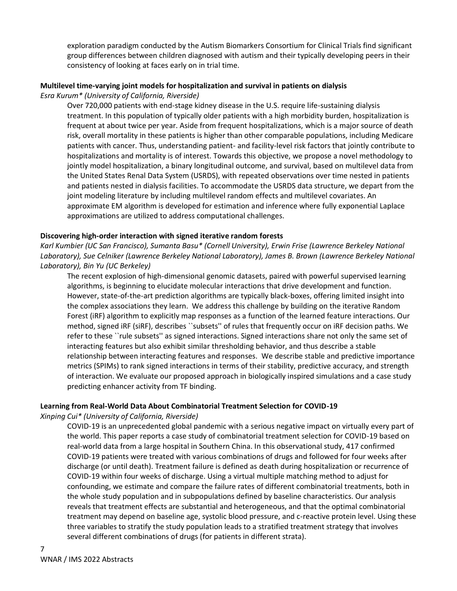exploration paradigm conducted by the Autism Biomarkers Consortium for Clinical Trials find significant group differences between children diagnosed with autism and their typically developing peers in their consistency of looking at faces early on in trial time.

# **Multilevel time-varying joint models for hospitalization and survival in patients on dialysis**

### *Esra Kurum\* (University of California, Riverside)*

Over 720,000 patients with end-stage kidney disease in the U.S. require life-sustaining dialysis treatment. In this population of typically older patients with a high morbidity burden, hospitalization is frequent at about twice per year. Aside from frequent hospitalizations, which is a major source of death risk, overall mortality in these patients is higher than other comparable populations, including Medicare patients with cancer. Thus, understanding patient- and facility-level risk factors that jointly contribute to hospitalizations and mortality is of interest. Towards this objective, we propose a novel methodology to jointly model hospitalization, a binary longitudinal outcome, and survival, based on multilevel data from the United States Renal Data System (USRDS), with repeated observations over time nested in patients and patients nested in dialysis facilities. To accommodate the USRDS data structure, we depart from the joint modeling literature by including multilevel random effects and multilevel covariates. An approximate EM algorithm is developed for estimation and inference where fully exponential Laplace approximations are utilized to address computational challenges.

# **Discovering high-order interaction with signed iterative random forests**

*Karl Kumbier (UC San Francisco), Sumanta Basu\* (Cornell University), Erwin Frise (Lawrence Berkeley National Laboratory), Sue Celniker (Lawrence Berkeley National Laboratory), James B. Brown (Lawrence Berkeley National Laboratory), Bin Yu (UC Berkeley)*

The recent explosion of high-dimensional genomic datasets, paired with powerful supervised learning algorithms, is beginning to elucidate molecular interactions that drive development and function. However, state-of-the-art prediction algorithms are typically black-boxes, offering limited insight into the complex associations they learn. We address this challenge by building on the iterative Random Forest (iRF) algorithm to explicitly map responses as a function of the learned feature interactions. Our method, signed iRF (siRF), describes ``subsets'' of rules that frequently occur on iRF decision paths. We refer to these ``rule subsets'' as signed interactions. Signed interactions share not only the same set of interacting features but also exhibit similar thresholding behavior, and thus describe a stable relationship between interacting features and responses. We describe stable and predictive importance metrics (SPIMs) to rank signed interactions in terms of their stability, predictive accuracy, and strength of interaction. We evaluate our proposed approach in biologically inspired simulations and a case study predicting enhancer activity from TF binding.

# **Learning from Real-World Data About Combinatorial Treatment Selection for COVID-19**

*Xinping Cui\* (University of California, Riverside)*

COVID-19 is an unprecedented global pandemic with a serious negative impact on virtually every part of the world. This paper reports a case study of combinatorial treatment selection for COVID-19 based on real-world data from a large hospital in Southern China. In this observational study, 417 confirmed COVID-19 patients were treated with various combinations of drugs and followed for four weeks after discharge (or until death). Treatment failure is defined as death during hospitalization or recurrence of COVID-19 within four weeks of discharge. Using a virtual multiple matching method to adjust for confounding, we estimate and compare the failure rates of different combinatorial treatments, both in the whole study population and in subpopulations defined by baseline characteristics. Our analysis reveals that treatment effects are substantial and heterogeneous, and that the optimal combinatorial treatment may depend on baseline age, systolic blood pressure, and c-reactive protein level. Using these three variables to stratify the study population leads to a stratified treatment strategy that involves several different combinations of drugs (for patients in different strata).

7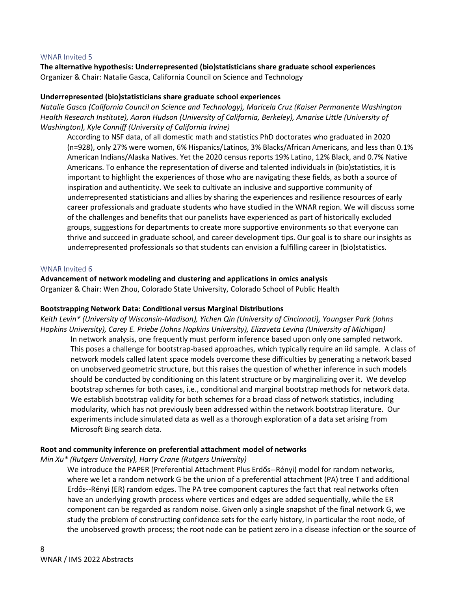#### WNAR Invited 5

**The alternative hypothesis: Underrepresented (bio)statisticians share graduate school experiences** Organizer & Chair: Natalie Gasca, California Council on Science and Technology

#### **Underrepresented (bio)statisticians share graduate school experiences**

*Natalie Gasca (California Council on Science and Technology), Maricela Cruz (Kaiser Permanente Washington Health Research Institute), Aaron Hudson (University of California, Berkeley), Amarise Little (University of Washington), Kyle Conniff (University of California Irvine)*

According to NSF data, of all domestic math and statistics PhD doctorates who graduated in 2020 (n=928), only 27% were women, 6% Hispanics/Latinos, 3% Blacks/African Americans, and less than 0.1% American Indians/Alaska Natives. Yet the 2020 census reports 19% Latino, 12% Black, and 0.7% Native Americans. To enhance the representation of diverse and talented individuals in (bio)statistics, it is important to highlight the experiences of those who are navigating these fields, as both a source of inspiration and authenticity. We seek to cultivate an inclusive and supportive community of underrepresented statisticians and allies by sharing the experiences and resilience resources of early career professionals and graduate students who have studied in the WNAR region. We will discuss some of the challenges and benefits that our panelists have experienced as part of historically excluded groups, suggestions for departments to create more supportive environments so that everyone can thrive and succeed in graduate school, and career development tips. Our goal is to share our insights as underrepresented professionals so that students can envision a fulfilling career in (bio)statistics.

#### WNAR Invited 6

#### **Advancement of network modeling and clustering and applications in omics analysis**

Organizer & Chair: Wen Zhou, Colorado State University, Colorado School of Public Health

#### **Bootstrapping Network Data: Conditional versus Marginal Distributions**

*Keith Levin\* (University of Wisconsin-Madison), Yichen Qin (University of Cincinnati), Youngser Park (Johns Hopkins University), Carey E. Priebe (Johns Hopkins University), Elizaveta Levina (University of Michigan)*

In network analysis, one frequently must perform inference based upon only one sampled network. This poses a challenge for bootstrap-based approaches, which typically require an iid sample. A class of network models called latent space models overcome these difficulties by generating a network based on unobserved geometric structure, but this raises the question of whether inference in such models should be conducted by conditioning on this latent structure or by marginalizing over it. We develop bootstrap schemes for both cases, i.e., conditional and marginal bootstrap methods for network data. We establish bootstrap validity for both schemes for a broad class of network statistics, including modularity, which has not previously been addressed within the network bootstrap literature. Our experiments include simulated data as well as a thorough exploration of a data set arising from Microsoft Bing search data.

#### **Root and community inference on preferential attachment model of networks**

*Min Xu\* (Rutgers University), Harry Crane (Rutgers University)*

We introduce the PAPER (Preferential Attachment Plus Erdős--Rényi) model for random networks, where we let a random network G be the union of a preferential attachment (PA) tree T and additional Erdős--Rényi (ER) random edges. The PA tree component captures the fact that real networks often have an underlying growth process where vertices and edges are added sequentially, while the ER component can be regarded as random noise. Given only a single snapshot of the final network G, we study the problem of constructing confidence sets for the early history, in particular the root node, of the unobserved growth process; the root node can be patient zero in a disease infection or the source of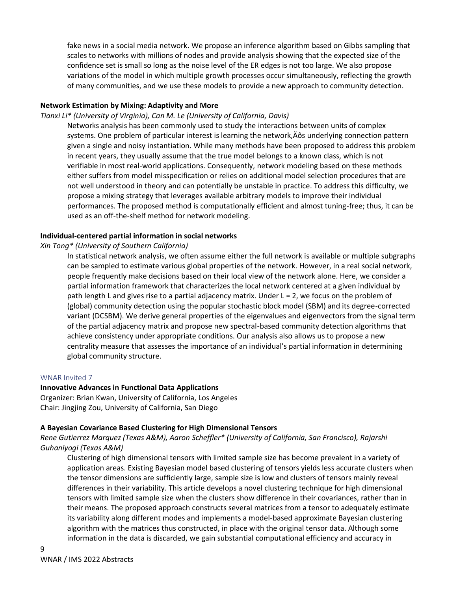fake news in a social media network. We propose an inference algorithm based on Gibbs sampling that scales to networks with millions of nodes and provide analysis showing that the expected size of the confidence set is small so long as the noise level of the ER edges is not too large. We also propose variations of the model in which multiple growth processes occur simultaneously, reflecting the growth of many communities, and we use these models to provide a new approach to community detection.

### **Network Estimation by Mixing: Adaptivity and More**

#### *Tianxi Li\* (University of Virginia), Can M. Le (University of California, Davis)*

Networks analysis has been commonly used to study the interactions between units of complex systems. One problem of particular interest is learning the network, Äôs underlying connection pattern given a single and noisy instantiation. While many methods have been proposed to address this problem in recent years, they usually assume that the true model belongs to a known class, which is not verifiable in most real-world applications. Consequently, network modeling based on these methods either suffers from model misspecification or relies on additional model selection procedures that are not well understood in theory and can potentially be unstable in practice. To address this difficulty, we propose a mixing strategy that leverages available arbitrary models to improve their individual performances. The proposed method is computationally efficient and almost tuning-free; thus, it can be used as an off-the-shelf method for network modeling.

### **Individual-centered partial information in social networks**

### *Xin Tong\* (University of Southern California)*

In statistical network analysis, we often assume either the full network is available or multiple subgraphs can be sampled to estimate various global properties of the network. However, in a real social network, people frequently make decisions based on their local view of the network alone. Here, we consider a partial information framework that characterizes the local network centered at a given individual by path length L and gives rise to a partial adjacency matrix. Under L = 2, we focus on the problem of (global) community detection using the popular stochastic block model (SBM) and its degree-corrected variant (DCSBM). We derive general properties of the eigenvalues and eigenvectors from the signal term of the partial adjacency matrix and propose new spectral-based community detection algorithms that achieve consistency under appropriate conditions. Our analysis also allows us to propose a new centrality measure that assesses the importance of an individual's partial information in determining global community structure.

#### WNAR Invited 7

#### **Innovative Advances in Functional Data Applications**

Organizer: Brian Kwan, University of California, Los Angeles Chair: Jingjing Zou, University of California, San Diego

#### **A Bayesian Covariance Based Clustering for High Dimensional Tensors**

*Rene Gutierrez Marquez (Texas A&M), Aaron Scheffler\* (University of California, San Francisco), Rajarshi Guhaniyogi (Texas A&M)*

Clustering of high dimensional tensors with limited sample size has become prevalent in a variety of application areas. Existing Bayesian model based clustering of tensors yields less accurate clusters when the tensor dimensions are sufficiently large, sample size is low and clusters of tensors mainly reveal differences in their variability. This article develops a novel clustering technique for high dimensional tensors with limited sample size when the clusters show difference in their covariances, rather than in their means. The proposed approach constructs several matrices from a tensor to adequately estimate its variability along different modes and implements a model-based approximate Bayesian clustering algorithm with the matrices thus constructed, in place with the original tensor data. Although some information in the data is discarded, we gain substantial computational efficiency and accuracy in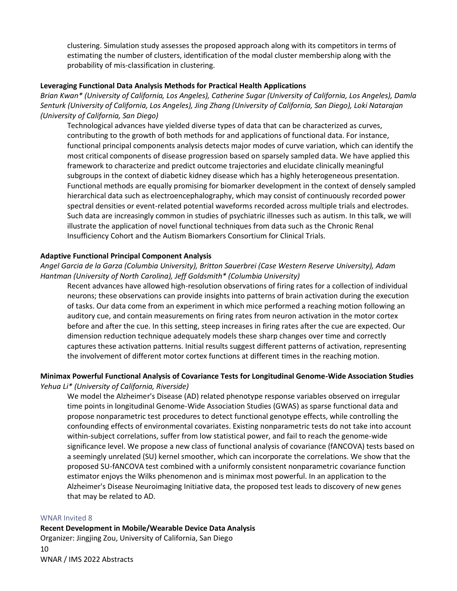clustering. Simulation study assesses the proposed approach along with its competitors in terms of estimating the number of clusters, identification of the modal cluster membership along with the probability of mis-classification in clustering.

# **Leveraging Functional Data Analysis Methods for Practical Health Applications**

*Brian Kwan\* (University of California, Los Angeles), Catherine Sugar (University of California, Los Angeles), Damla Senturk (University of California, Los Angeles), Jing Zhang (University of California, San Diego), Loki Natarajan (University of California, San Diego)*

Technological advances have yielded diverse types of data that can be characterized as curves, contributing to the growth of both methods for and applications of functional data. For instance, functional principal components analysis detects major modes of curve variation, which can identify the most critical components of disease progression based on sparsely sampled data. We have applied this framework to characterize and predict outcome trajectories and elucidate clinically meaningful subgroups in the context of diabetic kidney disease which has a highly heterogeneous presentation. Functional methods are equally promising for biomarker development in the context of densely sampled hierarchical data such as electroencephalography, which may consist of continuously recorded power spectral densities or event-related potential waveforms recorded across multiple trials and electrodes. Such data are increasingly common in studies of psychiatric illnesses such as autism. In this talk, we will illustrate the application of novel functional techniques from data such as the Chronic Renal Insufficiency Cohort and the Autism Biomarkers Consortium for Clinical Trials.

### **Adaptive Functional Principal Component Analysis**

*Angel Garcia de la Garza (Columbia University), Britton Sauerbrei (Case Western Reserve University), Adam Hantman (University of North Carolina), Jeff Goldsmith\* (Columbia University)*

Recent advances have allowed high-resolution observations of firing rates for a collection of individual neurons; these observations can provide insights into patterns of brain activation during the execution of tasks. Our data come from an experiment in which mice performed a reaching motion following an auditory cue, and contain measurements on firing rates from neuron activation in the motor cortex before and after the cue. In this setting, steep increases in firing rates after the cue are expected. Our dimension reduction technique adequately models these sharp changes over time and correctly captures these activation patterns. Initial results suggest different patterns of activation, representing the involvement of different motor cortex functions at different times in the reaching motion.

#### **Minimax Powerful Functional Analysis of Covariance Tests for Longitudinal Genome-Wide Association Studies** *Yehua Li\* (University of California, Riverside)*

We model the Alzheimer's Disease (AD) related phenotype response variables observed on irregular time points in longitudinal Genome-Wide Association Studies (GWAS) as sparse functional data and propose nonparametric test procedures to detect functional genotype effects, while controlling the confounding effects of environmental covariates. Existing nonparametric tests do not take into account within-subject correlations, suffer from low statistical power, and fail to reach the genome-wide significance level. We propose a new class of functional analysis of covariance (fANCOVA) tests based on a seemingly unrelated (SU) kernel smoother, which can incorporate the correlations. We show that the proposed SU-fANCOVA test combined with a uniformly consistent nonparametric covariance function estimator enjoys the Wilks phenomenon and is minimax most powerful. In an application to the Alzheimer's Disease Neuroimaging Initiative data, the proposed test leads to discovery of new genes that may be related to AD.

#### WNAR Invited 8

10 WNAR / IMS 2022 Abstracts **Recent Development in Mobile/Wearable Device Data Analysis**  Organizer: Jingjing Zou, University of California, San Diego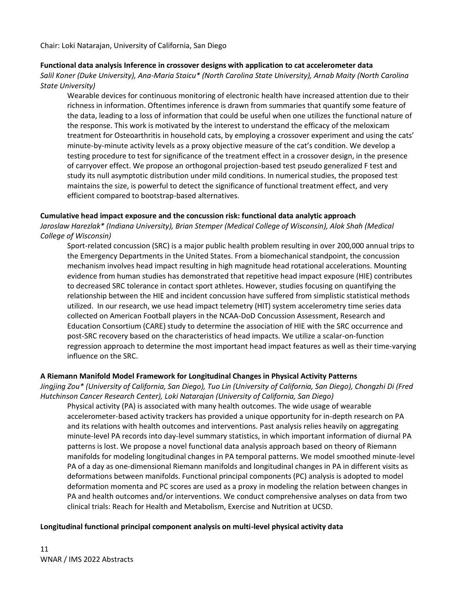Chair: Loki Natarajan, University of California, San Diego

# **Functional data analysis Inference in crossover designs with application to cat accelerometer data**

*Salil Koner (Duke University), Ana-Maria Staicu\* (North Carolina State University), Arnab Maity (North Carolina State University)*

Wearable devices for continuous monitoring of electronic health have increased attention due to their richness in information. Oftentimes inference is drawn from summaries that quantify some feature of the data, leading to a loss of information that could be useful when one utilizes the functional nature of the response. This work is motivated by the interest to understand the efficacy of the meloxicam treatment for Osteoarthritis in household cats, by employing a crossover experiment and using the cats' minute-by-minute activity levels as a proxy objective measure of the cat's condition. We develop a testing procedure to test for significance of the treatment effect in a crossover design, in the presence of carryover effect. We propose an orthogonal projection-based test pseudo generalized F test and study its null asymptotic distribution under mild conditions. In numerical studies, the proposed test maintains the size, is powerful to detect the significance of functional treatment effect, and very efficient compared to bootstrap-based alternatives.

### **Cumulative head impact exposure and the concussion risk: functional data analytic approach**

*Jaroslaw Harezlak\* (Indiana University), Brian Stemper (Medical College of Wisconsin), Alok Shah (Medical College of Wisconsin)*

Sport-related concussion (SRC) is a major public health problem resulting in over 200,000 annual trips to the Emergency Departments in the United States. From a biomechanical standpoint, the concussion mechanism involves head impact resulting in high magnitude head rotational accelerations. Mounting evidence from human studies has demonstrated that repetitive head impact exposure (HIE) contributes to decreased SRC tolerance in contact sport athletes. However, studies focusing on quantifying the relationship between the HIE and incident concussion have suffered from simplistic statistical methods utilized. In our research, we use head impact telemetry (HIT) system accelerometry time series data collected on American Football players in the NCAA-DoD Concussion Assessment, Research and Education Consortium (CARE) study to determine the association of HIE with the SRC occurrence and post-SRC recovery based on the characteristics of head impacts. We utilize a scalar-on-function regression approach to determine the most important head impact features as well as their time-varying influence on the SRC.

# **A Riemann Manifold Model Framework for Longitudinal Changes in Physical Activity Patterns**

*Jingjing Zou\* (University of California, San Diego), Tuo Lin (University of California, San Diego), Chongzhi Di (Fred Hutchinson Cancer Research Center), Loki Natarajan (University of California, San Diego)*

Physical activity (PA) is associated with many health outcomes. The wide usage of wearable accelerometer-based activity trackers has provided a unique opportunity for in-depth research on PA and its relations with health outcomes and interventions. Past analysis relies heavily on aggregating minute-level PA records into day-level summary statistics, in which important information of diurnal PA patterns is lost. We propose a novel functional data analysis approach based on theory of Riemann manifolds for modeling longitudinal changes in PA temporal patterns. We model smoothed minute-level PA of a day as one-dimensional Riemann manifolds and longitudinal changes in PA in different visits as deformations between manifolds. Functional principal components (PC) analysis is adopted to model deformation momenta and PC scores are used as a proxy in modeling the relation between changes in PA and health outcomes and/or interventions. We conduct comprehensive analyses on data from two clinical trials: Reach for Health and Metabolism, Exercise and Nutrition at UCSD.

# **Longitudinal functional principal component analysis on multi-level physical activity data**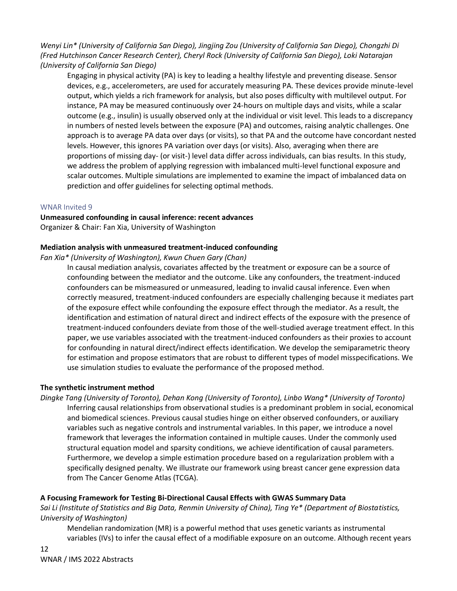*Wenyi Lin\* (University of California San Diego), Jingjing Zou (University of California San Diego), Chongzhi Di (Fred Hutchinson Cancer Research Center), Cheryl Rock (University of California San Diego), Loki Natarajan (University of California San Diego)*

Engaging in physical activity (PA) is key to leading a healthy lifestyle and preventing disease. Sensor devices, e.g., accelerometers, are used for accurately measuring PA. These devices provide minute-level output, which yields a rich framework for analysis, but also poses difficulty with multilevel output. For instance, PA may be measured continuously over 24-hours on multiple days and visits, while a scalar outcome (e.g., insulin) is usually observed only at the individual or visit level. This leads to a discrepancy in numbers of nested levels between the exposure (PA) and outcomes, raising analytic challenges. One approach is to average PA data over days (or visits), so that PA and the outcome have concordant nested levels. However, this ignores PA variation over days (or visits). Also, averaging when there are proportions of missing day- (or visit-) level data differ across individuals, can bias results. In this study, we address the problem of applying regression with imbalanced multi-level functional exposure and scalar outcomes. Multiple simulations are implemented to examine the impact of imbalanced data on prediction and offer guidelines for selecting optimal methods.

# WNAR Invited 9

# **Unmeasured confounding in causal inference: recent advances** Organizer & Chair: Fan Xia, University of Washington

# **Mediation analysis with unmeasured treatment-induced confounding**

*Fan Xia\* (University of Washington), Kwun Chuen Gary (Chan)*

In causal mediation analysis, covariates affected by the treatment or exposure can be a source of confounding between the mediator and the outcome. Like any confounders, the treatment-induced confounders can be mismeasured or unmeasured, leading to invalid causal inference. Even when correctly measured, treatment-induced confounders are especially challenging because it mediates part of the exposure effect while confounding the exposure effect through the mediator. As a result, the identification and estimation of natural direct and indirect effects of the exposure with the presence of treatment-induced confounders deviate from those of the well-studied average treatment effect. In this paper, we use variables associated with the treatment-induced confounders as their proxies to account for confounding in natural direct/indirect effects identification. We develop the semiparametric theory for estimation and propose estimators that are robust to different types of model misspecifications. We use simulation studies to evaluate the performance of the proposed method.

# **The synthetic instrument method**

*Dingke Tang (University of Toronto), Dehan Kong (University of Toronto), Linbo Wang\* (University of Toronto)* Inferring causal relationships from observational studies is a predominant problem in social, economical and biomedical sciences. Previous causal studies hinge on either observed confounders, or auxiliary variables such as negative controls and instrumental variables. In this paper, we introduce a novel framework that leverages the information contained in multiple causes. Under the commonly used structural equation model and sparsity conditions, we achieve identification of causal parameters. Furthermore, we develop a simple estimation procedure based on a regularization problem with a specifically designed penalty. We illustrate our framework using breast cancer gene expression data from The Cancer Genome Atlas (TCGA).

# **A Focusing Framework for Testing Bi-Directional Causal Effects with GWAS Summary Data**

*Sai Li (Institute of Statistics and Big Data, Renmin University of China), Ting Ye\* (Department of Biostatistics, University of Washington)*

Mendelian randomization (MR) is a powerful method that uses genetic variants as instrumental variables (IVs) to infer the causal effect of a modifiable exposure on an outcome. Although recent years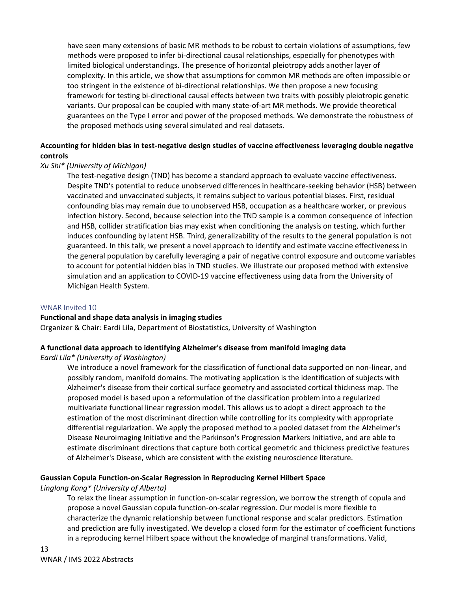have seen many extensions of basic MR methods to be robust to certain violations of assumptions, few methods were proposed to infer bi-directional causal relationships, especially for phenotypes with limited biological understandings. The presence of horizontal pleiotropy adds another layer of complexity. In this article, we show that assumptions for common MR methods are often impossible or too stringent in the existence of bi-directional relationships. We then propose a new focusing framework for testing bi-directional causal effects between two traits with possibly pleiotropic genetic variants. Our proposal can be coupled with many state-of-art MR methods. We provide theoretical guarantees on the Type I error and power of the proposed methods. We demonstrate the robustness of the proposed methods using several simulated and real datasets.

# **Accounting for hidden bias in test-negative design studies of vaccine effectiveness leveraging double negative controls**

# *Xu Shi\* (University of Michigan)*

The test-negative design (TND) has become a standard approach to evaluate vaccine effectiveness. Despite TND's potential to reduce unobserved differences in healthcare-seeking behavior (HSB) between vaccinated and unvaccinated subjects, it remains subject to various potential biases. First, residual confounding bias may remain due to unobserved HSB, occupation as a healthcare worker, or previous infection history. Second, because selection into the TND sample is a common consequence of infection and HSB, collider stratification bias may exist when conditioning the analysis on testing, which further induces confounding by latent HSB. Third, generalizability of the results to the general population is not guaranteed. In this talk, we present a novel approach to identify and estimate vaccine effectiveness in the general population by carefully leveraging a pair of negative control exposure and outcome variables to account for potential hidden bias in TND studies. We illustrate our proposed method with extensive simulation and an application to COVID-19 vaccine effectiveness using data from the University of Michigan Health System.

# WNAR Invited 10

#### **Functional and shape data analysis in imaging studies**

Organizer & Chair: Eardi Lila, Department of Biostatistics, University of Washington

# **A functional data approach to identifying Alzheimer's disease from manifold imaging data**

*Eardi Lila\* (University of Washington)*

We introduce a novel framework for the classification of functional data supported on non-linear, and possibly random, manifold domains. The motivating application is the identification of subjects with Alzheimer's disease from their cortical surface geometry and associated cortical thickness map. The proposed model is based upon a reformulation of the classification problem into a regularized multivariate functional linear regression model. This allows us to adopt a direct approach to the estimation of the most discriminant direction while controlling for its complexity with appropriate differential regularization. We apply the proposed method to a pooled dataset from the Alzheimer's Disease Neuroimaging Initiative and the Parkinson's Progression Markers Initiative, and are able to estimate discriminant directions that capture both cortical geometric and thickness predictive features of Alzheimer's Disease, which are consistent with the existing neuroscience literature.

# **Gaussian Copula Function-on-Scalar Regression in Reproducing Kernel Hilbert Space**

# *Linglong Kong\* (University of Alberta)*

To relax the linear assumption in function-on-scalar regression, we borrow the strength of copula and propose a novel Gaussian copula function-on-scalar regression. Our model is more flexible to characterize the dynamic relationship between functional response and scalar predictors. Estimation and prediction are fully investigated. We develop a closed form for the estimator of coefficient functions in a reproducing kernel Hilbert space without the knowledge of marginal transformations. Valid,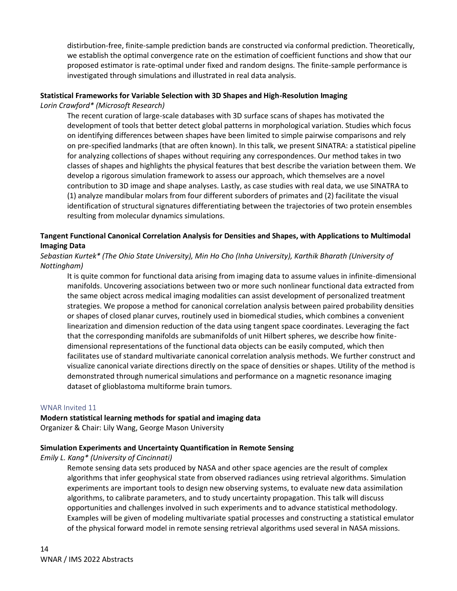distirbution-free, finite-sample prediction bands are constructed via conformal prediction. Theoretically, we establish the optimal convergence rate on the estimation of coefficient functions and show that our proposed estimator is rate-optimal under fixed and random designs. The finite-sample performance is investigated through simulations and illustrated in real data analysis.

# **Statistical Frameworks for Variable Selection with 3D Shapes and High-Resolution Imaging**

*Lorin Crawford\* (Microsoft Research)*

The recent curation of large-scale databases with 3D surface scans of shapes has motivated the development of tools that better detect global patterns in morphological variation. Studies which focus on identifying differences between shapes have been limited to simple pairwise comparisons and rely on pre-specified landmarks (that are often known). In this talk, we present SINATRA: a statistical pipeline for analyzing collections of shapes without requiring any correspondences. Our method takes in two classes of shapes and highlights the physical features that best describe the variation between them. We develop a rigorous simulation framework to assess our approach, which themselves are a novel contribution to 3D image and shape analyses. Lastly, as case studies with real data, we use SINATRA to (1) analyze mandibular molars from four different suborders of primates and (2) facilitate the visual identification of structural signatures differentiating between the trajectories of two protein ensembles resulting from molecular dynamics simulations.

# **Tangent Functional Canonical Correlation Analysis for Densities and Shapes, with Applications to Multimodal Imaging Data**

# *Sebastian Kurtek\* (The Ohio State University), Min Ho Cho (Inha University), Karthik Bharath (University of Nottingham)*

It is quite common for functional data arising from imaging data to assume values in infinite-dimensional manifolds. Uncovering associations between two or more such nonlinear functional data extracted from the same object across medical imaging modalities can assist development of personalized treatment strategies. We propose a method for canonical correlation analysis between paired probability densities or shapes of closed planar curves, routinely used in biomedical studies, which combines a convenient linearization and dimension reduction of the data using tangent space coordinates. Leveraging the fact that the corresponding manifolds are submanifolds of unit Hilbert spheres, we describe how finitedimensional representations of the functional data objects can be easily computed, which then facilitates use of standard multivariate canonical correlation analysis methods. We further construct and visualize canonical variate directions directly on the space of densities or shapes. Utility of the method is demonstrated through numerical simulations and performance on a magnetic resonance imaging dataset of glioblastoma multiforme brain tumors.

#### WNAR Invited 11

# **Modern statistical learning methods for spatial and imaging data**

Organizer & Chair: Lily Wang, George Mason University

# **Simulation Experiments and Uncertainty Quantification in Remote Sensing**

*Emily L. Kang\* (University of Cincinnati)*

Remote sensing data sets produced by NASA and other space agencies are the result of complex algorithms that infer geophysical state from observed radiances using retrieval algorithms. Simulation experiments are important tools to design new observing systems, to evaluate new data assimilation algorithms, to calibrate parameters, and to study uncertainty propagation. This talk will discuss opportunities and challenges involved in such experiments and to advance statistical methodology. Examples will be given of modeling multivariate spatial processes and constructing a statistical emulator of the physical forward model in remote sensing retrieval algorithms used several in NASA missions.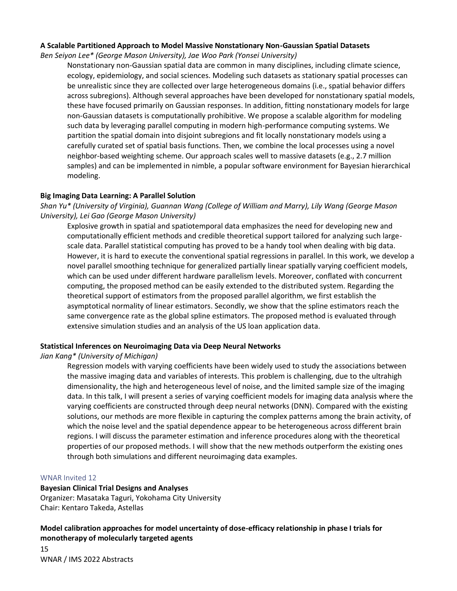### **A Scalable Partitioned Approach to Model Massive Nonstationary Non-Gaussian Spatial Datasets**

*Ben Seiyon Lee\* (George Mason University), Jae Woo Park (Yonsei University)*

Nonstationary non-Gaussian spatial data are common in many disciplines, including climate science, ecology, epidemiology, and social sciences. Modeling such datasets as stationary spatial processes can be unrealistic since they are collected over large heterogeneous domains (i.e., spatial behavior differs across subregions). Although several approaches have been developed for nonstationary spatial models, these have focused primarily on Gaussian responses. In addition, fitting nonstationary models for large non-Gaussian datasets is computationally prohibitive. We propose a scalable algorithm for modeling such data by leveraging parallel computing in modern high-performance computing systems. We partition the spatial domain into disjoint subregions and fit locally nonstationary models using a carefully curated set of spatial basis functions. Then, we combine the local processes using a novel neighbor-based weighting scheme. Our approach scales well to massive datasets (e.g., 2.7 million samples) and can be implemented in nimble, a popular software environment for Bayesian hierarchical modeling.

### **Big Imaging Data Learning: A Parallel Solution**

*Shan Yu\* (University of Virginia), Guannan Wang (College of William and Marry), Lily Wang (George Mason University), Lei Gao (George Mason University)*

Explosive growth in spatial and spatiotemporal data emphasizes the need for developing new and computationally efficient methods and credible theoretical support tailored for analyzing such largescale data. Parallel statistical computing has proved to be a handy tool when dealing with big data. However, it is hard to execute the conventional spatial regressions in parallel. In this work, we develop a novel parallel smoothing technique for generalized partially linear spatially varying coefficient models, which can be used under different hardware parallelism levels. Moreover, conflated with concurrent computing, the proposed method can be easily extended to the distributed system. Regarding the theoretical support of estimators from the proposed parallel algorithm, we first establish the asymptotical normality of linear estimators. Secondly, we show that the spline estimators reach the same convergence rate as the global spline estimators. The proposed method is evaluated through extensive simulation studies and an analysis of the US loan application data.

# **Statistical Inferences on Neuroimaging Data via Deep Neural Networks**

*Jian Kang\* (University of Michigan)*

Regression models with varying coefficients have been widely used to study the associations between the massive imaging data and variables of interests. This problem is challenging, due to the ultrahigh dimensionality, the high and heterogeneous level of noise, and the limited sample size of the imaging data. In this talk, I will present a series of varying coefficient models for imaging data analysis where the varying coefficients are constructed through deep neural networks (DNN). Compared with the existing solutions, our methods are more flexible in capturing the complex patterns among the brain activity, of which the noise level and the spatial dependence appear to be heterogeneous across different brain regions. I will discuss the parameter estimation and inference procedures along with the theoretical properties of our proposed methods. I will show that the new methods outperform the existing ones through both simulations and different neuroimaging data examples.

#### WNAR Invited 12

# **Bayesian Clinical Trial Designs and Analyses**

Organizer: Masataka Taguri, Yokohama City University Chair: Kentaro Takeda, Astellas

# **Model calibration approaches for model uncertainty of dose-efficacy relationship in phase I trials for monotherapy of molecularly targeted agents**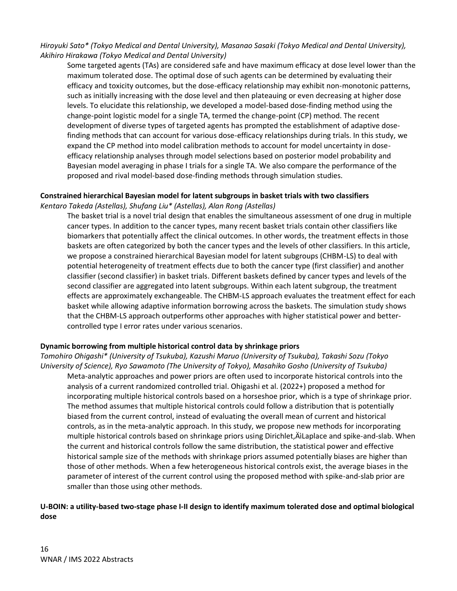*Hiroyuki Sato\* (Tokyo Medical and Dental University), Masanao Sasaki (Tokyo Medical and Dental University), Akihiro Hirakawa (Tokyo Medical and Dental University)*

Some targeted agents (TAs) are considered safe and have maximum efficacy at dose level lower than the maximum tolerated dose. The optimal dose of such agents can be determined by evaluating their efficacy and toxicity outcomes, but the dose-efficacy relationship may exhibit non-monotonic patterns, such as initially increasing with the dose level and then plateauing or even decreasing at higher dose levels. To elucidate this relationship, we developed a model-based dose-finding method using the change-point logistic model for a single TA, termed the change-point (CP) method. The recent development of diverse types of targeted agents has prompted the establishment of adaptive dosefinding methods that can account for various dose-efficacy relationships during trials. In this study, we expand the CP method into model calibration methods to account for model uncertainty in doseefficacy relationship analyses through model selections based on posterior model probability and Bayesian model averaging in phase I trials for a single TA. We also compare the performance of the proposed and rival model-based dose-finding methods through simulation studies.

### **Constrained hierarchical Bayesian model for latent subgroups in basket trials with two classifiers** *Kentaro Takeda (Astellas), Shufang Liu\* (Astellas), Alan Rong (Astellas)*

The basket trial is a novel trial design that enables the simultaneous assessment of one drug in multiple cancer types. In addition to the cancer types, many recent basket trials contain other classifiers like biomarkers that potentially affect the clinical outcomes. In other words, the treatment effects in those baskets are often categorized by both the cancer types and the levels of other classifiers. In this article, we propose a constrained hierarchical Bayesian model for latent subgroups (CHBM-LS) to deal with potential heterogeneity of treatment effects due to both the cancer type (first classifier) and another classifier (second classifier) in basket trials. Different baskets defined by cancer types and levels of the second classifier are aggregated into latent subgroups. Within each latent subgroup, the treatment effects are approximately exchangeable. The CHBM-LS approach evaluates the treatment effect for each basket while allowing adaptive information borrowing across the baskets. The simulation study shows that the CHBM-LS approach outperforms other approaches with higher statistical power and bettercontrolled type I error rates under various scenarios.

# **Dynamic borrowing from multiple historical control data by shrinkage priors**

*Tomohiro Ohigashi\* (University of Tsukuba), Kazushi Maruo (University of Tsukuba), Takashi Sozu (Tokyo University of Science), Ryo Sawamoto (The University of Tokyo), Masahiko Gosho (University of Tsukuba)* Meta-analytic approaches and power priors are often used to incorporate historical controls into the analysis of a current randomized controlled trial. Ohigashi et al. (2022+) proposed a method for incorporating multiple historical controls based on a horseshoe prior, which is a type of shrinkage prior. The method assumes that multiple historical controls could follow a distribution that is potentially biased from the current control, instead of evaluating the overall mean of current and historical controls, as in the meta-analytic approach. In this study, we propose new methods for incorporating multiple historical controls based on shrinkage priors using Dirichlet, ÄlLaplace and spike-and-slab. When the current and historical controls follow the same distribution, the statistical power and effective historical sample size of the methods with shrinkage priors assumed potentially biases are higher than those of other methods. When a few heterogeneous historical controls exist, the average biases in the parameter of interest of the current control using the proposed method with spike-and-slab prior are smaller than those using other methods.

# **U-BOIN: a utility-based two-stage phase I-II design to identify maximum tolerated dose and optimal biological dose**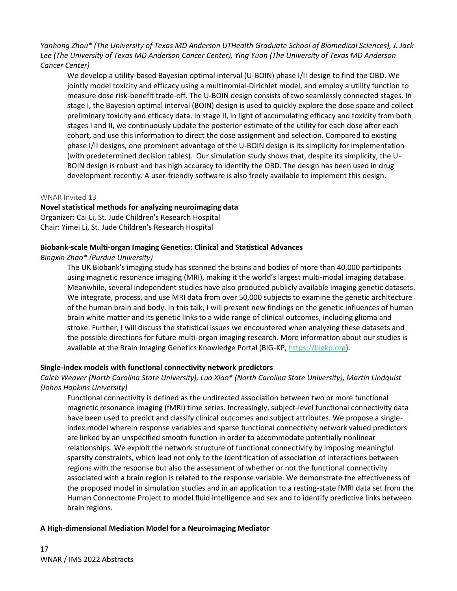*Yanhong Zhou\* (The University of Texas MD Anderson UTHealth Graduate School of Biomedical Sciences), J. Jack Lee (The University of Texas MD Anderson Cancer Center), Ying Yuan (The University of Texas MD Anderson Cancer Center)*

We develop a utility-based Bayesian optimal interval (U-BOIN) phase I/II design to find the OBD. We jointly model toxicity and efficacy using a multinomial-Dirichlet model, and employ a utility function to measure dose risk-benefit trade-off. The U-BOIN design consists of two seamlessly connected stages. In stage I, the Bayesian optimal interval (BOIN) design is used to quickly explore the dose space and collect preliminary toxicity and efficacy data. In stage II, in light of accumulating efficacy and toxicity from both stages I and II, we continuously update the posterior estimate of the utility for each dose after each cohort, and use this information to direct the dose assignment and selection. Compared to existing phase I/II designs, one prominent advantage of the U-BOIN design is its simplicity for implementation (with predetermined decision tables). Our simulation study shows that, despite its simplicity, the U-BOIN design is robust and has high accuracy to identify the OBD. The design has been used in drug development recently. A user-friendly software is also freely available to implement this design.

# WNAR Invited 13

# **Novel statistical methods for analyzing neuroimaging data**

Organizer: Cai Li, St. Jude Children's Research Hospital Chair: Yimei Li, St. Jude Children's Research Hospital

### **Biobank-scale Multi-organ Imaging Genetics: Clinical and Statistical Advances**

*Bingxin Zhao\* (Purdue University)*

The UK Biobank's imaging study has scanned the brains and bodies of more than 40,000 participants using magnetic resonance imaging (MRI), making it the world's largest multi-modal imaging database. Meanwhile, several independent studies have also produced publicly available imaging genetic datasets. We integrate, process, and use MRI data from over 50,000 subjects to examine the genetic architecture of the human brain and body. In this talk, I will present new findings on the genetic influences of human brain white matter and its genetic links to a wide range of clinical outcomes, including glioma and stroke. Further, I will discuss the statistical issues we encountered when analyzing these datasets and the possible directions for future multi-organ imaging research. More information about our studies is available at the Brain Imaging Genetics Knowledge Portal (BIG-KP[, https://bigkp.org\)](https://bigkp.org/).

# **Single-index models with functional connectivity network predictors**

*Caleb Weaver (North Carolina State University), Luo Xiao\* (North Carolina State University), Martin Lindquist (Johns Hopkins University)*

Functional connectivity is defined as the undirected association between two or more functional magnetic resonance imaging (fMRI) time series. Increasingly, subject-level functional connectivity data have been used to predict and classify clinical outcomes and subject attributes. We propose a singleindex model wherein response variables and sparse functional connectivity network valued predictors are linked by an unspecified smooth function in order to accommodate potentially nonlinear relationships. We exploit the network structure of functional connectivity by imposing meaningful sparsity constraints, which lead not only to the identification of association of interactions between regions with the response but also the assessment of whether or not the functional connectivity associated with a brain region is related to the response variable. We demonstrate the effectiveness of the proposed model in simulation studies and in an application to a resting-state fMRI data set from the Human Connectome Project to model fluid intelligence and sex and to identify predictive links between brain regions.

# **A High-dimensional Mediation Model for a Neuroimaging Mediator**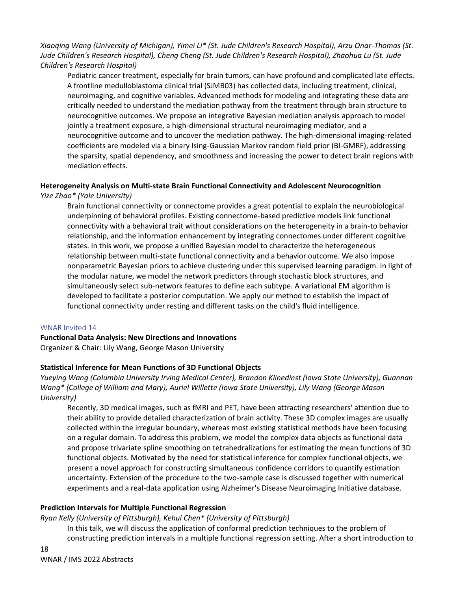*Xiaoqing Wang (University of Michigan), Yimei Li\* (St. Jude Children's Research Hospital), Arzu Onar-Thomas (St. Jude Children's Research Hospital), Cheng Cheng (St. Jude Children's Research Hospital), Zhaohua Lu (St. Jude Children's Research Hospital)*

Pediatric cancer treatment, especially for brain tumors, can have profound and complicated late effects. A frontline medulloblastoma clinical trial (SJMB03) has collected data, including treatment, clinical, neuroimaging, and cognitive variables. Advanced methods for modeling and integrating these data are critically needed to understand the mediation pathway from the treatment through brain structure to neurocognitive outcomes. We propose an integrative Bayesian mediation analysis approach to model jointly a treatment exposure, a high-dimensional structural neuroimaging mediator, and a neurocognitive outcome and to uncover the mediation pathway. The high-dimensional imaging-related coefficients are modeled via a binary Ising-Gaussian Markov random field prior (BI-GMRF), addressing the sparsity, spatial dependency, and smoothness and increasing the power to detect brain regions with mediation effects.

# **Heterogeneity Analysis on Multi-state Brain Functional Connectivity and Adolescent Neurocognition** *Yize Zhao\* (Yale University)*

Brain functional connectivity or connectome provides a great potential to explain the neurobiological underpinning of behavioral profiles. Existing connectome-based predictive models link functional connectivity with a behavioral trait without considerations on the heterogeneity in a brain-to behavior relationship, and the information enhancement by integrating connectomes under different cognitive states. In this work, we propose a unified Bayesian model to characterize the heterogeneous relationship between multi-state functional connectivity and a behavior outcome. We also impose nonparametric Bayesian priors to achieve clustering under this supervised learning paradigm. In light of the modular nature, we model the network predictors through stochastic block structures, and simultaneously select sub-network features to define each subtype. A variational EM algorithm is developed to facilitate a posterior computation. We apply our method to establish the impact of functional connectivity under resting and different tasks on the child's fluid intelligence.

# WNAR Invited 14

# **Functional Data Analysis: New Directions and Innovations**

Organizer & Chair: Lily Wang, George Mason University

# **Statistical Inference for Mean Functions of 3D Functional Objects**

*Yueying Wang (Columbia University Irving Medical Center), Brandon Klinedinst (Iowa State University), Guannan Wang\* (College of William and Mary), Auriel Willette (Iowa State University), Lily Wang (George Mason University)*

Recently, 3D medical images, such as fMRI and PET, have been attracting researchers' attention due to their ability to provide detailed characterization of brain activity. These 3D complex images are usually collected within the irregular boundary, whereas most existing statistical methods have been focusing on a regular domain. To address this problem, we model the complex data objects as functional data and propose trivariate spline smoothing on tetrahedralizations for estimating the mean functions of 3D functional objects. Motivated by the need for statistical inference for complex functional objects, we present a novel approach for constructing simultaneous confidence corridors to quantify estimation uncertainty. Extension of the procedure to the two-sample case is discussed together with numerical experiments and a real-data application using Alzheimer's Disease Neuroimaging Initiative database.

# **Prediction Intervals for Multiple Functional Regression**

*Ryan Kelly (University of Pittsburgh), Kehui Chen\* (University of Pittsburgh)*

In this talk, we will discuss the application of conformal prediction techniques to the problem of constructing prediction intervals in a multiple functional regression setting. After a short introduction to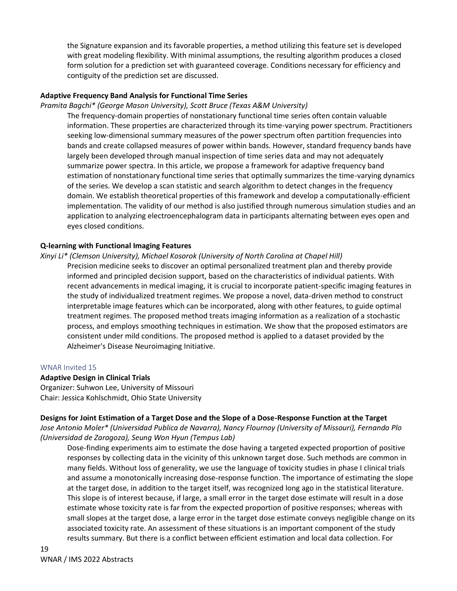the Signature expansion and its favorable properties, a method utilizing this feature set is developed with great modeling flexibility. With minimal assumptions, the resulting algorithm produces a closed form solution for a prediction set with guaranteed coverage. Conditions necessary for efficiency and contiguity of the prediction set are discussed.

# **Adaptive Frequency Band Analysis for Functional Time Series**

#### *Pramita Bagchi\* (George Mason University), Scott Bruce (Texas A&M University)*

The frequency-domain properties of nonstationary functional time series often contain valuable information. These properties are characterized through its time-varying power spectrum. Practitioners seeking low-dimensional summary measures of the power spectrum often partition frequencies into bands and create collapsed measures of power within bands. However, standard frequency bands have largely been developed through manual inspection of time series data and may not adequately summarize power spectra. In this article, we propose a framework for adaptive frequency band estimation of nonstationary functional time series that optimally summarizes the time-varying dynamics of the series. We develop a scan statistic and search algorithm to detect changes in the frequency domain. We establish theoretical properties of this framework and develop a computationally-efficient implementation. The validity of our method is also justified through numerous simulation studies and an application to analyzing electroencephalogram data in participants alternating between eyes open and eyes closed conditions.

#### **Q-learning with Functional Imaging Features**

#### *Xinyi Li\* (Clemson University), Michael Kosorok (University of North Carolina at Chapel Hill)*

Precision medicine seeks to discover an optimal personalized treatment plan and thereby provide informed and principled decision support, based on the characteristics of individual patients. With recent advancements in medical imaging, it is crucial to incorporate patient-specific imaging features in the study of individualized treatment regimes. We propose a novel, data-driven method to construct interpretable image features which can be incorporated, along with other features, to guide optimal treatment regimes. The proposed method treats imaging information as a realization of a stochastic process, and employs smoothing techniques in estimation. We show that the proposed estimators are consistent under mild conditions. The proposed method is applied to a dataset provided by the Alzheimer's Disease Neuroimaging Initiative.

#### WNAR Invited 15

#### **Adaptive Design in Clinical Trials**

Organizer: Suhwon Lee, University of Missouri Chair: Jessica Kohlschmidt, Ohio State University

#### **Designs for Joint Estimation of a Target Dose and the Slope of a Dose-Response Function at the Target**

*Jose Antonio Moler\* (Universidad Publica de Navarra), Nancy Flournoy (University of Missouri), Fernando Plo (Universidad de Zaragoza), Seung Won Hyun (Tempus Lab)*

Dose-finding experiments aim to estimate the dose having a targeted expected proportion of positive responses by collecting data in the vicinity of this unknown target dose. Such methods are common in many fields. Without loss of generality, we use the language of toxicity studies in phase I clinical trials and assume a monotonically increasing dose-response function. The importance of estimating the slope at the target dose, in addition to the target itself, was recognized long ago in the statistical literature. This slope is of interest because, if large, a small error in the target dose estimate will result in a dose estimate whose toxicity rate is far from the expected proportion of positive responses; whereas with small slopes at the target dose, a large error in the target dose estimate conveys negligible change on its associated toxicity rate. An assessment of these situations is an important component of the study results summary. But there is a conflict between efficient estimation and local data collection. For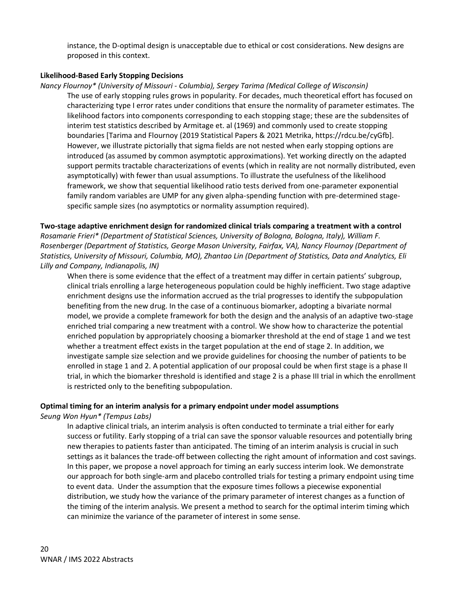instance, the D-optimal design is unacceptable due to ethical or cost considerations. New designs are proposed in this context.

# **Likelihood-Based Early Stopping Decisions**

*Nancy Flournoy\* (University of Missouri - Columbia), Sergey Tarima (Medical College of Wisconsin)* The use of early stopping rules grows in popularity. For decades, much theoretical effort has focused on characterizing type I error rates under conditions that ensure the normality of parameter estimates. The likelihood factors into components corresponding to each stopping stage; these are the subdensites of interim test statistics described by Armitage et. al (1969) and commonly used to create stopping boundaries [Tarima and Flournoy (2019 Statistical Papers & 2021 Metrika, https://rdcu.be/cyGfb]. However, we illustrate pictorially that sigma fields are not nested when early stopping options are introduced (as assumed by common asymptotic approximations). Yet working directly on the adapted support permits tractable characterizations of events (which in reality are not normally distributed, even asymptotically) with fewer than usual assumptions. To illustrate the usefulness of the likelihood framework, we show that sequential likelihood ratio tests derived from one-parameter exponential family random variables are UMP for any given alpha-spending function with pre-determined stagespecific sample sizes (no asymptotics or normality assumption required).

**Two-stage adaptive enrichment design for randomized clinical trials comparing a treatment with a control** *Rosamarie Frieri\* (Department of Statistical Sciences, University of Bologna, Bologna, Italy), William F. Rosenberger (Department of Statistics, George Mason University, Fairfax, VA), Nancy Flournoy (Department of Statistics, University of Missouri, Columbia, MO), Zhantao Lin (Department of Statistics, Data and Analytics, Eli Lilly and Company, Indianapolis, IN)*

When there is some evidence that the effect of a treatment may differ in certain patients' subgroup, clinical trials enrolling a large heterogeneous population could be highly inefficient. Two stage adaptive enrichment designs use the information accrued as the trial progresses to identify the subpopulation benefiting from the new drug. In the case of a continuous biomarker, adopting a bivariate normal model, we provide a complete framework for both the design and the analysis of an adaptive two-stage enriched trial comparing a new treatment with a control. We show how to characterize the potential enriched population by appropriately choosing a biomarker threshold at the end of stage 1 and we test whether a treatment effect exists in the target population at the end of stage 2. In addition, we investigate sample size selection and we provide guidelines for choosing the number of patients to be enrolled in stage 1 and 2. A potential application of our proposal could be when first stage is a phase II trial, in which the biomarker threshold is identified and stage 2 is a phase III trial in which the enrollment is restricted only to the benefiting subpopulation.

# **Optimal timing for an interim analysis for a primary endpoint under model assumptions**

*Seung Won Hyun\* (Tempus Labs)*

In adaptive clinical trials, an interim analysis is often conducted to terminate a trial either for early success or futility. Early stopping of a trial can save the sponsor valuable resources and potentially bring new therapies to patients faster than anticipated. The timing of an interim analysis is crucial in such settings as it balances the trade-off between collecting the right amount of information and cost savings. In this paper, we propose a novel approach for timing an early success interim look. We demonstrate our approach for both single-arm and placebo controlled trials for testing a primary endpoint using time to event data. Under the assumption that the exposure times follows a piecewise exponential distribution, we study how the variance of the primary parameter of interest changes as a function of the timing of the interim analysis. We present a method to search for the optimal interim timing which can minimize the variance of the parameter of interest in some sense.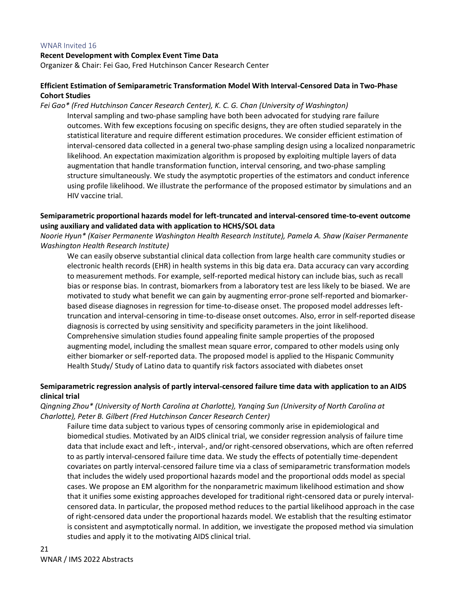#### WNAR Invited 16

#### **Recent Development with Complex Event Time Data**

Organizer & Chair: Fei Gao, Fred Hutchinson Cancer Research Center

# **Efficient Estimation of Semiparametric Transformation Model With Interval-Censored Data in Two-Phase Cohort Studies**

#### *Fei Gao\* (Fred Hutchinson Cancer Research Center), K. C. G. Chan (University of Washington)*

Interval sampling and two-phase sampling have both been advocated for studying rare failure outcomes. With few exceptions focusing on specific designs, they are often studied separately in the statistical literature and require different estimation procedures. We consider efficient estimation of interval-censored data collected in a general two-phase sampling design using a localized nonparametric likelihood. An expectation maximization algorithm is proposed by exploiting multiple layers of data augmentation that handle transformation function, interval censoring, and two-phase sampling structure simultaneously. We study the asymptotic properties of the estimators and conduct inference using profile likelihood. We illustrate the performance of the proposed estimator by simulations and an HIV vaccine trial.

# **Semiparametric proportional hazards model for left-truncated and interval-censored time-to-event outcome using auxiliary and validated data with application to HCHS/SOL data**

# *Noorie Hyun\* (Kaiser Permanente Washington Health Research Institute), Pamela A. Shaw (Kaiser Permanente Washington Health Research Institute)*

We can easily observe substantial clinical data collection from large health care community studies or electronic health records (EHR) in health systems in this big data era. Data accuracy can vary according to measurement methods. For example, self-reported medical history can include bias, such as recall bias or response bias. In contrast, biomarkers from a laboratory test are less likely to be biased. We are motivated to study what benefit we can gain by augmenting error-prone self-reported and biomarkerbased disease diagnoses in regression for time-to-disease onset. The proposed model addresses lefttruncation and interval-censoring in time-to-disease onset outcomes. Also, error in self-reported disease diagnosis is corrected by using sensitivity and specificity parameters in the joint likelihood. Comprehensive simulation studies found appealing finite sample properties of the proposed augmenting model, including the smallest mean square error, compared to other models using only either biomarker or self-reported data. The proposed model is applied to the Hispanic Community Health Study/ Study of Latino data to quantify risk factors associated with diabetes onset

# **Semiparametric regression analysis of partly interval-censored failure time data with application to an AIDS clinical trial**

*Qingning Zhou\* (University of North Carolina at Charlotte), Yanqing Sun (University of North Carolina at Charlotte), Peter B. Gilbert (Fred Hutchinson Cancer Research Center)*

Failure time data subject to various types of censoring commonly arise in epidemiological and biomedical studies. Motivated by an AIDS clinical trial, we consider regression analysis of failure time data that include exact and left-, interval-, and/or right-censored observations, which are often referred to as partly interval-censored failure time data. We study the effects of potentially time-dependent covariates on partly interval-censored failure time via a class of semiparametric transformation models that includes the widely used proportional hazards model and the proportional odds model as special cases. We propose an EM algorithm for the nonparametric maximum likelihood estimation and show that it unifies some existing approaches developed for traditional right-censored data or purely intervalcensored data. In particular, the proposed method reduces to the partial likelihood approach in the case of right-censored data under the proportional hazards model. We establish that the resulting estimator is consistent and asymptotically normal. In addition, we investigate the proposed method via simulation studies and apply it to the motivating AIDS clinical trial.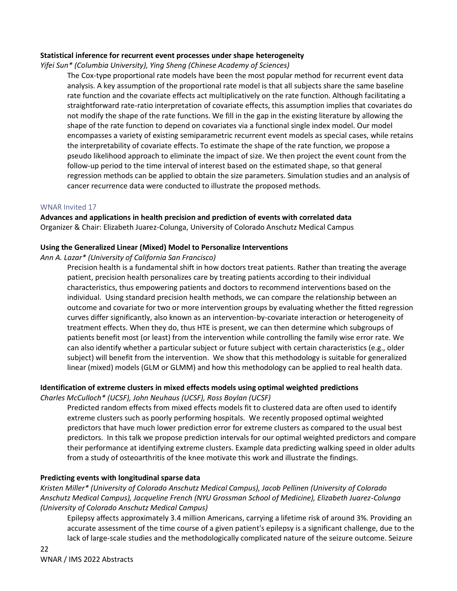# **Statistical inference for recurrent event processes under shape heterogeneity**

*Yifei Sun\* (Columbia University), Ying Sheng (Chinese Academy of Sciences)*

The Cox-type proportional rate models have been the most popular method for recurrent event data analysis. A key assumption of the proportional rate model is that all subjects share the same baseline rate function and the covariate effects act multiplicatively on the rate function. Although facilitating a straightforward rate-ratio interpretation of covariate effects, this assumption implies that covariates do not modify the shape of the rate functions. We fill in the gap in the existing literature by allowing the shape of the rate function to depend on covariates via a functional single index model. Our model encompasses a variety of existing semiparametric recurrent event models as special cases, while retains the interpretability of covariate effects. To estimate the shape of the rate function, we propose a pseudo likelihood approach to eliminate the impact of size. We then project the event count from the follow-up period to the time interval of interest based on the estimated shape, so that general regression methods can be applied to obtain the size parameters. Simulation studies and an analysis of cancer recurrence data were conducted to illustrate the proposed methods.

# WNAR Invited 17

**Advances and applications in health precision and prediction of events with correlated data** Organizer & Chair: Elizabeth Juarez-Colunga, University of Colorado Anschutz Medical Campus

# **Using the Generalized Linear (Mixed) Model to Personalize Interventions**

*Ann A. Lazar\* (University of California San Francisco)*

Precision health is a fundamental shift in how doctors treat patients. Rather than treating the average patient, precision health personalizes care by treating patients according to their individual characteristics, thus empowering patients and doctors to recommend interventions based on the individual. Using standard precision health methods, we can compare the relationship between an outcome and covariate for two or more intervention groups by evaluating whether the fitted regression curves differ significantly, also known as an intervention-by-covariate interaction or heterogeneity of treatment effects. When they do, thus HTE is present, we can then determine which subgroups of patients benefit most (or least) from the intervention while controlling the family wise error rate. We can also identify whether a particular subject or future subject with certain characteristics (e.g., older subject) will benefit from the intervention. We show that this methodology is suitable for generalized linear (mixed) models (GLM or GLMM) and how this methodology can be applied to real health data.

# **Identification of extreme clusters in mixed effects models using optimal weighted predictions**

*Charles McCulloch\* (UCSF), John Neuhaus (UCSF), Ross Boylan (UCSF)*

Predicted random effects from mixed effects models fit to clustered data are often used to identify extreme clusters such as poorly performing hospitals. We recently proposed optimal weighted predictors that have much lower prediction error for extreme clusters as compared to the usual best predictors. In this talk we propose prediction intervals for our optimal weighted predictors and compare their performance at identifying extreme clusters. Example data predicting walking speed in older adults from a study of osteoarthritis of the knee motivate this work and illustrate the findings.

# **Predicting events with longitudinal sparse data**

*Kristen Miller\* (University of Colorado Anschutz Medical Campus), Jacob Pellinen (University of Colorado Anschutz Medical Campus), Jacqueline French (NYU Grossman School of Medicine), Elizabeth Juarez-Colunga (University of Colorado Anschutz Medical Campus)*

Epilepsy affects approximately 3.4 million Americans, carrying a lifetime risk of around 3%. Providing an accurate assessment of the time course of a given patient's epilepsy is a significant challenge, due to the lack of large-scale studies and the methodologically complicated nature of the seizure outcome. Seizure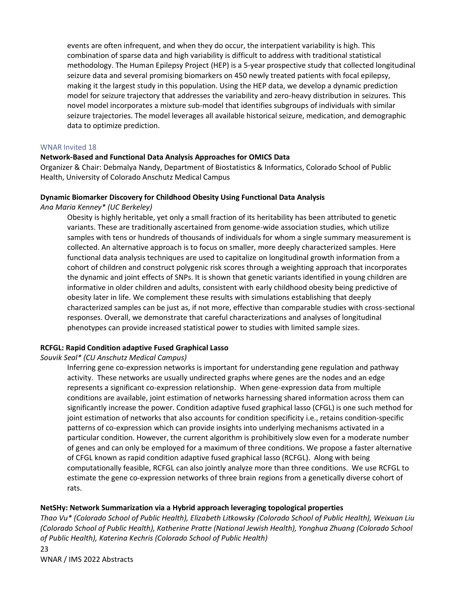events are often infrequent, and when they do occur, the interpatient variability is high. This combination of sparse data and high variability is difficult to address with traditional statistical methodology. The Human Epilepsy Project (HEP) is a 5-year prospective study that collected longitudinal seizure data and several promising biomarkers on 450 newly treated patients with focal epilepsy, making it the largest study in this population. Using the HEP data, we develop a dynamic prediction model for seizure trajectory that addresses the variability and zero-heavy distribution in seizures. This novel model incorporates a mixture sub-model that identifies subgroups of individuals with similar seizure trajectories. The model leverages all available historical seizure, medication, and demographic data to optimize prediction.

#### WNAR Invited 18

# **Network-Based and Functional Data Analysis Approaches for OMICS Data**

Organizer & Chair: Debmalya Nandy, Department of Biostatistics & Informatics, Colorado School of Public Health, University of Colorado Anschutz Medical Campus

### **Dynamic Biomarker Discovery for Childhood Obesity Using Functional Data Analysis**

*Ana Maria Kenney\* (UC Berkeley)*

Obesity is highly heritable, yet only a small fraction of its heritability has been attributed to genetic variants. These are traditionally ascertained from genome-wide association studies, which utilize samples with tens or hundreds of thousands of individuals for whom a single summary measurement is collected. An alternative approach is to focus on smaller, more deeply characterized samples. Here functional data analysis techniques are used to capitalize on longitudinal growth information from a cohort of children and construct polygenic risk scores through a weighting approach that incorporates the dynamic and joint effects of SNPs. It is shown that genetic variants identified in young children are informative in older children and adults, consistent with early childhood obesity being predictive of obesity later in life. We complement these results with simulations establishing that deeply characterized samples can be just as, if not more, effective than comparable studies with cross-sectional responses. Overall, we demonstrate that careful characterizations and analyses of longitudinal phenotypes can provide increased statistical power to studies with limited sample sizes.

# **RCFGL: Rapid Condition adaptive Fused Graphical Lasso**

*Souvik Seal\* (CU Anschutz Medical Campus)*

Inferring gene co-expression networks is important for understanding gene regulation and pathway activity. These networks are usually undirected graphs where genes are the nodes and an edge represents a significant co-expression relationship. When gene-expression data from multiple conditions are available, joint estimation of networks harnessing shared information across them can significantly increase the power. Condition adaptive fused graphical lasso (CFGL) is one such method for joint estimation of networks that also accounts for condition specificity i.e., retains condition-specific patterns of co-expression which can provide insights into underlying mechanisms activated in a particular condition. However, the current algorithm is prohibitively slow even for a moderate number of genes and can only be employed for a maximum of three conditions. We propose a faster alternative of CFGL known as rapid condition adaptive fused graphical lasso (RCFGL). Along with being computationally feasible, RCFGL can also jointly analyze more than three conditions. We use RCFGL to estimate the gene co-expression networks of three brain regions from a genetically diverse cohort of rats.

# **NetSHy: Network Summarization via a Hybrid approach leveraging topological properties**

*Thao Vu\* (Colorado School of Public Health), Elizabeth Litkowsky (Colorado School of Public Health), Weixuan Liu (Colorado School of Public Health), Katherine Pratte (National Jewish Health), Yonghua Zhuang (Colorado School of Public Health), Katerina Kechris (Colorado School of Public Health)*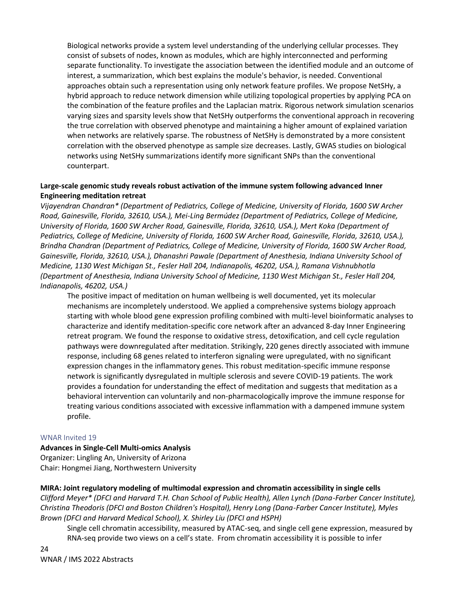Biological networks provide a system level understanding of the underlying cellular processes. They consist of subsets of nodes, known as modules, which are highly interconnected and performing separate functionality. To investigate the association between the identified module and an outcome of interest, a summarization, which best explains the module's behavior, is needed. Conventional approaches obtain such a representation using only network feature profiles. We propose NetSHy, a hybrid approach to reduce network dimension while utilizing topological properties by applying PCA on the combination of the feature profiles and the Laplacian matrix. Rigorous network simulation scenarios varying sizes and sparsity levels show that NetSHy outperforms the conventional approach in recovering the true correlation with observed phenotype and maintaining a higher amount of explained variation when networks are relatively sparse. The robustness of NetSHy is demonstrated by a more consistent correlation with the observed phenotype as sample size decreases. Lastly, GWAS studies on biological networks using NetSHy summarizations identify more significant SNPs than the conventional counterpart.

# **Large-scale genomic study reveals robust activation of the immune system following advanced Inner Engineering meditation retreat**

*Vijayendran Chandran\* (Department of Pediatrics, College of Medicine, University of Florida, 1600 SW Archer Road, Gainesville, Florida, 32610, USA.), Mei-Ling Bermúdez (Department of Pediatrics, College of Medicine, University of Florida, 1600 SW Archer Road, Gainesville, Florida, 32610, USA.), Mert Koka (Department of Pediatrics, College of Medicine, University of Florida, 1600 SW Archer Road, Gainesville, Florida, 32610, USA.), Brindha Chandran (Department of Pediatrics, College of Medicine, University of Florida, 1600 SW Archer Road, Gainesville, Florida, 32610, USA.), Dhanashri Pawale (Department of Anesthesia, Indiana University School of Medicine, 1130 West Michigan St., Fesler Hall 204, Indianapolis, 46202, USA.), Ramana Vishnubhotla (Department of Anesthesia, Indiana University School of Medicine, 1130 West Michigan St., Fesler Hall 204, Indianapolis, 46202, USA.)*

The positive impact of meditation on human wellbeing is well documented, yet its molecular mechanisms are incompletely understood. We applied a comprehensive systems biology approach starting with whole blood gene expression profiling combined with multi-level bioinformatic analyses to characterize and identify meditation-specific core network after an advanced 8-day Inner Engineering retreat program. We found the response to oxidative stress, detoxification, and cell cycle regulation pathways were downregulated after meditation. Strikingly, 220 genes directly associated with immune response, including 68 genes related to interferon signaling were upregulated, with no significant expression changes in the inflammatory genes. This robust meditation-specific immune response network is significantly dysregulated in multiple sclerosis and severe COVID-19 patients. The work provides a foundation for understanding the effect of meditation and suggests that meditation as a behavioral intervention can voluntarily and non-pharmacologically improve the immune response for treating various conditions associated with excessive inflammation with a dampened immune system profile.

# WNAR Invited 19

# **Advances in Single-Cell Multi-omics Analysis**

Organizer: Lingling An, University of Arizona Chair: Hongmei Jiang, Northwestern University

# **MIRA: Joint regulatory modeling of multimodal expression and chromatin accessibility in single cells**

*Clifford Meyer\* (DFCI and Harvard T.H. Chan School of Public Health), Allen Lynch (Dana-Farber Cancer Institute), Christina Theodoris (DFCI and Boston Children's Hospital), Henry Long (Dana-Farber Cancer Institute), Myles Brown (DFCI and Harvard Medical School), X. Shirley Liu (DFCI and HSPH)*

Single cell chromatin accessibility, measured by ATAC-seq, and single cell gene expression, measured by RNA-seq provide two views on a cell's state. From chromatin accessibility it is possible to infer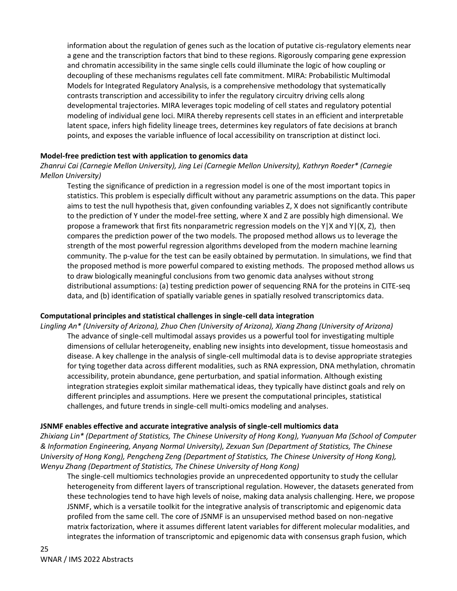information about the regulation of genes such as the location of putative cis-regulatory elements near a gene and the transcription factors that bind to these regions. Rigorously comparing gene expression and chromatin accessibility in the same single cells could illuminate the logic of how coupling or decoupling of these mechanisms regulates cell fate commitment. MIRA: Probabilistic Multimodal Models for Integrated Regulatory Analysis, is a comprehensive methodology that systematically contrasts transcription and accessibility to infer the regulatory circuitry driving cells along developmental trajectories. MIRA leverages topic modeling of cell states and regulatory potential modeling of individual gene loci. MIRA thereby represents cell states in an efficient and interpretable latent space, infers high fidelity lineage trees, determines key regulators of fate decisions at branch points, and exposes the variable influence of local accessibility on transcription at distinct loci.

# **Model-free prediction test with application to genomics data**

*Zhanrui Cai (Carnegie Mellon University), Jing Lei (Carnegie Mellon University), Kathryn Roeder\* (Carnegie Mellon University)*

Testing the significance of prediction in a regression model is one of the most important topics in statistics. This problem is especially difficult without any parametric assumptions on the data. This paper aims to test the null hypothesis that, given confounding variables Z, X does not significantly contribute to the prediction of Y under the model-free setting, where X and Z are possibly high dimensional. We propose a framework that first fits nonparametric regression models on the Y|X and Y|(X, Z), then compares the prediction power of the two models. The proposed method allows us to leverage the strength of the most powerful regression algorithms developed from the modern machine learning community. The p-value for the test can be easily obtained by permutation. In simulations, we find that the proposed method is more powerful compared to existing methods. The proposed method allows us to draw biologically meaningful conclusions from two genomic data analyses without strong distributional assumptions: (a) testing prediction power of sequencing RNA for the proteins in CITE-seq data, and (b) identification of spatially variable genes in spatially resolved transcriptomics data.

# **Computational principles and statistical challenges in single-cell data integration**

*Lingling An\* (University of Arizona), Zhuo Chen (University of Arizona), Xiang Zhang (University of Arizona)* The advance of single-cell multimodal assays provides us a powerful tool for investigating multiple dimensions of cellular heterogeneity, enabling new insights into development, tissue homeostasis and disease. A key challenge in the analysis of single-cell multimodal data is to devise appropriate strategies for tying together data across different modalities, such as RNA expression, DNA methylation, chromatin accessibility, protein abundance, gene perturbation, and spatial information. Although existing integration strategies exploit similar mathematical ideas, they typically have distinct goals and rely on different principles and assumptions. Here we present the computational principles, statistical challenges, and future trends in single-cell multi-omics modeling and analyses.

#### **JSNMF enables effective and accurate integrative analysis of single-cell multiomics data**

*Zhixiang Lin\* (Department of Statistics, The Chinese University of Hong Kong), Yuanyuan Ma (School of Computer & Information Engineering, Anyang Normal University), Zexuan Sun (Department of Statistics, The Chinese University of Hong Kong), Pengcheng Zeng (Department of Statistics, The Chinese University of Hong Kong), Wenyu Zhang (Department of Statistics, The Chinese University of Hong Kong)*

The single-cell multiomics technologies provide an unprecedented opportunity to study the cellular heterogeneity from different layers of transcriptional regulation. However, the datasets generated from these technologies tend to have high levels of noise, making data analysis challenging. Here, we propose JSNMF, which is a versatile toolkit for the integrative analysis of transcriptomic and epigenomic data profiled from the same cell. The core of JSNMF is an unsupervised method based on non-negative matrix factorization, where it assumes different latent variables for different molecular modalities, and integrates the information of transcriptomic and epigenomic data with consensus graph fusion, which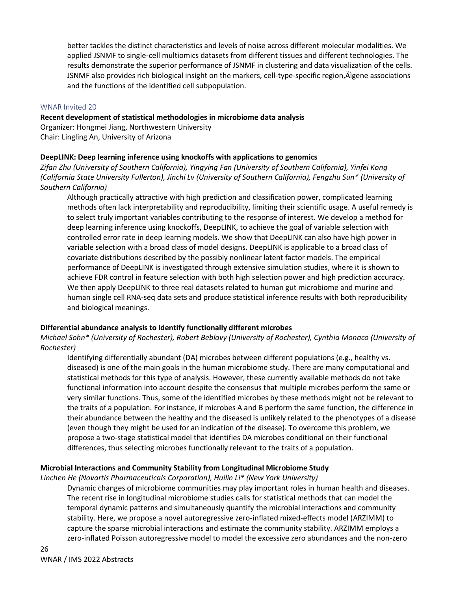better tackles the distinct characteristics and levels of noise across different molecular modalities. We applied JSNMF to single-cell multiomics datasets from different tissues and different technologies. The results demonstrate the superior performance of JSNMF in clustering and data visualization of the cells. JSNMF also provides rich biological insight on the markers, cell-type-specific region, Aigene associations and the functions of the identified cell subpopulation.

### WNAR Invited 20

### **Recent development of statistical methodologies in microbiome data analysis**

Organizer: Hongmei Jiang, Northwestern University Chair: Lingling An, University of Arizona

### **DeepLINK: Deep learning inference using knockoffs with applications to genomics**

*Zifan Zhu (University of Southern California), Yingying Fan (University of Southern California), Yinfei Kong (California State University Fullerton), Jinchi Lv (University of Southern California), Fengzhu Sun\* (University of Southern California)*

Although practically attractive with high prediction and classification power, complicated learning methods often lack interpretability and reproducibility, limiting their scientific usage. A useful remedy is to select truly important variables contributing to the response of interest. We develop a method for deep learning inference using knockoffs, DeepLINK, to achieve the goal of variable selection with controlled error rate in deep learning models. We show that DeepLINK can also have high power in variable selection with a broad class of model designs. DeepLINK is applicable to a broad class of covariate distributions described by the possibly nonlinear latent factor models. The empirical performance of DeepLINK is investigated through extensive simulation studies, where it is shown to achieve FDR control in feature selection with both high selection power and high prediction accuracy. We then apply DeepLINK to three real datasets related to human gut microbiome and murine and human single cell RNA-seq data sets and produce statistical inference results with both reproducibility and biological meanings.

# **Differential abundance analysis to identify functionally different microbes**

*Michael Sohn\* (University of Rochester), Robert Beblavy (University of Rochester), Cynthia Monaco (University of Rochester)*

Identifying differentially abundant (DA) microbes between different populations (e.g., healthy vs. diseased) is one of the main goals in the human microbiome study. There are many computational and statistical methods for this type of analysis. However, these currently available methods do not take functional information into account despite the consensus that multiple microbes perform the same or very similar functions. Thus, some of the identified microbes by these methods might not be relevant to the traits of a population. For instance, if microbes A and B perform the same function, the difference in their abundance between the healthy and the diseased is unlikely related to the phenotypes of a disease (even though they might be used for an indication of the disease). To overcome this problem, we propose a two-stage statistical model that identifies DA microbes conditional on their functional differences, thus selecting microbes functionally relevant to the traits of a population.

# **Microbial Interactions and Community Stability from Longitudinal Microbiome Study**

*Linchen He (Novartis Pharmaceuticals Corporation), Huilin Li\* (New York University)*

Dynamic changes of microbiome communities may play important roles in human health and diseases. The recent rise in longitudinal microbiome studies calls for statistical methods that can model the temporal dynamic patterns and simultaneously quantify the microbial interactions and community stability. Here, we propose a novel autoregressive zero-inflated mixed-effects model (ARZIMM) to capture the sparse microbial interactions and estimate the community stability. ARZIMM employs a zero-inflated Poisson autoregressive model to model the excessive zero abundances and the non-zero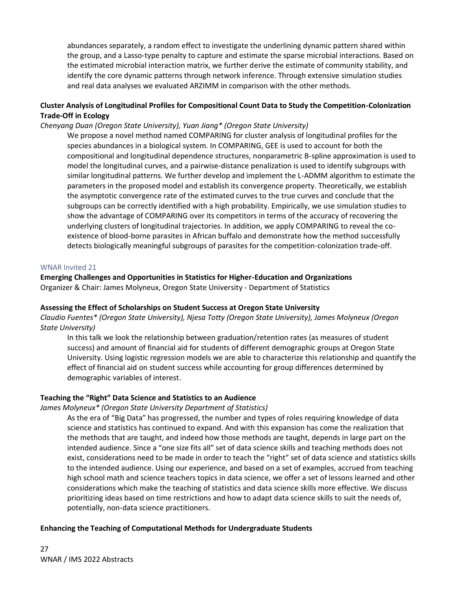abundances separately, a random effect to investigate the underlining dynamic pattern shared within the group, and a Lasso-type penalty to capture and estimate the sparse microbial interactions. Based on the estimated microbial interaction matrix, we further derive the estimate of community stability, and identify the core dynamic patterns through network inference. Through extensive simulation studies and real data analyses we evaluated ARZIMM in comparison with the other methods.

# **Cluster Analysis of Longitudinal Profiles for Compositional Count Data to Study the Competition-Colonization Trade-Off in Ecology**

# *Chenyang Duan (Oregon State University), Yuan Jiang\* (Oregon State University)*

We propose a novel method named COMPARING for cluster analysis of longitudinal profiles for the species abundances in a biological system. In COMPARING, GEE is used to account for both the compositional and longitudinal dependence structures, nonparametric B-spline approximation is used to model the longitudinal curves, and a pairwise-distance penalization is used to identify subgroups with similar longitudinal patterns. We further develop and implement the L-ADMM algorithm to estimate the parameters in the proposed model and establish its convergence property. Theoretically, we establish the asymptotic convergence rate of the estimated curves to the true curves and conclude that the subgroups can be correctly identified with a high probability. Empirically, we use simulation studies to show the advantage of COMPARING over its competitors in terms of the accuracy of recovering the underlying clusters of longitudinal trajectories. In addition, we apply COMPARING to reveal the coexistence of blood-borne parasites in African buffalo and demonstrate how the method successfully detects biologically meaningful subgroups of parasites for the competition-colonization trade-off.

#### WNAR Invited 21

# **Emerging Challenges and Opportunities in Statistics for Higher-Education and Organizations** Organizer & Chair: James Molyneux, Oregon State University - Department of Statistics

#### **Assessing the Effect of Scholarships on Student Success at Oregon State University**

*Claudio Fuentes\* (Oregon State University), Njesa Totty (Oregon State University), James Molyneux (Oregon State University)*

In this talk we look the relationship between graduation/retention rates (as measures of student success) and amount of financial aid for students of different demographic groups at Oregon State University. Using logistic regression models we are able to characterize this relationship and quantify the effect of financial aid on student success while accounting for group differences determined by demographic variables of interest.

# **Teaching the "Right" Data Science and Statistics to an Audience**

#### *James Molyneux\* (Oregon State University Department of Statistics)*

As the era of "Big Data" has progressed, the number and types of roles requiring knowledge of data science and statistics has continued to expand. And with this expansion has come the realization that the methods that are taught, and indeed how those methods are taught, depends in large part on the intended audience. Since a "one size fits all" set of data science skills and teaching methods does not exist, considerations need to be made in order to teach the "right" set of data science and statistics skills to the intended audience. Using our experience, and based on a set of examples, accrued from teaching high school math and science teachers topics in data science, we offer a set of lessons learned and other considerations which make the teaching of statistics and data science skills more effective. We discuss prioritizing ideas based on time restrictions and how to adapt data science skills to suit the needs of, potentially, non-data science practitioners.

# **Enhancing the Teaching of Computational Methods for Undergraduate Students**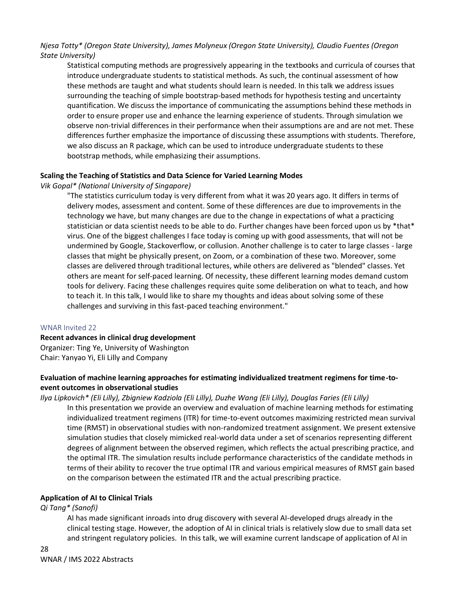# *Njesa Totty\* (Oregon State University), James Molyneux (Oregon State University), Claudio Fuentes (Oregon State University)*

Statistical computing methods are progressively appearing in the textbooks and curricula of courses that introduce undergraduate students to statistical methods. As such, the continual assessment of how these methods are taught and what students should learn is needed. In this talk we address issues surrounding the teaching of simple bootstrap-based methods for hypothesis testing and uncertainty quantification. We discuss the importance of communicating the assumptions behind these methods in order to ensure proper use and enhance the learning experience of students. Through simulation we observe non-trivial differences in their performance when their assumptions are and are not met. These differences further emphasize the importance of discussing these assumptions with students. Therefore, we also discuss an R package, which can be used to introduce undergraduate students to these bootstrap methods, while emphasizing their assumptions.

# **Scaling the Teaching of Statistics and Data Science for Varied Learning Modes**

# *Vik Gopal\* (National University of Singapore)*

"The statistics curriculum today is very different from what it was 20 years ago. It differs in terms of delivery modes, assessment and content. Some of these differences are due to improvements in the technology we have, but many changes are due to the change in expectations of what a practicing statistician or data scientist needs to be able to do. Further changes have been forced upon us by \*that\* virus. One of the biggest challenges I face today is coming up with good assessments, that will not be undermined by Google, Stackoverflow, or collusion. Another challenge is to cater to large classes - large classes that might be physically present, on Zoom, or a combination of these two. Moreover, some classes are delivered through traditional lectures, while others are delivered as "blended" classes. Yet others are meant for self-paced learning. Of necessity, these different learning modes demand custom tools for delivery. Facing these challenges requires quite some deliberation on what to teach, and how to teach it. In this talk, I would like to share my thoughts and ideas about solving some of these challenges and surviving in this fast-paced teaching environment."

# WNAR Invited 22

# **Recent advances in clinical drug development**

Organizer: Ting Ye, University of Washington Chair: Yanyao Yi, Eli Lilly and Company

# **Evaluation of machine learning approaches for estimating individualized treatment regimens for time-toevent outcomes in observational studies**

# *Ilya Lipkovich\* (Eli Lilly), Zbigniew Kadziola (Eli Lilly), Duzhe Wang (Eli Lilly), Douglas Faries (Eli Lilly)*

In this presentation we provide an overview and evaluation of machine learning methods for estimating individualized treatment regimens (ITR) for time-to-event outcomes maximizing restricted mean survival time (RMST) in observational studies with non-randomized treatment assignment. We present extensive simulation studies that closely mimicked real-world data under a set of scenarios representing different degrees of alignment between the observed regimen, which reflects the actual prescribing practice, and the optimal ITR. The simulation results include performance characteristics of the candidate methods in terms of their ability to recover the true optimal ITR and various empirical measures of RMST gain based on the comparison between the estimated ITR and the actual prescribing practice.

# **Application of AI to Clinical Trials**

# *Qi Tang\* (Sanofi)*

AI has made significant inroads into drug discovery with several AI-developed drugs already in the clinical testing stage. However, the adoption of AI in clinical trials is relatively slow due to small data set and stringent regulatory policies. In this talk, we will examine current landscape of application of AI in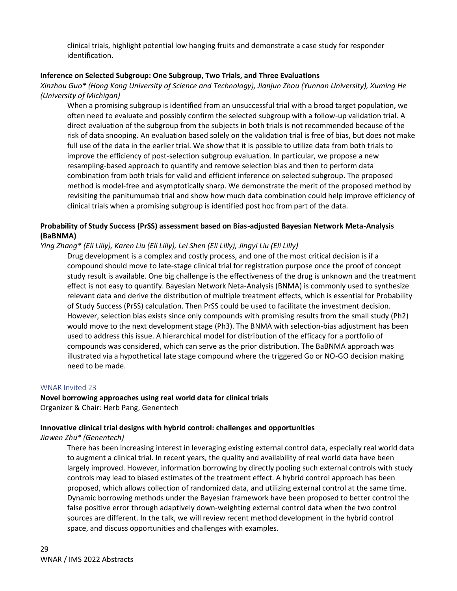clinical trials, highlight potential low hanging fruits and demonstrate a case study for responder identification.

# **Inference on Selected Subgroup: One Subgroup, Two Trials, and Three Evaluations**

*Xinzhou Guo\* (Hong Kong University of Science and Technology), Jianjun Zhou (Yunnan University), Xuming He (University of Michigan)*

When a promising subgroup is identified from an unsuccessful trial with a broad target population, we often need to evaluate and possibly confirm the selected subgroup with a follow-up validation trial. A direct evaluation of the subgroup from the subjects in both trials is not recommended because of the risk of data snooping. An evaluation based solely on the validation trial is free of bias, but does not make full use of the data in the earlier trial. We show that it is possible to utilize data from both trials to improve the efficiency of post-selection subgroup evaluation. In particular, we propose a new resampling-based approach to quantify and remove selection bias and then to perform data combination from both trials for valid and efficient inference on selected subgroup. The proposed method is model-free and asymptotically sharp. We demonstrate the merit of the proposed method by revisiting the panitumumab trial and show how much data combination could help improve efficiency of clinical trials when a promising subgroup is identified post hoc from part of the data.

# **Probability of Study Success (PrSS) assessment based on Bias-adjusted Bayesian Network Meta-Analysis (BaBNMA)**

# *Ying Zhang\* (Eli Lilly), Karen Liu (Eli Lilly), Lei Shen (Eli Lilly), Jingyi Liu (Eli Lilly)*

Drug development is a complex and costly process, and one of the most critical decision is if a compound should move to late-stage clinical trial for registration purpose once the proof of concept study result is available. One big challenge is the effectiveness of the drug is unknown and the treatment effect is not easy to quantify. Bayesian Network Neta-Analysis (BNMA) is commonly used to synthesize relevant data and derive the distribution of multiple treatment effects, which is essential for Probability of Study Success (PrSS) calculation. Then PrSS could be used to facilitate the investment decision. However, selection bias exists since only compounds with promising results from the small study (Ph2) would move to the next development stage (Ph3). The BNMA with selection-bias adjustment has been used to address this issue. A hierarchical model for distribution of the efficacy for a portfolio of compounds was considered, which can serve as the prior distribution. The BaBNMA approach was illustrated via a hypothetical late stage compound where the triggered Go or NO-GO decision making need to be made.

#### WNAR Invited 23

**Novel borrowing approaches using real world data for clinical trials** Organizer & Chair: Herb Pang, Genentech

# **Innovative clinical trial designs with hybrid control: challenges and opportunities**

# *Jiawen Zhu\* (Genentech)*

There has been increasing interest in leveraging existing external control data, especially real world data to augment a clinical trial. In recent years, the quality and availability of real world data have been largely improved. However, information borrowing by directly pooling such external controls with study controls may lead to biased estimates of the treatment effect. A hybrid control approach has been proposed, which allows collection of randomized data, and utilizing external control at the same time. Dynamic borrowing methods under the Bayesian framework have been proposed to better control the false positive error through adaptively down-weighting external control data when the two control sources are different. In the talk, we will review recent method development in the hybrid control space, and discuss opportunities and challenges with examples.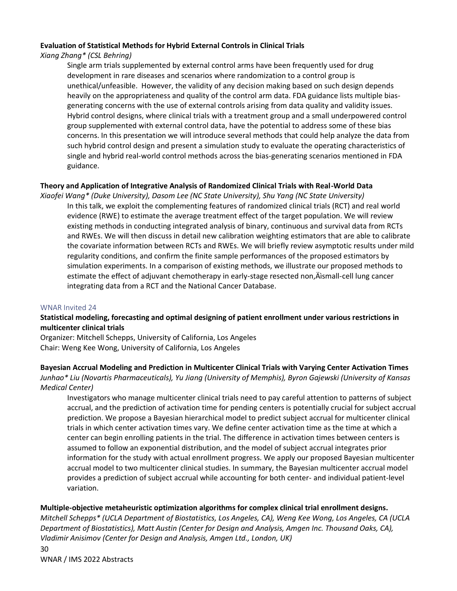# **Evaluation of Statistical Methods for Hybrid External Controls in Clinical Trials**

# *Xiang Zhang\* (CSL Behring)*

Single arm trials supplemented by external control arms have been frequently used for drug development in rare diseases and scenarios where randomization to a control group is unethical/unfeasible. However, the validity of any decision making based on such design depends heavily on the appropriateness and quality of the control arm data. FDA guidance lists multiple biasgenerating concerns with the use of external controls arising from data quality and validity issues. Hybrid control designs, where clinical trials with a treatment group and a small underpowered control group supplemented with external control data, have the potential to address some of these bias concerns. In this presentation we will introduce several methods that could help analyze the data from such hybrid control design and present a simulation study to evaluate the operating characteristics of single and hybrid real-world control methods across the bias-generating scenarios mentioned in FDA guidance.

# **Theory and Application of Integrative Analysis of Randomized Clinical Trials with Real-World Data**

*Xiaofei Wang\* (Duke University), Dasom Lee (NC State University), Shu Yang (NC State University)* In this talk, we exploit the complementing features of randomized clinical trials (RCT) and real world evidence (RWE) to estimate the average treatment effect of the target population. We will review existing methods in conducting integrated analysis of binary, continuous and survival data from RCTs and RWEs. We will then discuss in detail new calibration weighting estimators that are able to calibrate the covariate information between RCTs and RWEs. We will briefly review asymptotic results under mild regularity conditions, and confirm the finite sample performances of the proposed estimators by simulation experiments. In a comparison of existing methods, we illustrate our proposed methods to estimate the effect of adjuvant chemotherapy in early-stage resected non, Asmall-cell lung cancer integrating data from a RCT and the National Cancer Database.

# WNAR Invited 24

# **Statistical modeling, forecasting and optimal designing of patient enrollment under various restrictions in multicenter clinical trials**

Organizer: Mitchell Schepps, University of California, Los Angeles Chair: Weng Kee Wong, University of California, Los Angeles

# **Bayesian Accrual Modeling and Prediction in Multicenter Clinical Trials with Varying Center Activation Times** *Junhao\* Liu (Novartis Pharmaceuticals), Yu Jiang (University of Memphis), Byron Gajewski (University of Kansas Medical Center)*

Investigators who manage multicenter clinical trials need to pay careful attention to patterns of subject accrual, and the prediction of activation time for pending centers is potentially crucial for subject accrual prediction. We propose a Bayesian hierarchical model to predict subject accrual for multicenter clinical trials in which center activation times vary. We define center activation time as the time at which a center can begin enrolling patients in the trial. The difference in activation times between centers is assumed to follow an exponential distribution, and the model of subject accrual integrates prior information for the study with actual enrollment progress. We apply our proposed Bayesian multicenter accrual model to two multicenter clinical studies. In summary, the Bayesian multicenter accrual model provides a prediction of subject accrual while accounting for both center- and individual patient-level variation.

# **Multiple-objective metaheuristic optimization algorithms for complex clinical trial enrollment designs.**

*Mitchell Schepps\* (UCLA Department of Biostatistics, Los Angeles, CA), Weng Kee Wong, Los Angeles, CA (UCLA Department of Biostatistics), Matt Austin (Center for Design and Analysis, Amgen Inc. Thousand Oaks, CA), Vladimir Anisimov (Center for Design and Analysis, Amgen Ltd., London, UK)*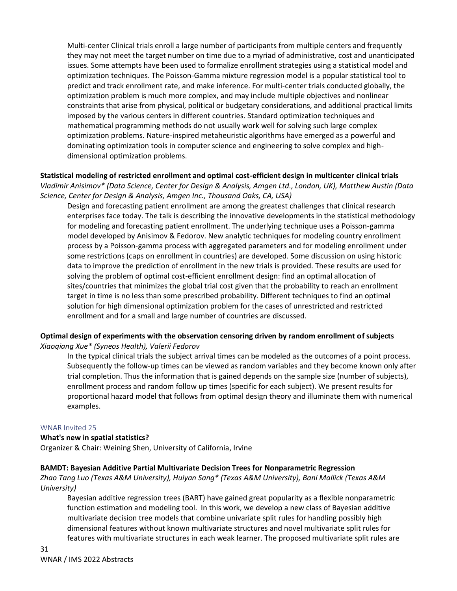Multi-center Clinical trials enroll a large number of participants from multiple centers and frequently they may not meet the target number on time due to a myriad of administrative, cost and unanticipated issues. Some attempts have been used to formalize enrollment strategies using a statistical model and optimization techniques. The Poisson-Gamma mixture regression model is a popular statistical tool to predict and track enrollment rate, and make inference. For multi-center trials conducted globally, the optimization problem is much more complex, and may include multiple objectives and nonlinear constraints that arise from physical, political or budgetary considerations, and additional practical limits imposed by the various centers in different countries. Standard optimization techniques and mathematical programming methods do not usually work well for solving such large complex optimization problems. Nature-inspired metaheuristic algorithms have emerged as a powerful and dominating optimization tools in computer science and engineering to solve complex and highdimensional optimization problems.

**Statistical modeling of restricted enrollment and optimal cost-efficient design in multicenter clinical trials** *Vladimir Anisimov\* (Data Science, Center for Design & Analysis, Amgen Ltd., London, UK), Matthew Austin (Data Science, Center for Design & Analysis, Amgen Inc., Thousand Oaks, CA, USA)*

Design and forecasting patient enrollment are among the greatest challenges that clinical research enterprises face today. The talk is describing the innovative developments in the statistical methodology for modeling and forecasting patient enrollment. The underlying technique uses a Poisson-gamma model developed by Anisimov & Fedorov. New analytic techniques for modeling country enrollment process by a Poisson-gamma process with aggregated parameters and for modeling enrollment under some restrictions (caps on enrollment in countries) are developed. Some discussion on using historic data to improve the prediction of enrollment in the new trials is provided. These results are used for solving the problem of optimal cost-efficient enrollment design: find an optimal allocation of sites/countries that minimizes the global trial cost given that the probability to reach an enrollment target in time is no less than some prescribed probability. Different techniques to find an optimal solution for high dimensional optimization problem for the cases of unrestricted and restricted enrollment and for a small and large number of countries are discussed.

### **Optimal design of experiments with the observation censoring driven by random enrollment of subjects** *Xiaoqiang Xue\* (Syneos Health), Valerii Fedorov*

In the typical clinical trials the subject arrival times can be modeled as the outcomes of a point process. Subsequently the follow-up times can be viewed as random variables and they become known only after trial completion. Thus the information that is gained depends on the sample size (number of subjects), enrollment process and random follow up times (specific for each subject). We present results for proportional hazard model that follows from optimal design theory and illuminate them with numerical examples.

# WNAR Invited 25

# **What's new in spatial statistics?**

Organizer & Chair: Weining Shen, University of California, Irvine

# **BAMDT: Bayesian Additive Partial Multivariate Decision Trees for Nonparametric Regression**

*Zhao Tang Luo (Texas A&M University), Huiyan Sang\* (Texas A&M University), Bani Mallick (Texas A&M University)*

Bayesian additive regression trees (BART) have gained great popularity as a flexible nonparametric function estimation and modeling tool. In this work, we develop a new class of Bayesian additive multivariate decision tree models that combine univariate split rules for handling possibly high dimensional features without known multivariate structures and novel multivariate split rules for features with multivariate structures in each weak learner. The proposed multivariate split rules are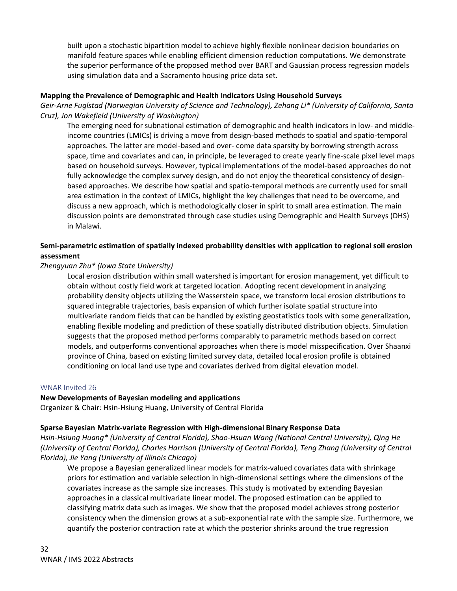built upon a stochastic bipartition model to achieve highly flexible nonlinear decision boundaries on manifold feature spaces while enabling efficient dimension reduction computations. We demonstrate the superior performance of the proposed method over BART and Gaussian process regression models using simulation data and a Sacramento housing price data set.

### **Mapping the Prevalence of Demographic and Health Indicators Using Household Surveys**

*Geir-Arne Fuglstad (Norwegian University of Science and Technology), Zehang Li\* (University of California, Santa Cruz), Jon Wakefield (University of Washington)*

The emerging need for subnational estimation of demographic and health indicators in low- and middleincome countries (LMICs) is driving a move from design-based methods to spatial and spatio-temporal approaches. The latter are model-based and over- come data sparsity by borrowing strength across space, time and covariates and can, in principle, be leveraged to create yearly fine-scale pixel level maps based on household surveys. However, typical implementations of the model-based approaches do not fully acknowledge the complex survey design, and do not enjoy the theoretical consistency of designbased approaches. We describe how spatial and spatio-temporal methods are currently used for small area estimation in the context of LMICs, highlight the key challenges that need to be overcome, and discuss a new approach, which is methodologically closer in spirit to small area estimation. The main discussion points are demonstrated through case studies using Demographic and Health Surveys (DHS) in Malawi.

# **Semi-parametric estimation of spatially indexed probability densities with application to regional soil erosion assessment**

#### *Zhengyuan Zhu\* (Iowa State University)*

Local erosion distribution within small watershed is important for erosion management, yet difficult to obtain without costly field work at targeted location. Adopting recent development in analyzing probability density objects utilizing the Wasserstein space, we transform local erosion distributions to squared integrable trajectories, basis expansion of which further isolate spatial structure into multivariate random fields that can be handled by existing geostatistics tools with some generalization, enabling flexible modeling and prediction of these spatially distributed distribution objects. Simulation suggests that the proposed method performs comparably to parametric methods based on correct models, and outperforms conventional approaches when there is model misspecification. Over Shaanxi province of China, based on existing limited survey data, detailed local erosion profile is obtained conditioning on local land use type and covariates derived from digital elevation model.

#### WNAR Invited 26

# **New Developments of Bayesian modeling and applications**

Organizer & Chair: Hsin-Hsiung Huang, University of Central Florida

# **Sparse Bayesian Matrix-variate Regression with High-dimensional Binary Response Data**

*Hsin-Hsiung Huang\* (University of Central Florida), Shao-Hsuan Wang (National Central University), Qing He (University of Central Florida), Charles Harrison (University of Central Florida), Teng Zhang (University of Central Florida), Jie Yang (University of Illinois Chicago)*

We propose a Bayesian generalized linear models for matrix-valued covariates data with shrinkage priors for estimation and variable selection in high-dimensional settings where the dimensions of the covariates increase as the sample size increases. This study is motivated by extending Bayesian approaches in a classical multivariate linear model. The proposed estimation can be applied to classifying matrix data such as images. We show that the proposed model achieves strong posterior consistency when the dimension grows at a sub-exponential rate with the sample size. Furthermore, we quantify the posterior contraction rate at which the posterior shrinks around the true regression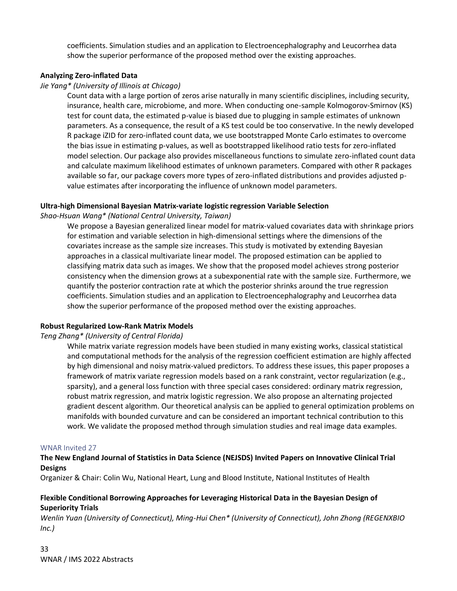coefficients. Simulation studies and an application to Electroencephalography and Leucorrhea data show the superior performance of the proposed method over the existing approaches.

# **Analyzing Zero-inflated Data**

# *Jie Yang\* (University of Illinois at Chicago)*

Count data with a large portion of zeros arise naturally in many scientific disciplines, including security, insurance, health care, microbiome, and more. When conducting one-sample Kolmogorov-Smirnov (KS) test for count data, the estimated p-value is biased due to plugging in sample estimates of unknown parameters. As a consequence, the result of a KS test could be too conservative. In the newly developed R package iZID for zero-inflated count data, we use bootstrapped Monte Carlo estimates to overcome the bias issue in estimating p-values, as well as bootstrapped likelihood ratio tests for zero-inflated model selection. Our package also provides miscellaneous functions to simulate zero-inflated count data and calculate maximum likelihood estimates of unknown parameters. Compared with other R packages available so far, our package covers more types of zero-inflated distributions and provides adjusted pvalue estimates after incorporating the influence of unknown model parameters.

# **Ultra-high Dimensional Bayesian Matrix-variate logistic regression Variable Selection**

# *Shao-Hsuan Wang\* (National Central University, Taiwan)*

We propose a Bayesian generalized linear model for matrix-valued covariates data with shrinkage priors for estimation and variable selection in high-dimensional settings where the dimensions of the covariates increase as the sample size increases. This study is motivated by extending Bayesian approaches in a classical multivariate linear model. The proposed estimation can be applied to classifying matrix data such as images. We show that the proposed model achieves strong posterior consistency when the dimension grows at a subexponential rate with the sample size. Furthermore, we quantify the posterior contraction rate at which the posterior shrinks around the true regression coefficients. Simulation studies and an application to Electroencephalography and Leucorrhea data show the superior performance of the proposed method over the existing approaches.

# **Robust Regularized Low-Rank Matrix Models**

# *Teng Zhang\* (University of Central Florida)*

While matrix variate regression models have been studied in many existing works, classical statistical and computational methods for the analysis of the regression coefficient estimation are highly affected by high dimensional and noisy matrix-valued predictors. To address these issues, this paper proposes a framework of matrix variate regression models based on a rank constraint, vector regularization (e.g., sparsity), and a general loss function with three special cases considered: ordinary matrix regression, robust matrix regression, and matrix logistic regression. We also propose an alternating projected gradient descent algorithm. Our theoretical analysis can be applied to general optimization problems on manifolds with bounded curvature and can be considered an important technical contribution to this work. We validate the proposed method through simulation studies and real image data examples.

# WNAR Invited 27

# **The New England Journal of Statistics in Data Science (NEJSDS) Invited Papers on Innovative Clinical Trial Designs**

Organizer & Chair: Colin Wu, National Heart, Lung and Blood Institute, National Institutes of Health

# **Flexible Conditional Borrowing Approaches for Leveraging Historical Data in the Bayesian Design of Superiority Trials**

*Wenlin Yuan (University of Connecticut), Ming-Hui Chen\* (University of Connecticut), John Zhong (REGENXBIO Inc.)*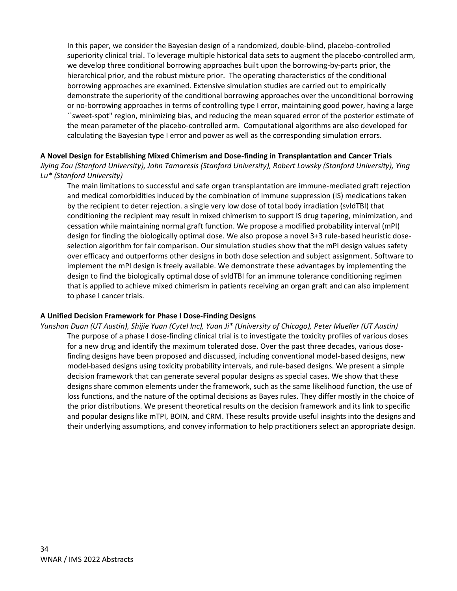In this paper, we consider the Bayesian design of a randomized, double-blind, placebo-controlled superiority clinical trial. To leverage multiple historical data sets to augment the placebo-controlled arm, we develop three conditional borrowing approaches built upon the borrowing-by-parts prior, the hierarchical prior, and the robust mixture prior. The operating characteristics of the conditional borrowing approaches are examined. Extensive simulation studies are carried out to empirically demonstrate the superiority of the conditional borrowing approaches over the unconditional borrowing or no-borrowing approaches in terms of controlling type I error, maintaining good power, having a large ``sweet-spot" region, minimizing bias, and reducing the mean squared error of the posterior estimate of the mean parameter of the placebo-controlled arm. Computational algorithms are also developed for calculating the Bayesian type I error and power as well as the corresponding simulation errors.

**A Novel Design for Establishing Mixed Chimerism and Dose-finding in Transplantation and Cancer Trials** *Jiying Zou (Stanford University), John Tamaresis (Stanford University), Robert Lowsky (Stanford University), Ying Lu\* (Stanford University)*

The main limitations to successful and safe organ transplantation are immune-mediated graft rejection and medical comorbidities induced by the combination of immune suppression (IS) medications taken by the recipient to deter rejection. a single very low dose of total body irradiation (svldTBI) that conditioning the recipient may result in mixed chimerism to support IS drug tapering, minimization, and cessation while maintaining normal graft function. We propose a modified probability interval (mPI) design for finding the biologically optimal dose. We also propose a novel 3+3 rule-based heuristic doseselection algorithm for fair comparison. Our simulation studies show that the mPI design values safety over efficacy and outperforms other designs in both dose selection and subject assignment. Software to implement the mPI design is freely available. We demonstrate these advantages by implementing the design to find the biologically optimal dose of svldTBI for an immune tolerance conditioning regimen that is applied to achieve mixed chimerism in patients receiving an organ graft and can also implement to phase I cancer trials.

# **A Unified Decision Framework for Phase I Dose-Finding Designs**

*Yunshan Duan (UT Austin), Shijie Yuan (Cytel Inc), Yuan Ji\* (University of Chicago), Peter Mueller (UT Austin)* The purpose of a phase I dose-finding clinical trial is to investigate the toxicity profiles of various doses for a new drug and identify the maximum tolerated dose. Over the past three decades, various dosefinding designs have been proposed and discussed, including conventional model-based designs, new model-based designs using toxicity probability intervals, and rule-based designs. We present a simple decision framework that can generate several popular designs as special cases. We show that these designs share common elements under the framework, such as the same likelihood function, the use of loss functions, and the nature of the optimal decisions as Bayes rules. They differ mostly in the choice of the prior distributions. We present theoretical results on the decision framework and its link to specific and popular designs like mTPI, BOIN, and CRM. These results provide useful insights into the designs and their underlying assumptions, and convey information to help practitioners select an appropriate design.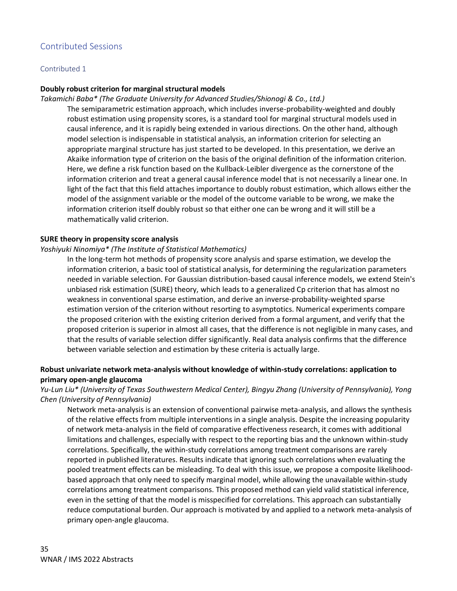# Contributed Sessions

#### Contributed 1

#### **Doubly robust criterion for marginal structural models**

#### *Takamichi Baba\* (The Graduate University for Advanced Studies/Shionogi & Co., Ltd.)*

The semiparametric estimation approach, which includes inverse-probability-weighted and doubly robust estimation using propensity scores, is a standard tool for marginal structural models used in causal inference, and it is rapidly being extended in various directions. On the other hand, although model selection is indispensable in statistical analysis, an information criterion for selecting an appropriate marginal structure has just started to be developed. In this presentation, we derive an Akaike information type of criterion on the basis of the original definition of the information criterion. Here, we define a risk function based on the Kullback-Leibler divergence as the cornerstone of the information criterion and treat a general causal inference model that is not necessarily a linear one. In light of the fact that this field attaches importance to doubly robust estimation, which allows either the model of the assignment variable or the model of the outcome variable to be wrong, we make the information criterion itself doubly robust so that either one can be wrong and it will still be a mathematically valid criterion.

#### **SURE theory in propensity score analysis**

#### *Yoshiyuki Ninomiya\* (The Institute of Statistical Mathematics)*

In the long-term hot methods of propensity score analysis and sparse estimation, we develop the information criterion, a basic tool of statistical analysis, for determining the regularization parameters needed in variable selection. For Gaussian distribution-based causal inference models, we extend Stein's unbiased risk estimation (SURE) theory, which leads to a generalized Cp criterion that has almost no weakness in conventional sparse estimation, and derive an inverse-probability-weighted sparse estimation version of the criterion without resorting to asymptotics. Numerical experiments compare the proposed criterion with the existing criterion derived from a formal argument, and verify that the proposed criterion is superior in almost all cases, that the difference is not negligible in many cases, and that the results of variable selection differ significantly. Real data analysis confirms that the difference between variable selection and estimation by these criteria is actually large.

# **Robust univariate network meta-analysis without knowledge of within-study correlations: application to primary open-angle glaucoma**

# *Yu-Lun Liu\* (University of Texas Southwestern Medical Center), Bingyu Zhang (University of Pennsylvania), Yong Chen (University of Pennsylvania)*

Network meta-analysis is an extension of conventional pairwise meta-analysis, and allows the synthesis of the relative effects from multiple interventions in a single analysis. Despite the increasing popularity of network meta-analysis in the field of comparative effectiveness research, it comes with additional limitations and challenges, especially with respect to the reporting bias and the unknown within-study correlations. Specifically, the within-study correlations among treatment comparisons are rarely reported in published literatures. Results indicate that ignoring such correlations when evaluating the pooled treatment effects can be misleading. To deal with this issue, we propose a composite likelihoodbased approach that only need to specify marginal model, while allowing the unavailable within-study correlations among treatment comparisons. This proposed method can yield valid statistical inference, even in the setting of that the model is misspecified for correlations. This approach can substantially reduce computational burden. Our approach is motivated by and applied to a network meta-analysis of primary open-angle glaucoma.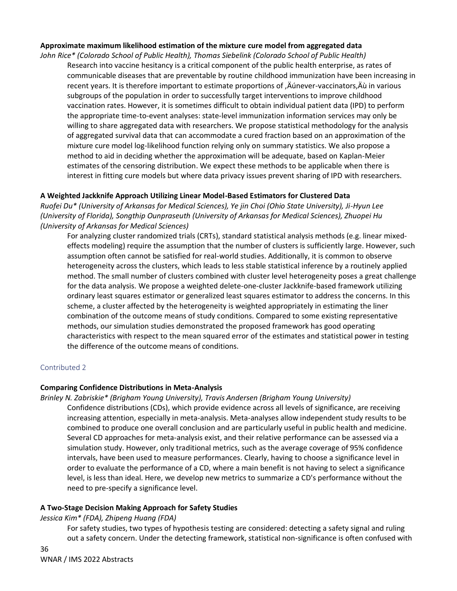# **Approximate maximum likelihood estimation of the mixture cure model from aggregated data**

*John Rice\* (Colorado School of Public Health), Thomas Siebelink (Colorado School of Public Health)*

Research into vaccine hesitancy is a critical component of the public health enterprise, as rates of communicable diseases that are preventable by routine childhood immunization have been increasing in recent years. It is therefore important to estimate proportions of , A unever-vaccinators, A ù in various subgroups of the population in order to successfully target interventions to improve childhood vaccination rates. However, it is sometimes difficult to obtain individual patient data (IPD) to perform the appropriate time-to-event analyses: state-level immunization information services may only be willing to share aggregated data with researchers. We propose statistical methodology for the analysis of aggregated survival data that can accommodate a cured fraction based on an approximation of the mixture cure model log-likelihood function relying only on summary statistics. We also propose a method to aid in deciding whether the approximation will be adequate, based on Kaplan-Meier estimates of the censoring distribution. We expect these methods to be applicable when there is interest in fitting cure models but where data privacy issues prevent sharing of IPD with researchers.

### **A Weighted Jackknife Approach Utilizing Linear Model-Based Estimators for Clustered Data**

*Ruofei Du\* (University of Arkansas for Medical Sciences), Ye jin Choi (Ohio State University), Ji-Hyun Lee (University of Florida), Songthip Ounpraseuth (University of Arkansas for Medical Sciences), Zhuopei Hu (University of Arkansas for Medical Sciences)*

For analyzing cluster randomized trials (CRTs), standard statistical analysis methods (e.g. linear mixedeffects modeling) require the assumption that the number of clusters is sufficiently large. However, such assumption often cannot be satisfied for real-world studies. Additionally, it is common to observe heterogeneity across the clusters, which leads to less stable statistical inference by a routinely applied method. The small number of clusters combined with cluster level heterogeneity poses a great challenge for the data analysis. We propose a weighted delete-one-cluster Jackknife-based framework utilizing ordinary least squares estimator or generalized least squares estimator to address the concerns. In this scheme, a cluster affected by the heterogeneity is weighted appropriately in estimating the liner combination of the outcome means of study conditions. Compared to some existing representative methods, our simulation studies demonstrated the proposed framework has good operating characteristics with respect to the mean squared error of the estimates and statistical power in testing the difference of the outcome means of conditions.

#### Contributed 2

#### **Comparing Confidence Distributions in Meta-Analysis**

*Brinley N. Zabriskie\* (Brigham Young University), Travis Andersen (Brigham Young University)*

Confidence distributions (CDs), which provide evidence across all levels of significance, are receiving increasing attention, especially in meta-analysis. Meta-analyses allow independent study results to be combined to produce one overall conclusion and are particularly useful in public health and medicine. Several CD approaches for meta-analysis exist, and their relative performance can be assessed via a simulation study. However, only traditional metrics, such as the average coverage of 95% confidence intervals, have been used to measure performances. Clearly, having to choose a significance level in order to evaluate the performance of a CD, where a main benefit is not having to select a significance level, is less than ideal. Here, we develop new metrics to summarize a CD's performance without the need to pre-specify a significance level.

#### **A Two-Stage Decision Making Approach for Safety Studies**

#### *Jessica Kim\* (FDA), Zhipeng Huang (FDA)*

For safety studies, two types of hypothesis testing are considered: detecting a safety signal and ruling out a safety concern. Under the detecting framework, statistical non-significance is often confused with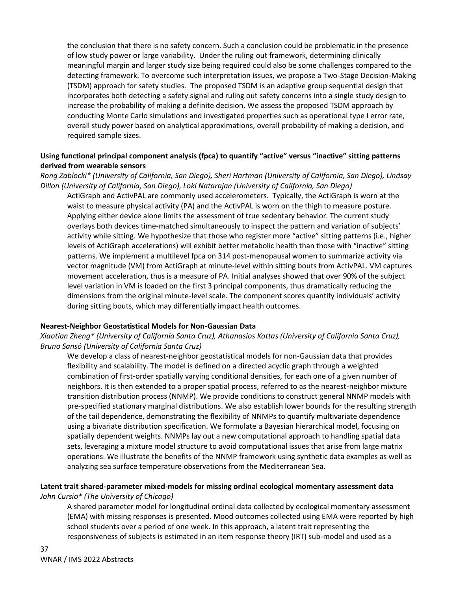the conclusion that there is no safety concern. Such a conclusion could be problematic in the presence of low study power or large variability. Under the ruling out framework, determining clinically meaningful margin and larger study size being required could also be some challenges compared to the detecting framework. To overcome such interpretation issues, we propose a Two-Stage Decision-Making (TSDM) approach for safety studies. The proposed TSDM is an adaptive group sequential design that incorporates both detecting a safety signal and ruling out safety concerns into a single study design to increase the probability of making a definite decision. We assess the proposed TSDM approach by conducting Monte Carlo simulations and investigated properties such as operational type I error rate, overall study power based on analytical approximations, overall probability of making a decision, and required sample sizes.

# **Using functional principal component analysis (fpca) to quantify "active" versus "inactive" sitting patterns derived from wearable sensors**

*Rong Zablocki\* (University of California, San Diego), Sheri Hartman (University of California, San Diego), Lindsay Dillon (University of California, San Diego), Loki Natarajan (University of California, San Diego)*

ActiGraph and ActivPAL are commonly used accelerometers. Typically, the ActiGraph is worn at the waist to measure physical activity (PA) and the ActivPAL is worn on the thigh to measure posture. Applying either device alone limits the assessment of true sedentary behavior. The current study overlays both devices time-matched simultaneously to inspect the pattern and variation of subjects' activity while sitting. We hypothesize that those who register more "active" sitting patterns (i.e., higher levels of ActiGraph accelerations) will exhibit better metabolic health than those with "inactive" sitting patterns. We implement a multilevel fpca on 314 post-menopausal women to summarize activity via vector magnitude (VM) from ActiGraph at minute-level within sitting bouts from ActivPAL. VM captures movement acceleration, thus is a measure of PA. Initial analyses showed that over 90% of the subject level variation in VM is loaded on the first 3 principal components, thus dramatically reducing the dimensions from the original minute-level scale. The component scores quantify individuals' activity during sitting bouts, which may differentially impact health outcomes.

# **Nearest-Neighbor Geostatistical Models for Non-Gaussian Data**

*Xiaotian Zheng\* (University of California Santa Cruz), Athanasios Kottas (University of California Santa Cruz), Bruno Sansó (University of California Santa Cruz)*

We develop a class of nearest-neighbor geostatistical models for non-Gaussian data that provides flexibility and scalability. The model is defined on a directed acyclic graph through a weighted combination of first-order spatially varying conditional densities, for each one of a given number of neighbors. It is then extended to a proper spatial process, referred to as the nearest-neighbor mixture transition distribution process (NNMP). We provide conditions to construct general NNMP models with pre-specified stationary marginal distributions. We also establish lower bounds for the resulting strength of the tail dependence, demonstrating the flexibility of NNMPs to quantify multivariate dependence using a bivariate distribution specification. We formulate a Bayesian hierarchical model, focusing on spatially dependent weights. NNMPs lay out a new computational approach to handling spatial data sets, leveraging a mixture model structure to avoid computational issues that arise from large matrix operations. We illustrate the benefits of the NNMP framework using synthetic data examples as well as analyzing sea surface temperature observations from the Mediterranean Sea.

# **Latent trait shared-parameter mixed-models for missing ordinal ecological momentary assessment data** *John Cursio\* (The University of Chicago)*

A shared parameter model for longitudinal ordinal data collected by ecological momentary assessment (EMA) with missing responses is presented. Mood outcomes collected using EMA were reported by high school students over a period of one week. In this approach, a latent trait representing the responsiveness of subjects is estimated in an item response theory (IRT) sub-model and used as a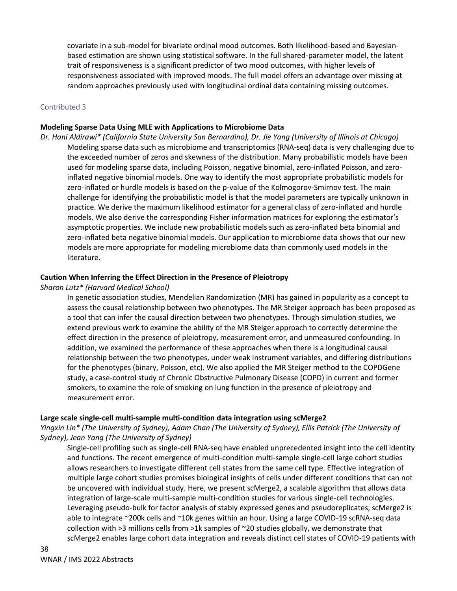covariate in a sub-model for bivariate ordinal mood outcomes. Both likelihood-based and Bayesianbased estimation are shown using statistical software. In the full shared-parameter model, the latent trait of responsiveness is a significant predictor of two mood outcomes, with higher levels of responsiveness associated with improved moods. The full model offers an advantage over missing at random approaches previously used with longitudinal ordinal data containing missing outcomes.

### Contributed 3

### **Modeling Sparse Data Using MLE with Applications to Microbiome Data**

*Dr. Hani Aldirawi\* (California State University San Bernardino), Dr. Jie Yang (University of Illinois at Chicago)* Modeling sparse data such as microbiome and transcriptomics (RNA-seq) data is very challenging due to the exceeded number of zeros and skewness of the distribution. Many probabilistic models have been used for modeling sparse data, including Poisson, negative binomial, zero-inflated Poisson, and zeroinflated negative binomial models. One way to identify the most appropriate probabilistic models for zero-inflated or hurdle models is based on the p-value of the Kolmogorov-Smirnov test. The main challenge for identifying the probabilistic model is that the model parameters are typically unknown in practice. We derive the maximum likelihood estimator for a general class of zero-inflated and hurdle models. We also derive the corresponding Fisher information matrices for exploring the estimator's asymptotic properties. We include new probabilistic models such as zero-inflated beta binomial and zero-inflated beta negative binomial models. Our application to microbiome data shows that our new models are more appropriate for modeling microbiome data than commonly used models in the literature.

### **Caution When Inferring the Effect Direction in the Presence of Pleiotropy**

#### *Sharon Lutz\* (Harvard Medical School)*

In genetic association studies, Mendelian Randomization (MR) has gained in popularity as a concept to assess the causal relationship between two phenotypes. The MR Steiger approach has been proposed as a tool that can infer the causal direction between two phenotypes. Through simulation studies, we extend previous work to examine the ability of the MR Steiger approach to correctly determine the effect direction in the presence of pleiotropy, measurement error, and unmeasured confounding. In addition, we examined the performance of these approaches when there is a longitudinal causal relationship between the two phenotypes, under weak instrument variables, and differing distributions for the phenotypes (binary, Poisson, etc). We also applied the MR Steiger method to the COPDGene study, a case-control study of Chronic Obstructive Pulmonary Disease (COPD) in current and former smokers, to examine the role of smoking on lung function in the presence of pleiotropy and measurement error.

#### **Large scale single-cell multi-sample multi-condition data integration using scMerge2**

*Yingxin Lin\* (The University of Sydney), Adam Chan (The University of Sydney), Ellis Patrick (The University of Sydney), Jean Yang (The University of Sydney)*

Single-cell profiling such as single-cell RNA-seq have enabled unprecedented insight into the cell identity and functions. The recent emergence of multi-condition multi-sample single-cell large cohort studies allows researchers to investigate different cell states from the same cell type. Effective integration of multiple large cohort studies promises biological insights of cells under different conditions that can not be uncovered with individual study. Here, we present scMerge2, a scalable algorithm that allows data integration of large-scale multi-sample multi-condition studies for various single-cell technologies. Leveraging pseudo-bulk for factor analysis of stably expressed genes and pseudoreplicates, scMerge2 is able to integrate ~200k cells and ~10k genes within an hour. Using a large COVID-19 scRNA-seq data collection with >3 millions cells from >1k samples of ~20 studies globally, we demonstrate that scMerge2 enables large cohort data integration and reveals distinct cell states of COVID-19 patients with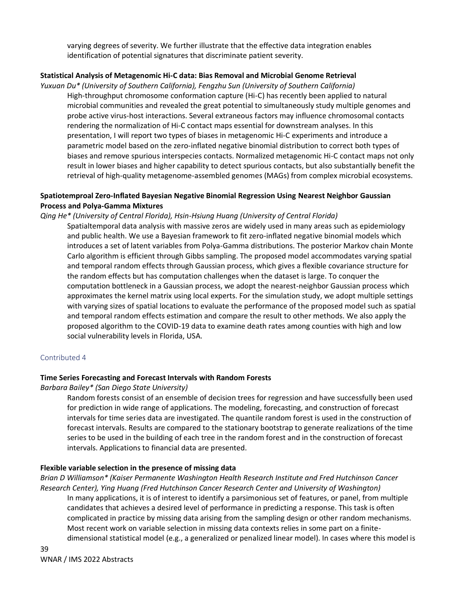varying degrees of severity. We further illustrate that the effective data integration enables identification of potential signatures that discriminate patient severity.

# **Statistical Analysis of Metagenomic Hi-C data: Bias Removal and Microbial Genome Retrieval**

*Yuxuan Du\* (University of Southern California), Fengzhu Sun (University of Southern California)* High-throughput chromosome conformation capture (Hi-C) has recently been applied to natural microbial communities and revealed the great potential to simultaneously study multiple genomes and probe active virus-host interactions. Several extraneous factors may influence chromosomal contacts rendering the normalization of Hi-C contact maps essential for downstream analyses. In this presentation, I will report two types of biases in metagenomic Hi-C experiments and introduce a parametric model based on the zero-inflated negative binomial distribution to correct both types of biases and remove spurious interspecies contacts. Normalized metagenomic Hi-C contact maps not only result in lower biases and higher capability to detect spurious contacts, but also substantially benefit the retrieval of high-quality metagenome-assembled genomes (MAGs) from complex microbial ecosystems.

# **Spatiotemproal Zero-Inflated Bayesian Negative Binomial Regression Using Nearest Neighbor Gaussian Process and Polya-Gamma Mixtures**

*Qing He\* (University of Central Florida), Hsin-Hsiung Huang (University of Central Florida)*

Spatialtemporal data analysis with massive zeros are widely used in many areas such as epidemiology and public health. We use a Bayesian framework to fit zero-inflated negative binomial models which introduces a set of latent variables from Polya-Gamma distributions. The posterior Markov chain Monte Carlo algorithm is efficient through Gibbs sampling. The proposed model accommodates varying spatial and temporal random effects through Gaussian process, which gives a flexible covariance structure for the random effects but has computation challenges when the dataset is large. To conquer the computation bottleneck in a Gaussian process, we adopt the nearest-neighbor Gaussian process which approximates the kernel matrix using local experts. For the simulation study, we adopt multiple settings with varying sizes of spatial locations to evaluate the performance of the proposed model such as spatial and temporal random effects estimation and compare the result to other methods. We also apply the proposed algorithm to the COVID-19 data to examine death rates among counties with high and low social vulnerability levels in Florida, USA.

# Contributed 4

# **Time Series Forecasting and Forecast Intervals with Random Forests**

# *Barbara Bailey\* (San Diego State University)*

Random forests consist of an ensemble of decision trees for regression and have successfully been used for prediction in wide range of applications. The modeling, forecasting, and construction of forecast intervals for time series data are investigated. The quantile random forest is used in the construction of forecast intervals. Results are compared to the stationary bootstrap to generate realizations of the time series to be used in the building of each tree in the random forest and in the construction of forecast intervals. Applications to financial data are presented.

# **Flexible variable selection in the presence of missing data**

*Brian D Williamson\* (Kaiser Permanente Washington Health Research Institute and Fred Hutchinson Cancer Research Center), Ying Huang (Fred Hutchinson Cancer Research Center and University of Washington)*

In many applications, it is of interest to identify a parsimonious set of features, or panel, from multiple candidates that achieves a desired level of performance in predicting a response. This task is often complicated in practice by missing data arising from the sampling design or other random mechanisms. Most recent work on variable selection in missing data contexts relies in some part on a finitedimensional statistical model (e.g., a generalized or penalized linear model). In cases where this model is

39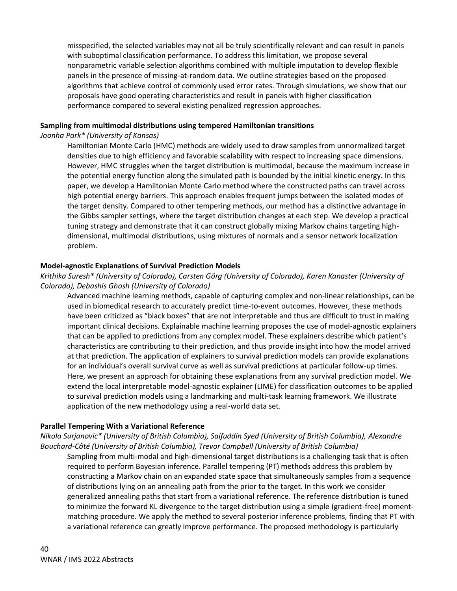misspecified, the selected variables may not all be truly scientifically relevant and can result in panels with suboptimal classification performance. To address this limitation, we propose several nonparametric variable selection algorithms combined with multiple imputation to develop flexible panels in the presence of missing-at-random data. We outline strategies based on the proposed algorithms that achieve control of commonly used error rates. Through simulations, we show that our proposals have good operating characteristics and result in panels with higher classification performance compared to several existing penalized regression approaches.

### **Sampling from multimodal distributions using tempered Hamiltonian transitions**

*Joonha Park\* (University of Kansas)*

Hamiltonian Monte Carlo (HMC) methods are widely used to draw samples from unnormalized target densities due to high efficiency and favorable scalability with respect to increasing space dimensions. However, HMC struggles when the target distribution is multimodal, because the maximum increase in the potential energy function along the simulated path is bounded by the initial kinetic energy. In this paper, we develop a Hamiltonian Monte Carlo method where the constructed paths can travel across high potential energy barriers. This approach enables frequent jumps between the isolated modes of the target density. Compared to other tempering methods, our method has a distinctive advantage in the Gibbs sampler settings, where the target distribution changes at each step. We develop a practical tuning strategy and demonstrate that it can construct globally mixing Markov chains targeting highdimensional, multimodal distributions, using mixtures of normals and a sensor network localization problem.

# **Model-agnostic Explanations of Survival Prediction Models**

# *Krithika Suresh\* (University of Colorado), Carsten Görg (University of Colorado), Karen Kanaster (University of Colorado), Debashis Ghosh (University of Colorado)*

Advanced machine learning methods, capable of capturing complex and non-linear relationships, can be used in biomedical research to accurately predict time-to-event outcomes. However, these methods have been criticized as "black boxes" that are not interpretable and thus are difficult to trust in making important clinical decisions. Explainable machine learning proposes the use of model-agnostic explainers that can be applied to predictions from any complex model. These explainers describe which patient's characteristics are contributing to their prediction, and thus provide insight into how the model arrived at that prediction. The application of explainers to survival prediction models can provide explanations for an individual's overall survival curve as well as survival predictions at particular follow-up times. Here, we present an approach for obtaining these explanations from any survival prediction model. We extend the local interpretable model-agnostic explainer (LIME) for classification outcomes to be applied to survival prediction models using a landmarking and multi-task learning framework. We illustrate application of the new methodology using a real-world data set.

# **Parallel Tempering With a Variational Reference**

*Nikola Surjanovic\* (University of British Columbia), Saifuddin Syed (University of British Columbia), Alexandre Bouchard-Côté (University of British Columbia), Trevor Campbell (University of British Columbia)*

Sampling from multi-modal and high-dimensional target distributions is a challenging task that is often required to perform Bayesian inference. Parallel tempering (PT) methods address this problem by constructing a Markov chain on an expanded state space that simultaneously samples from a sequence of distributions lying on an annealing path from the prior to the target. In this work we consider generalized annealing paths that start from a variational reference. The reference distribution is tuned to minimize the forward KL divergence to the target distribution using a simple (gradient-free) momentmatching procedure. We apply the method to several posterior inference problems, finding that PT with a variational reference can greatly improve performance. The proposed methodology is particularly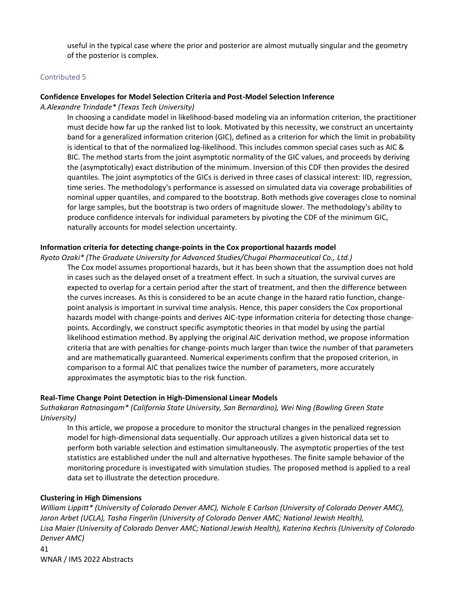useful in the typical case where the prior and posterior are almost mutually singular and the geometry of the posterior is complex.

#### Contributed 5

### **Confidence Envelopes for Model Selection Criteria and Post-Model Selection Inference**

*A.Alexandre Trindade\* (Texas Tech University)*

In choosing a candidate model in likelihood-based modeling via an information criterion, the practitioner must decide how far up the ranked list to look. Motivated by this necessity, we construct an uncertainty band for a generalized information criterion (GIC), defined as a criterion for which the limit in probability is identical to that of the normalized log-likelihood. This includes common special cases such as AIC & BIC. The method starts from the joint asymptotic normality of the GIC values, and proceeds by deriving the (asymptotically) exact distribution of the minimum. Inversion of this CDF then provides the desired quantiles. The joint asymptotics of the GICs is derived in three cases of classical interest: IID, regression, time series. The methodology's performance is assessed on simulated data via coverage probabilities of nominal upper quantiles, and compared to the bootstrap. Both methods give coverages close to nominal for large samples, but the bootstrap is two orders of magnitude slower. The methodology's ability to produce confidence intervals for individual parameters by pivoting the CDF of the minimum GIC, naturally accounts for model selection uncertainty.

### **Information criteria for detecting change-points in the Cox proportional hazards model**

*Ryoto Ozaki\* (The Graduate University for Advanced Studies/Chugai Pharmaceutical Co., Ltd.)*

The Cox model assumes proportional hazards, but it has been shown that the assumption does not hold in cases such as the delayed onset of a treatment effect. In such a situation, the survival curves are expected to overlap for a certain period after the start of treatment, and then the difference between the curves increases. As this is considered to be an acute change in the hazard ratio function, changepoint analysis is important in survival time analysis. Hence, this paper considers the Cox proportional hazards model with change-points and derives AIC-type information criteria for detecting those changepoints. Accordingly, we construct specific asymptotic theories in that model by using the partial likelihood estimation method. By applying the original AIC derivation method, we propose information criteria that are with penalties for change-points much larger than twice the number of that parameters and are mathematically guaranteed. Numerical experiments confirm that the proposed criterion, in comparison to a formal AIC that penalizes twice the number of parameters, more accurately approximates the asymptotic bias to the risk function.

#### **Real-Time Change Point Detection in High-Dimensional Linear Models**

*Suthakaran Ratnasingam\* (California State University, San Bernardino), Wei Ning (Bowling Green State University)*

In this article, we propose a procedure to monitor the structural changes in the penalized regression model for high-dimensional data sequentially. Our approach utilizes a given historical data set to perform both variable selection and estimation simultaneously. The asymptotic properties of the test statistics are established under the null and alternative hypotheses. The finite sample behavior of the monitoring procedure is investigated with simulation studies. The proposed method is applied to a real data set to illustrate the detection procedure.

#### **Clustering in High Dimensions**

*William Lippitt\* (University of Colorado Denver AMC), Nichole E Carlson (University of Colorado Denver AMC), Jaron Arbet (UCLA), Tasha Fingerlin (University of Colorado Denver AMC; National Jewish Health), Lisa Maier (University of Colorado Denver AMC; National Jewish Health), Katerina Kechris (University of Colorado Denver AMC)*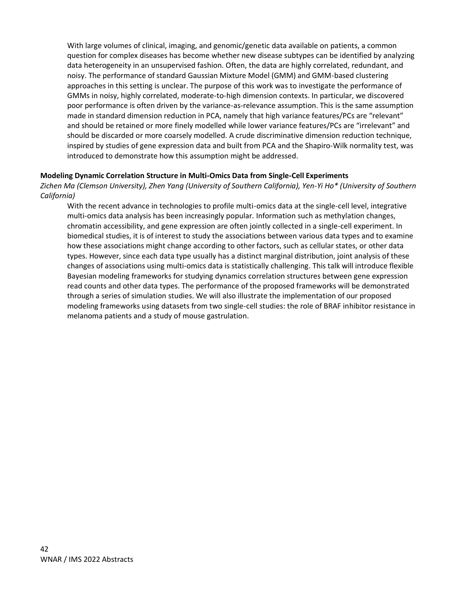With large volumes of clinical, imaging, and genomic/genetic data available on patients, a common question for complex diseases has become whether new disease subtypes can be identified by analyzing data heterogeneity in an unsupervised fashion. Often, the data are highly correlated, redundant, and noisy. The performance of standard Gaussian Mixture Model (GMM) and GMM-based clustering approaches in this setting is unclear. The purpose of this work was to investigate the performance of GMMs in noisy, highly correlated, moderate-to-high dimension contexts. In particular, we discovered poor performance is often driven by the variance-as-relevance assumption. This is the same assumption made in standard dimension reduction in PCA, namely that high variance features/PCs are "relevant" and should be retained or more finely modelled while lower variance features/PCs are "irrelevant" and should be discarded or more coarsely modelled. A crude discriminative dimension reduction technique, inspired by studies of gene expression data and built from PCA and the Shapiro-Wilk normality test, was introduced to demonstrate how this assumption might be addressed.

# **Modeling Dynamic Correlation Structure in Multi-Omics Data from Single-Cell Experiments**

*Zichen Ma (Clemson University), Zhen Yang (University of Southern California), Yen-Yi Ho\* (University of Southern California)* 

With the recent advance in technologies to profile multi-omics data at the single-cell level, integrative multi-omics data analysis has been increasingly popular. Information such as methylation changes, chromatin accessibility, and gene expression are often jointly collected in a single-cell experiment. In biomedical studies, it is of interest to study the associations between various data types and to examine how these associations might change according to other factors, such as cellular states, or other data types. However, since each data type usually has a distinct marginal distribution, joint analysis of these changes of associations using multi-omics data is statistically challenging. This talk will introduce flexible Bayesian modeling frameworks for studying dynamics correlation structures between gene expression read counts and other data types. The performance of the proposed frameworks will be demonstrated through a series of simulation studies. We will also illustrate the implementation of our proposed modeling frameworks using datasets from two single-cell studies: the role of BRAF inhibitor resistance in melanoma patients and a study of mouse gastrulation.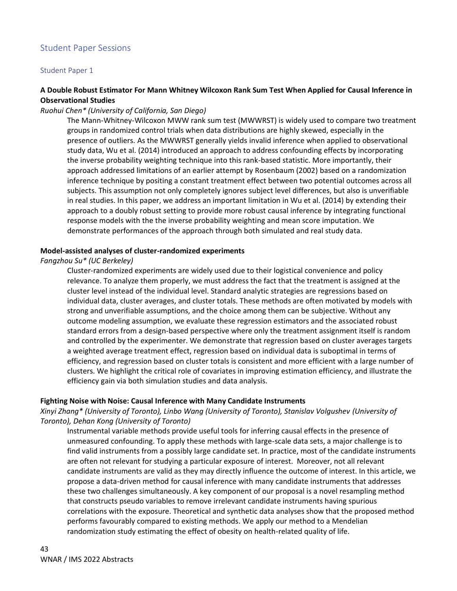# Student Paper Sessions

#### Student Paper 1

# **A Double Robust Estimator For Mann Whitney Wilcoxon Rank Sum Test When Applied for Causal Inference in Observational Studies**

*Ruohui Chen\* (University of California, San Diego)*

The Mann-Whitney-Wilcoxon MWW rank sum test (MWWRST) is widely used to compare two treatment groups in randomized control trials when data distributions are highly skewed, especially in the presence of outliers. As the MWWRST generally yields invalid inference when applied to observational study data, Wu et al. (2014) introduced an approach to address confounding effects by incorporating the inverse probability weighting technique into this rank-based statistic. More importantly, their approach addressed limitations of an earlier attempt by Rosenbaum (2002) based on a randomization inference technique by positing a constant treatment effect between two potential outcomes across all subjects. This assumption not only completely ignores subject level differences, but also is unverifiable in real studies. In this paper, we address an important limitation in Wu et al. (2014) by extending their approach to a doubly robust setting to provide more robust causal inference by integrating functional response models with the the inverse probability weighting and mean score imputation. We demonstrate performances of the approach through both simulated and real study data.

#### **Model-assisted analyses of cluster-randomized experiments**

#### *Fangzhou Su\* (UC Berkeley)*

Cluster-randomized experiments are widely used due to their logistical convenience and policy relevance. To analyze them properly, we must address the fact that the treatment is assigned at the cluster level instead of the individual level. Standard analytic strategies are regressions based on individual data, cluster averages, and cluster totals. These methods are often motivated by models with strong and unverifiable assumptions, and the choice among them can be subjective. Without any outcome modeling assumption, we evaluate these regression estimators and the associated robust standard errors from a design-based perspective where only the treatment assignment itself is random and controlled by the experimenter. We demonstrate that regression based on cluster averages targets a weighted average treatment effect, regression based on individual data is suboptimal in terms of efficiency, and regression based on cluster totals is consistent and more efficient with a large number of clusters. We highlight the critical role of covariates in improving estimation efficiency, and illustrate the efficiency gain via both simulation studies and data analysis.

#### **Fighting Noise with Noise: Causal Inference with Many Candidate Instruments**

*Xinyi Zhang\* (University of Toronto), Linbo Wang (University of Toronto), Stanislav Volgushev (University of Toronto), Dehan Kong (University of Toronto)*

Instrumental variable methods provide useful tools for inferring causal effects in the presence of unmeasured confounding. To apply these methods with large-scale data sets, a major challenge is to find valid instruments from a possibly large candidate set. In practice, most of the candidate instruments are often not relevant for studying a particular exposure of interest. Moreover, not all relevant candidate instruments are valid as they may directly influence the outcome of interest. In this article, we propose a data-driven method for causal inference with many candidate instruments that addresses these two challenges simultaneously. A key component of our proposal is a novel resampling method that constructs pseudo variables to remove irrelevant candidate instruments having spurious correlations with the exposure. Theoretical and synthetic data analyses show that the proposed method performs favourably compared to existing methods. We apply our method to a Mendelian randomization study estimating the effect of obesity on health-related quality of life.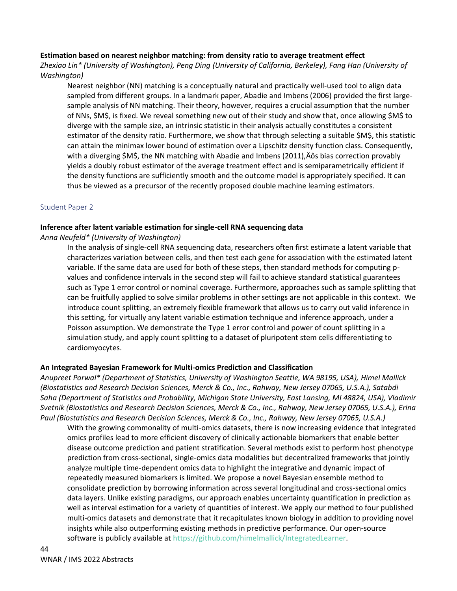# **Estimation based on nearest neighbor matching: from density ratio to average treatment effect**

*Zhexiao Lin\* (University of Washington), Peng Ding (University of California, Berkeley), Fang Han (University of Washington)*

Nearest neighbor (NN) matching is a conceptually natural and practically well-used tool to align data sampled from different groups. In a landmark paper, Abadie and Imbens (2006) provided the first largesample analysis of NN matching. Their theory, however, requires a crucial assumption that the number of NNs, \$M\$, is fixed. We reveal something new out of their study and show that, once allowing \$M\$ to diverge with the sample size, an intrinsic statistic in their analysis actually constitutes a consistent estimator of the density ratio. Furthermore, we show that through selecting a suitable \$M\$, this statistic can attain the minimax lower bound of estimation over a Lipschitz density function class. Consequently, with a diverging \$M\$, the NN matching with Abadie and Imbens (2011), Aos bias correction provably yields a doubly robust estimator of the average treatment effect and is semiparametrically efficient if the density functions are sufficiently smooth and the outcome model is appropriately specified. It can thus be viewed as a precursor of the recently proposed double machine learning estimators.

# Student Paper 2

# **Inference after latent variable estimation for single-cell RNA sequencing data**

# *Anna Neufeld\* (University of Washington)*

In the analysis of single-cell RNA sequencing data, researchers often first estimate a latent variable that characterizes variation between cells, and then test each gene for association with the estimated latent variable. If the same data are used for both of these steps, then standard methods for computing pvalues and confidence intervals in the second step will fail to achieve standard statistical guarantees such as Type 1 error control or nominal coverage. Furthermore, approaches such as sample splitting that can be fruitfully applied to solve similar problems in other settings are not applicable in this context. We introduce count splitting, an extremely flexible framework that allows us to carry out valid inference in this setting, for virtually any latent variable estimation technique and inference approach, under a Poisson assumption. We demonstrate the Type 1 error control and power of count splitting in a simulation study, and apply count splitting to a dataset of pluripotent stem cells differentiating to cardiomyocytes.

# **An Integrated Bayesian Framework for Multi-omics Prediction and Classification**

*Anupreet Porwal\* (Department of Statistics, University of Washington Seattle, WA 98195, USA), Himel Mallick (Biostatistics and Research Decision Sciences, Merck & Co., Inc., Rahway, New Jersey 07065, U.S.A.), Satabdi Saha (Department of Statistics and Probability, Michigan State University, East Lansing, MI 48824, USA), Vladimir Svetnik (Biostatistics and Research Decision Sciences, Merck & Co., Inc., Rahway, New Jersey 07065, U.S.A.), Erina Paul (Biostatistics and Research Decision Sciences, Merck & Co., Inc., Rahway, New Jersey 07065, U.S.A.)*

With the growing commonality of multi-omics datasets, there is now increasing evidence that integrated omics profiles lead to more efficient discovery of clinically actionable biomarkers that enable better disease outcome prediction and patient stratification. Several methods exist to perform host phenotype prediction from cross-sectional, single-omics data modalities but decentralized frameworks that jointly analyze multiple time-dependent omics data to highlight the integrative and dynamic impact of repeatedly measured biomarkers is limited. We propose a novel Bayesian ensemble method to consolidate prediction by borrowing information across several longitudinal and cross-sectional omics data layers. Unlike existing paradigms, our approach enables uncertainty quantification in prediction as well as interval estimation for a variety of quantities of interest. We apply our method to four published multi-omics datasets and demonstrate that it recapitulates known biology in addition to providing novel insights while also outperforming existing methods in predictive performance. Our open-source software is publicly available at [https://github.com/himelmallick/IntegratedLearner.](https://github.com/himelmallick/IntegratedLearner)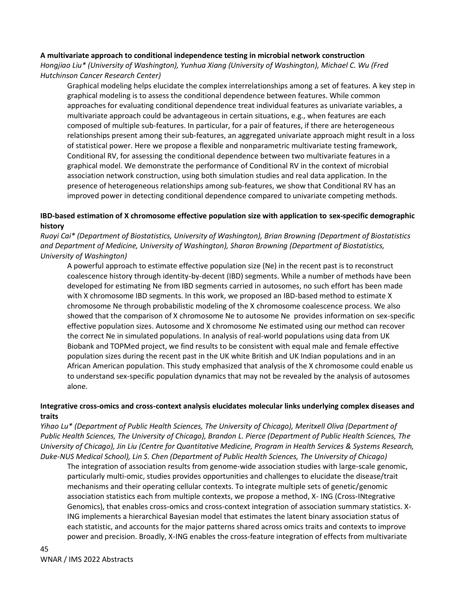# **A multivariate approach to conditional independence testing in microbial network construction**

*Hongjiao Liu\* (University of Washington), Yunhua Xiang (University of Washington), Michael C. Wu (Fred Hutchinson Cancer Research Center)*

Graphical modeling helps elucidate the complex interrelationships among a set of features. A key step in graphical modeling is to assess the conditional dependence between features. While common approaches for evaluating conditional dependence treat individual features as univariate variables, a multivariate approach could be advantageous in certain situations, e.g., when features are each composed of multiple sub-features. In particular, for a pair of features, if there are heterogeneous relationships present among their sub-features, an aggregated univariate approach might result in a loss of statistical power. Here we propose a flexible and nonparametric multivariate testing framework, Conditional RV, for assessing the conditional dependence between two multivariate features in a graphical model. We demonstrate the performance of Conditional RV in the context of microbial association network construction, using both simulation studies and real data application. In the presence of heterogeneous relationships among sub-features, we show that Conditional RV has an improved power in detecting conditional dependence compared to univariate competing methods.

# **IBD-based estimation of X chromosome effective population size with application to sex-specific demographic history**

*Ruoyi Cai\* (Department of Biostatistics, University of Washington), Brian Browning (Department of Biostatistics and Department of Medicine, University of Washington), Sharon Browning (Department of Biostatistics, University of Washington)*

A powerful approach to estimate effective population size (Ne) in the recent past is to reconstruct coalescence history through identity-by-decent (IBD) segments. While a number of methods have been developed for estimating Ne from IBD segments carried in autosomes, no such effort has been made with X chromosome IBD segments. In this work, we proposed an IBD-based method to estimate X chromosome Ne through probabilistic modeling of the X chromosome coalescence process. We also showed that the comparison of X chromosome Ne to autosome Ne provides information on sex-specific effective population sizes. Autosome and X chromosome Ne estimated using our method can recover the correct Ne in simulated populations. In analysis of real-world populations using data from UK Biobank and TOPMed project, we find results to be consistent with equal male and female effective population sizes during the recent past in the UK white British and UK Indian populations and in an African American population. This study emphasized that analysis of the X chromosome could enable us to understand sex-specific population dynamics that may not be revealed by the analysis of autosomes alone.

# **Integrative cross-omics and cross-context analysis elucidates molecular links underlying complex diseases and traits**

*Yihao Lu\* (Department of Public Health Sciences, The University of Chicago), Meritxell Oliva (Department of Public Health Sciences, The University of Chicago), Brandon L. Pierce (Department of Public Health Sciences, The University of Chicago), Jin Liu (Centre for Quantitative Medicine, Program in Health Services & Systems Research, Duke-NUS Medical School), Lin S. Chen (Department of Public Health Sciences, The University of Chicago)*

The integration of association results from genome-wide association studies with large-scale genomic, particularly multi-omic, studies provides opportunities and challenges to elucidate the disease/trait mechanisms and their operating cellular contexts. To integrate multiple sets of genetic/genomic association statistics each from multiple contexts, we propose a method, X- ING (Cross-INtegrative Genomics), that enables cross-omics and cross-context integration of association summary statistics. X-ING implements a hierarchical Bayesian model that estimates the latent binary association status of each statistic, and accounts for the major patterns shared across omics traits and contexts to improve power and precision. Broadly, X-ING enables the cross-feature integration of effects from multivariate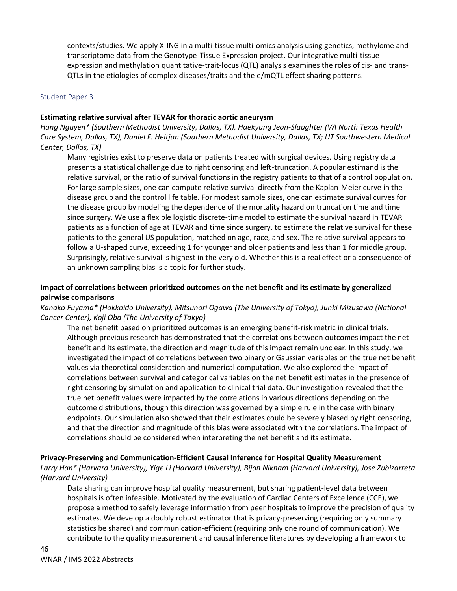contexts/studies. We apply X-ING in a multi-tissue multi-omics analysis using genetics, methylome and transcriptome data from the Genotype-Tissue Expression project. Our integrative multi-tissue expression and methylation quantitative-trait-locus (QTL) analysis examines the roles of cis- and trans-QTLs in the etiologies of complex diseases/traits and the e/mQTL effect sharing patterns.

#### Student Paper 3

### **Estimating relative survival after TEVAR for thoracic aortic aneurysm**

*Hang Nguyen\* (Southern Methodist University, Dallas, TX), Haekyung Jeon-Slaughter (VA North Texas Health Care System, Dallas, TX), Daniel F. Heitjan (Southern Methodist University, Dallas, TX; UT Southwestern Medical Center, Dallas, TX)*

Many registries exist to preserve data on patients treated with surgical devices. Using registry data presents a statistical challenge due to right censoring and left-truncation. A popular estimand is the relative survival, or the ratio of survival functions in the registry patients to that of a control population. For large sample sizes, one can compute relative survival directly from the Kaplan-Meier curve in the disease group and the control life table. For modest sample sizes, one can estimate survival curves for the disease group by modeling the dependence of the mortality hazard on truncation time and time since surgery. We use a flexible logistic discrete-time model to estimate the survival hazard in TEVAR patients as a function of age at TEVAR and time since surgery, to estimate the relative survival for these patients to the general US population, matched on age, race, and sex. The relative survival appears to follow a U-shaped curve, exceeding 1 for younger and older patients and less than 1 for middle group. Surprisingly, relative survival is highest in the very old. Whether this is a real effect or a consequence of an unknown sampling bias is a topic for further study.

# **Impact of correlations between prioritized outcomes on the net benefit and its estimate by generalized pairwise comparisons**

*Kanako Fuyama\* (Hokkaido University), Mitsunori Ogawa (The University of Tokyo), Junki Mizusawa (National Cancer Center), Koji Oba (The University of Tokyo)*

The net benefit based on prioritized outcomes is an emerging benefit-risk metric in clinical trials. Although previous research has demonstrated that the correlations between outcomes impact the net benefit and its estimate, the direction and magnitude of this impact remain unclear. In this study, we investigated the impact of correlations between two binary or Gaussian variables on the true net benefit values via theoretical consideration and numerical computation. We also explored the impact of correlations between survival and categorical variables on the net benefit estimates in the presence of right censoring by simulation and application to clinical trial data. Our investigation revealed that the true net benefit values were impacted by the correlations in various directions depending on the outcome distributions, though this direction was governed by a simple rule in the case with binary endpoints. Our simulation also showed that their estimates could be severely biased by right censoring, and that the direction and magnitude of this bias were associated with the correlations. The impact of correlations should be considered when interpreting the net benefit and its estimate.

# **Privacy-Preserving and Communication-Efficient Causal Inference for Hospital Quality Measurement**

*Larry Han\* (Harvard University), Yige Li (Harvard University), Bijan Niknam (Harvard University), Jose Zubizarreta (Harvard University)*

Data sharing can improve hospital quality measurement, but sharing patient-level data between hospitals is often infeasible. Motivated by the evaluation of Cardiac Centers of Excellence (CCE), we propose a method to safely leverage information from peer hospitals to improve the precision of quality estimates. We develop a doubly robust estimator that is privacy-preserving (requiring only summary statistics be shared) and communication-efficient (requiring only one round of communication). We contribute to the quality measurement and causal inference literatures by developing a framework to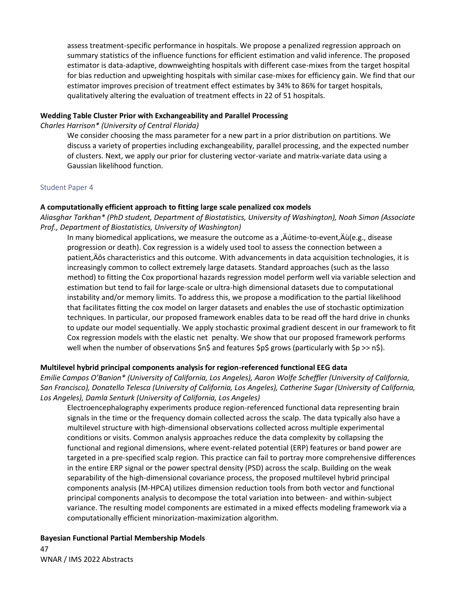assess treatment-specific performance in hospitals. We propose a penalized regression approach on summary statistics of the influence functions for efficient estimation and valid inference. The proposed estimator is data-adaptive, downweighting hospitals with different case-mixes from the target hospital for bias reduction and upweighting hospitals with similar case-mixes for efficiency gain. We find that our estimator improves precision of treatment effect estimates by 34% to 86% for target hospitals, qualitatively altering the evaluation of treatment effects in 22 of 51 hospitals.

### **Wedding Table Cluster Prior with Exchangeability and Parallel Processing**

*Charles Harrison\* (University of Central Florida)* 

We consider choosing the mass parameter for a new part in a prior distribution on partitions. We discuss a variety of properties including exchangeability, parallel processing, and the expected number of clusters. Next, we apply our prior for clustering vector-variate and matrix-variate data using a Gaussian likelihood function.

### Student Paper 4

### **A computationally efficient approach to fitting large scale penalized cox models**

*Aliasghar Tarkhan\* (PhD student, Department of Biostatistics, University of Washington), Noah Simon (Associate Prof., Department of Biostatistics, University of Washington)*

In many biomedical applications, we measure the outcome as a  $\ddot{A}$  Autime-to-event,  $\ddot{A}$ u $(e.g.,$  disease progression or death). Cox regression is a widely used tool to assess the connection between a patient, Aôs characteristics and this outcome. With advancements in data acquisition technologies, it is increasingly common to collect extremely large datasets. Standard approaches (such as the lasso method) to fitting the Cox proportional hazards regression model perform well via variable selection and estimation but tend to fail for large-scale or ultra-high dimensional datasets due to computational instability and/or memory limits. To address this, we propose a modification to the partial likelihood that facilitates fitting the cox model on larger datasets and enables the use of stochastic optimization techniques. In particular, our proposed framework enables data to be read off the hard drive in chunks to update our model sequentially. We apply stochastic proximal gradient descent in our framework to fit Cox regression models with the elastic net penalty. We show that our proposed framework performs well when the number of observations \$n\$ and features \$p\$ grows (particularly with \$p >> n\$).

# **Multilevel hybrid principal components analysis for region-referenced functional EEG data**

*Emilie Campos O'Banion\* (University of California, Los Angeles), Aaron Wolfe Scheffler (University of California, San Francisco), Donatello Telesca (University of California, Los Angeles), Catherine Sugar (University of California, Los Angeles), Damla Senturk (University of California, Los Angeles)*

Electroencephalography experiments produce region-referenced functional data representing brain signals in the time or the frequency domain collected across the scalp. The data typically also have a multilevel structure with high-dimensional observations collected across multiple experimental conditions or visits. Common analysis approaches reduce the data complexity by collapsing the functional and regional dimensions, where event-related potential (ERP) features or band power are targeted in a pre-specified scalp region. This practice can fail to portray more comprehensive differences in the entire ERP signal or the power spectral density (PSD) across the scalp. Building on the weak separability of the high-dimensional covariance process, the proposed multilevel hybrid principal components analysis (M-HPCA) utilizes dimension reduction tools from both vector and functional principal components analysis to decompose the total variation into between- and within-subject variance. The resulting model components are estimated in a mixed effects modeling framework via a computationally efficient minorization-maximization algorithm.

# 47 WNAR / IMS 2022 Abstracts **Bayesian Functional Partial Membership Models**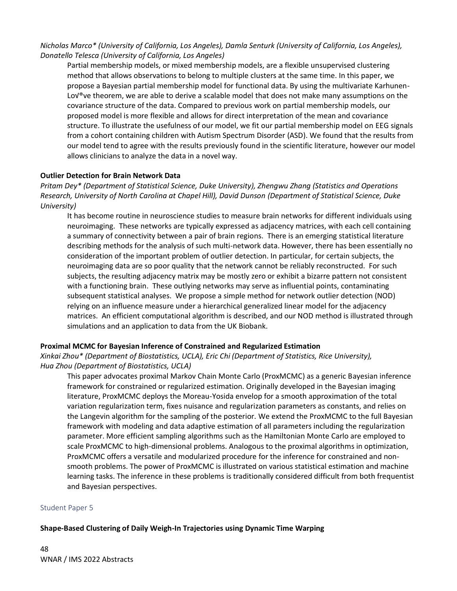*Nicholas Marco\* (University of California, Los Angeles), Damla Senturk (University of California, Los Angeles), Donatello Telesca (University of California, Los Angeles)*

Partial membership models, or mixed membership models, are a flexible unsupervised clustering method that allows observations to belong to multiple clusters at the same time. In this paper, we propose a Bayesian partial membership model for functional data. By using the multivariate Karhunen-Lov®ve theorem, we are able to derive a scalable model that does not make many assumptions on the covariance structure of the data. Compared to previous work on partial membership models, our proposed model is more flexible and allows for direct interpretation of the mean and covariance structure. To illustrate the usefulness of our model, we fit our partial membership model on EEG signals from a cohort containing children with Autism Spectrum Disorder (ASD). We found that the results from our model tend to agree with the results previously found in the scientific literature, however our model allows clinicians to analyze the data in a novel way.

### **Outlier Detection for Brain Network Data**

*Pritam Dey\* (Department of Statistical Science, Duke University), Zhengwu Zhang (Statistics and Operations Research, University of North Carolina at Chapel Hill), David Dunson (Department of Statistical Science, Duke University)*

It has become routine in neuroscience studies to measure brain networks for different individuals using neuroimaging. These networks are typically expressed as adjacency matrices, with each cell containing a summary of connectivity between a pair of brain regions. There is an emerging statistical literature describing methods for the analysis of such multi-network data. However, there has been essentially no consideration of the important problem of outlier detection. In particular, for certain subjects, the neuroimaging data are so poor quality that the network cannot be reliably reconstructed. For such subjects, the resulting adjacency matrix may be mostly zero or exhibit a bizarre pattern not consistent with a functioning brain. These outlying networks may serve as influential points, contaminating subsequent statistical analyses. We propose a simple method for network outlier detection (NOD) relying on an influence measure under a hierarchical generalized linear model for the adjacency matrices. An efficient computational algorithm is described, and our NOD method is illustrated through simulations and an application to data from the UK Biobank.

# **Proximal MCMC for Bayesian Inference of Constrained and Regularized Estimation**

*Xinkai Zhou\* (Department of Biostatistics, UCLA), Eric Chi (Department of Statistics, Rice University), Hua Zhou (Department of Biostatistics, UCLA)*

This paper advocates proximal Markov Chain Monte Carlo (ProxMCMC) as a generic Bayesian inference framework for constrained or regularized estimation. Originally developed in the Bayesian imaging literature, ProxMCMC deploys the Moreau-Yosida envelop for a smooth approximation of the total variation regularization term, fixes nuisance and regularization parameters as constants, and relies on the Langevin algorithm for the sampling of the posterior. We extend the ProxMCMC to the full Bayesian framework with modeling and data adaptive estimation of all parameters including the regularization parameter. More efficient sampling algorithms such as the Hamiltonian Monte Carlo are employed to scale ProxMCMC to high-dimensional problems. Analogous to the proximal algorithms in optimization, ProxMCMC offers a versatile and modularized procedure for the inference for constrained and nonsmooth problems. The power of ProxMCMC is illustrated on various statistical estimation and machine learning tasks. The inference in these problems is traditionally considered difficult from both frequentist and Bayesian perspectives.

#### Student Paper 5

# **Shape-Based Clustering of Daily Weigh-In Trajectories using Dynamic Time Warping**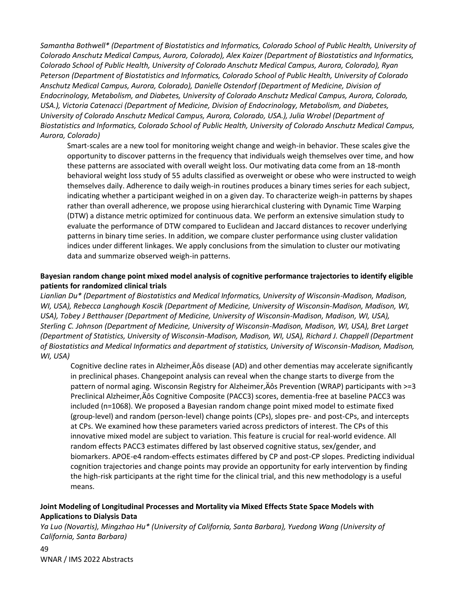*Samantha Bothwell\* (Department of Biostatistics and Informatics, Colorado School of Public Health, University of Colorado Anschutz Medical Campus, Aurora, Colorado), Alex Kaizer (Department of Biostatistics and Informatics, Colorado School of Public Health, University of Colorado Anschutz Medical Campus, Aurora, Colorado), Ryan Peterson (Department of Biostatistics and Informatics, Colorado School of Public Health, University of Colorado Anschutz Medical Campus, Aurora, Colorado), Danielle Ostendorf (Department of Medicine, Division of Endocrinology, Metabolism, and Diabetes, University of Colorado Anschutz Medical Campus, Aurora, Colorado, USA.), Victoria Catenacci (Department of Medicine, Division of Endocrinology, Metabolism, and Diabetes, University of Colorado Anschutz Medical Campus, Aurora, Colorado, USA.), Julia Wrobel (Department of Biostatistics and Informatics, Colorado School of Public Health, University of Colorado Anschutz Medical Campus, Aurora, Colorado)*

Smart-scales are a new tool for monitoring weight change and weigh-in behavior. These scales give the opportunity to discover patterns in the frequency that individuals weigh themselves over time, and how these patterns are associated with overall weight loss. Our motivating data come from an 18-month behavioral weight loss study of 55 adults classified as overweight or obese who were instructed to weigh themselves daily. Adherence to daily weigh-in routines produces a binary times series for each subject, indicating whether a participant weighed in on a given day. To characterize weigh-in patterns by shapes rather than overall adherence, we propose using hierarchical clustering with Dynamic Time Warping (DTW) a distance metric optimized for continuous data. We perform an extensive simulation study to evaluate the performance of DTW compared to Euclidean and Jaccard distances to recover underlying patterns in binary time series. In addition, we compare cluster performance using cluster validation indices under different linkages. We apply conclusions from the simulation to cluster our motivating data and summarize observed weigh-in patterns.

# **Bayesian random change point mixed model analysis of cognitive performance trajectories to identify eligible patients for randomized clinical trials**

*Lianlian Du\* (Department of Biostatistics and Medical Informatics, University of Wisconsin-Madison, Madison, WI, USA), Rebecca Langhough Koscik (Department of Medicine, University of Wisconsin-Madison, Madison, WI, USA), Tobey J Betthauser (Department of Medicine, University of Wisconsin-Madison, Madison, WI, USA), Sterling C. Johnson (Department of Medicine, University of Wisconsin-Madison, Madison, WI, USA), Bret Larget (Department of Statistics, University of Wisconsin-Madison, Madison, WI, USA), Richard J. Chappell (Department of Biostatistics and Medical Informatics and department of statistics, University of Wisconsin-Madison, Madison, WI, USA)*

Cognitive decline rates in Alzheimer, Aos disease (AD) and other dementias may accelerate significantly in preclinical phases. Changepoint analysis can reveal when the change starts to diverge from the pattern of normal aging. Wisconsin Registry for Alzheimer,  $\angle$  A Prevention (WRAP) participants with  $>=$  3 Preclinical Alzheimer, Äôs Cognitive Composite (PACC3) scores, dementia-free at baseline PACC3 was included (n=1068). We proposed a Bayesian random change point mixed model to estimate fixed (group-level) and random (person-level) change points (CPs), slopes pre- and post-CPs, and intercepts at CPs. We examined how these parameters varied across predictors of interest. The CPs of this innovative mixed model are subject to variation. This feature is crucial for real-world evidence. All random effects PACC3 estimates differed by last observed cognitive status, sex/gender, and biomarkers. APOE-e4 random-effects estimates differed by CP and post-CP slopes. Predicting individual cognition trajectories and change points may provide an opportunity for early intervention by finding the high-risk participants at the right time for the clinical trial, and this new methodology is a useful means.

# **Joint Modeling of Longitudinal Processes and Mortality via Mixed Effects State Space Models with Applications to Dialysis Data**

*Ya Luo (Novartis), Mingzhao Hu\* (University of California, Santa Barbara), Yuedong Wang (University of California, Santa Barbara)*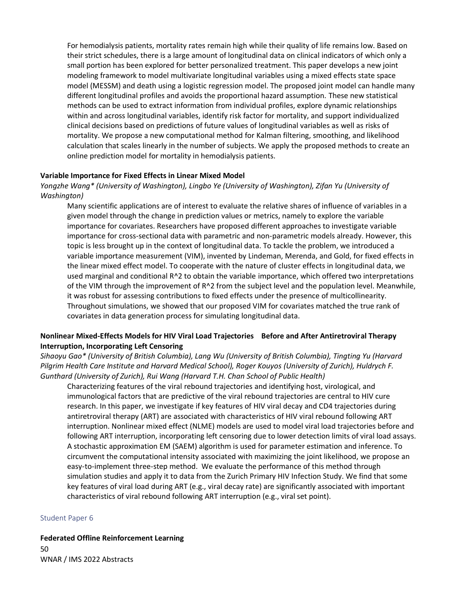For hemodialysis patients, mortality rates remain high while their quality of life remains low. Based on their strict schedules, there is a large amount of longitudinal data on clinical indicators of which only a small portion has been explored for better personalized treatment. This paper develops a new joint modeling framework to model multivariate longitudinal variables using a mixed effects state space model (MESSM) and death using a logistic regression model. The proposed joint model can handle many different longitudinal profiles and avoids the proportional hazard assumption. These new statistical methods can be used to extract information from individual profiles, explore dynamic relationships within and across longitudinal variables, identify risk factor for mortality, and support individualized clinical decisions based on predictions of future values of longitudinal variables as well as risks of mortality. We propose a new computational method for Kalman filtering, smoothing, and likelihood calculation that scales linearly in the number of subjects. We apply the proposed methods to create an online prediction model for mortality in hemodialysis patients.

#### **Variable Importance for Fixed Effects in Linear Mixed Model**

*Yongzhe Wang\* (University of Washington), Lingbo Ye (University of Washington), Zifan Yu (University of Washington)*

Many scientific applications are of interest to evaluate the relative shares of influence of variables in a given model through the change in prediction values or metrics, namely to explore the variable importance for covariates. Researchers have proposed different approaches to investigate variable importance for cross-sectional data with parametric and non-parametric models already. However, this topic is less brought up in the context of longitudinal data. To tackle the problem, we introduced a variable importance measurement (VIM), invented by Lindeman, Merenda, and Gold, for fixed effects in the linear mixed effect model. To cooperate with the nature of cluster effects in longitudinal data, we used marginal and conditional R^2 to obtain the variable importance, which offered two interpretations of the VIM through the improvement of R^2 from the subject level and the population level. Meanwhile, it was robust for assessing contributions to fixed effects under the presence of multicollinearity. Throughout simulations, we showed that our proposed VIM for covariates matched the true rank of covariates in data generation process for simulating longitudinal data.

# **Nonlinear Mixed-Effects Models for HIV Viral Load Trajectories Before and After Antiretroviral Therapy Interruption, Incorporating Left Censoring**

*Sihaoyu Gao\* (University of British Columbia), Lang Wu (University of British Columbia), Tingting Yu (Harvard Pilgrim Health Care Institute and Harvard Medical School), Roger Kouyos (University of Zurich), Huldrych F. Gunthard (University of Zurich), Rui Wang (Harvard T.H. Chan School of Public Health)*

Characterizing features of the viral rebound trajectories and identifying host, virological, and immunological factors that are predictive of the viral rebound trajectories are central to HIV cure research. In this paper, we investigate if key features of HIV viral decay and CD4 trajectories during antiretroviral therapy (ART) are associated with characteristics of HIV viral rebound following ART interruption. Nonlinear mixed effect (NLME) models are used to model viral load trajectories before and following ART interruption, incorporating left censoring due to lower detection limits of viral load assays. A stochastic approximation EM (SAEM) algorithm is used for parameter estimation and inference. To circumvent the computational intensity associated with maximizing the joint likelihood, we propose an easy-to-implement three-step method. We evaluate the performance of this method through simulation studies and apply it to data from the Zurich Primary HIV Infection Study. We find that some key features of viral load during ART (e.g., viral decay rate) are significantly associated with important characteristics of viral rebound following ART interruption (e.g., viral set point).

#### Student Paper 6

**Federated Offline Reinforcement Learning**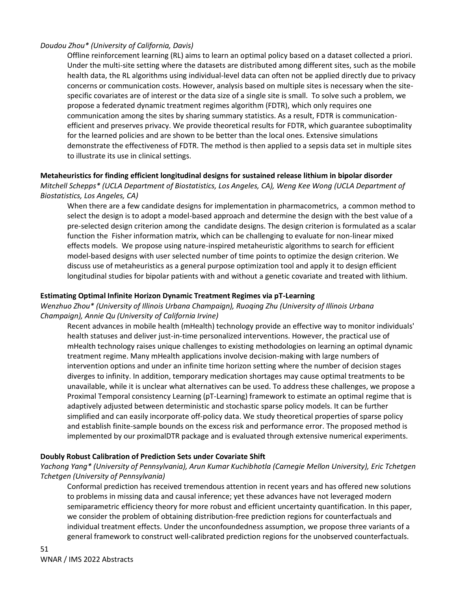# *Doudou Zhou\* (University of California, Davis)*

Offline reinforcement learning (RL) aims to learn an optimal policy based on a dataset collected a priori. Under the multi-site setting where the datasets are distributed among different sites, such as the mobile health data, the RL algorithms using individual-level data can often not be applied directly due to privacy concerns or communication costs. However, analysis based on multiple sites is necessary when the sitespecific covariates are of interest or the data size of a single site is small. To solve such a problem, we propose a federated dynamic treatment regimes algorithm (FDTR), which only requires one communication among the sites by sharing summary statistics. As a result, FDTR is communicationefficient and preserves privacy. We provide theoretical results for FDTR, which guarantee suboptimality for the learned policies and are shown to be better than the local ones. Extensive simulations demonstrate the effectiveness of FDTR. The method is then applied to a sepsis data set in multiple sites to illustrate its use in clinical settings.

### **Metaheuristics for finding efficient longitudinal designs for sustained release lithium in bipolar disorder** *Mitchell Schepps\* (UCLA Department of Biostatistics, Los Angeles, CA), Weng Kee Wong (UCLA Department of*

# *Biostatistics, Los Angeles, CA)*

When there are a few candidate designs for implementation in pharmacometrics, a common method to select the design is to adopt a model-based approach and determine the design with the best value of a pre-selected design criterion among the candidate designs. The design criterion is formulated as a scalar function the Fisher information matrix, which can be challenging to evaluate for non-linear mixed effects models. We propose using nature-inspired metaheuristic algorithms to search for efficient model-based designs with user selected number of time points to optimize the design criterion. We discuss use of metaheuristics as a general purpose optimization tool and apply it to design efficient longitudinal studies for bipolar patients with and without a genetic covariate and treated with lithium.

# **Estimating Optimal Infinite Horizon Dynamic Treatment Regimes via pT-Learning**

# *Wenzhuo Zhou\* (University of Illinois Urbana Champaign), Ruoqing Zhu (University of Illinois Urbana Champaign), Annie Qu (University of California Irvine)*

Recent advances in mobile health (mHealth) technology provide an effective way to monitor individuals' health statuses and deliver just-in-time personalized interventions. However, the practical use of mHealth technology raises unique challenges to existing methodologies on learning an optimal dynamic treatment regime. Many mHealth applications involve decision-making with large numbers of intervention options and under an infinite time horizon setting where the number of decision stages diverges to infinity. In addition, temporary medication shortages may cause optimal treatments to be unavailable, while it is unclear what alternatives can be used. To address these challenges, we propose a Proximal Temporal consistency Learning (pT-Learning) framework to estimate an optimal regime that is adaptively adjusted between deterministic and stochastic sparse policy models. It can be further simplified and can easily incorporate off-policy data. We study theoretical properties of sparse policy and establish finite-sample bounds on the excess risk and performance error. The proposed method is implemented by our proximalDTR package and is evaluated through extensive numerical experiments.

# **Doubly Robust Calibration of Prediction Sets under Covariate Shift**

# *Yachong Yang\* (University of Pennsylvania), Arun Kumar Kuchibhotla (Carnegie Mellon University), Eric Tchetgen Tchetgen (University of Pennsylvania)*

Conformal prediction has received tremendous attention in recent years and has offered new solutions to problems in missing data and causal inference; yet these advances have not leveraged modern semiparametric efficiency theory for more robust and efficient uncertainty quantification. In this paper, we consider the problem of obtaining distribution-free prediction regions for counterfactuals and individual treatment effects. Under the unconfoundedness assumption, we propose three variants of a general framework to construct well-calibrated prediction regions for the unobserved counterfactuals.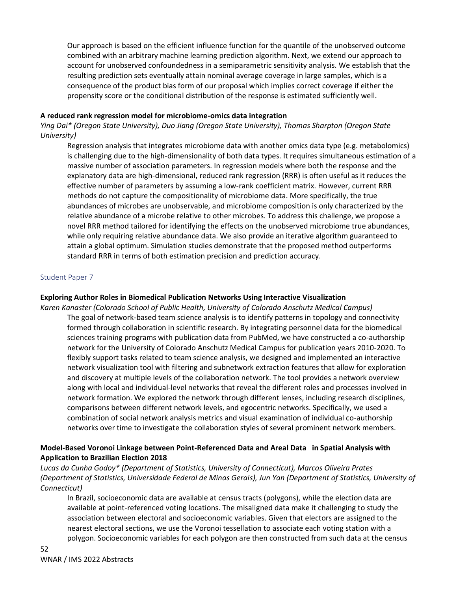Our approach is based on the efficient influence function for the quantile of the unobserved outcome combined with an arbitrary machine learning prediction algorithm. Next, we extend our approach to account for unobserved confoundedness in a semiparametric sensitivity analysis. We establish that the resulting prediction sets eventually attain nominal average coverage in large samples, which is a consequence of the product bias form of our proposal which implies correct coverage if either the propensity score or the conditional distribution of the response is estimated sufficiently well.

### **A reduced rank regression model for microbiome-omics data integration**

*Ying Dai\* (Oregon State University), Duo Jiang (Oregon State University), Thomas Sharpton (Oregon State University)*

Regression analysis that integrates microbiome data with another omics data type (e.g. metabolomics) is challenging due to the high-dimensionality of both data types. It requires simultaneous estimation of a massive number of association parameters. In regression models where both the response and the explanatory data are high-dimensional, reduced rank regression (RRR) is often useful as it reduces the effective number of parameters by assuming a low-rank coefficient matrix. However, current RRR methods do not capture the compositionality of microbiome data. More specifically, the true abundances of microbes are unobservable, and microbiome composition is only characterized by the relative abundance of a microbe relative to other microbes. To address this challenge, we propose a novel RRR method tailored for identifying the effects on the unobserved microbiome true abundances, while only requiring relative abundance data. We also provide an iterative algorithm guaranteed to attain a global optimum. Simulation studies demonstrate that the proposed method outperforms standard RRR in terms of both estimation precision and prediction accuracy.

# Student Paper 7

#### **Exploring Author Roles in Biomedical Publication Networks Using Interactive Visualization**

*Karen Kanaster (Colorado School of Public Health, University of Colorado Anschutz Medical Campus)* The goal of network-based team science analysis is to identify patterns in topology and connectivity formed through collaboration in scientific research. By integrating personnel data for the biomedical sciences training programs with publication data from PubMed, we have constructed a co-authorship network for the University of Colorado Anschutz Medical Campus for publication years 2010-2020. To flexibly support tasks related to team science analysis, we designed and implemented an interactive network visualization tool with filtering and subnetwork extraction features that allow for exploration and discovery at multiple levels of the collaboration network. The tool provides a network overview along with local and individual-level networks that reveal the different roles and processes involved in network formation. We explored the network through different lenses, including research disciplines, comparisons between different network levels, and egocentric networks. Specifically, we used a combination of social network analysis metrics and visual examination of individual co-authorship networks over time to investigate the collaboration styles of several prominent network members.

# **Model-Based Voronoi Linkage between Point-Referenced Data and Areal Data in Spatial Analysis with Application to Brazilian Election 2018**

*Lucas da Cunha Godoy\* (Department of Statistics, University of Connecticut), Marcos Oliveira Prates (Department of Statistics, Universidade Federal de Minas Gerais), Jun Yan (Department of Statistics, University of Connecticut)*

In Brazil, socioeconomic data are available at census tracts (polygons), while the election data are available at point-referenced voting locations. The misaligned data make it challenging to study the association between electoral and socioeconomic variables. Given that electors are assigned to the nearest electoral sections, we use the Voronoi tessellation to associate each voting station with a polygon. Socioeconomic variables for each polygon are then constructed from such data at the census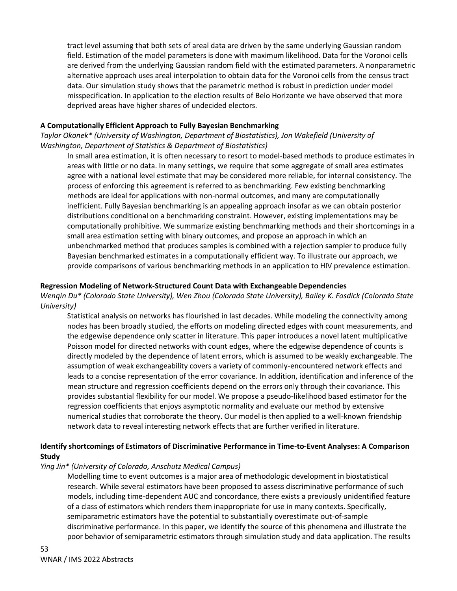tract level assuming that both sets of areal data are driven by the same underlying Gaussian random field. Estimation of the model parameters is done with maximum likelihood. Data for the Voronoi cells are derived from the underlying Gaussian random field with the estimated parameters. A nonparametric alternative approach uses areal interpolation to obtain data for the Voronoi cells from the census tract data. Our simulation study shows that the parametric method is robust in prediction under model misspecification. In application to the election results of Belo Horizonte we have observed that more deprived areas have higher shares of undecided electors.

# **A Computationally Efficient Approach to Fully Bayesian Benchmarking**

*Taylor Okonek\* (University of Washington, Department of Biostatistics), Jon Wakefield (University of Washington, Department of Statistics & Department of Biostatistics)*

In small area estimation, it is often necessary to resort to model-based methods to produce estimates in areas with little or no data. In many settings, we require that some aggregate of small area estimates agree with a national level estimate that may be considered more reliable, for internal consistency. The process of enforcing this agreement is referred to as benchmarking. Few existing benchmarking methods are ideal for applications with non-normal outcomes, and many are computationally inefficient. Fully Bayesian benchmarking is an appealing approach insofar as we can obtain posterior distributions conditional on a benchmarking constraint. However, existing implementations may be computationally prohibitive. We summarize existing benchmarking methods and their shortcomings in a small area estimation setting with binary outcomes, and propose an approach in which an unbenchmarked method that produces samples is combined with a rejection sampler to produce fully Bayesian benchmarked estimates in a computationally efficient way. To illustrate our approach, we provide comparisons of various benchmarking methods in an application to HIV prevalence estimation.

### **Regression Modeling of Network-Structured Count Data with Exchangeable Dependencies**

*Wenqin Du\* (Colorado State University), Wen Zhou (Colorado State University), Bailey K. Fosdick (Colorado State University)*

Statistical analysis on networks has flourished in last decades. While modeling the connectivity among nodes has been broadly studied, the efforts on modeling directed edges with count measurements, and the edgewise dependence only scatter in literature. This paper introduces a novel latent multiplicative Poisson model for directed networks with count edges, where the edgewise dependence of counts is directly modeled by the dependence of latent errors, which is assumed to be weakly exchangeable. The assumption of weak exchangeability covers a variety of commonly-encountered network effects and leads to a concise representation of the error covariance. In addition, identification and inference of the mean structure and regression coefficients depend on the errors only through their covariance. This provides substantial flexibility for our model. We propose a pseudo-likelihood based estimator for the regression coefficients that enjoys asymptotic normality and evaluate our method by extensive numerical studies that corroborate the theory. Our model is then applied to a well-known friendship network data to reveal interesting network effects that are further verified in literature.

# **Identify shortcomings of Estimators of Discriminative Performance in Time-to-Event Analyses: A Comparison Study**

# *Ying Jin\* (University of Colorado, Anschutz Medical Campus)*

Modelling time to event outcomes is a major area of methodologic development in biostatistical research. While several estimators have been proposed to assess discriminative performance of such models, including time-dependent AUC and concordance, there exists a previously unidentified feature of a class of estimators which renders them inappropriate for use in many contexts. Specifically, semiparametric estimators have the potential to substantially overestimate out-of-sample discriminative performance. In this paper, we identify the source of this phenomena and illustrate the poor behavior of semiparametric estimators through simulation study and data application. The results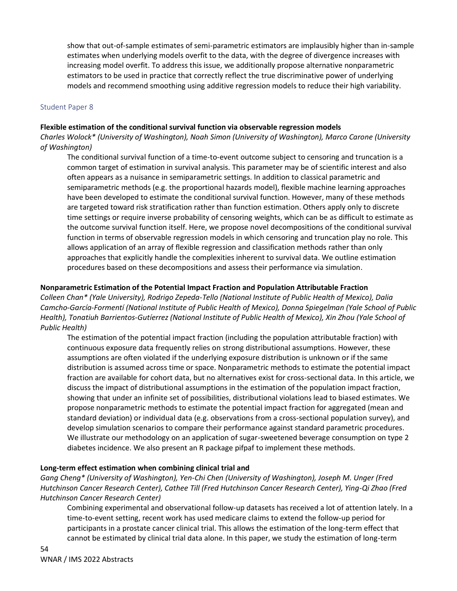show that out-of-sample estimates of semi-parametric estimators are implausibly higher than in-sample estimates when underlying models overfit to the data, with the degree of divergence increases with increasing model overfit. To address this issue, we additionally propose alternative nonparametric estimators to be used in practice that correctly reflect the true discriminative power of underlying models and recommend smoothing using additive regression models to reduce their high variability.

### Student Paper 8

### **Flexible estimation of the conditional survival function via observable regression models**

*Charles Wolock\* (University of Washington), Noah Simon (University of Washington), Marco Carone (University of Washington)*

The conditional survival function of a time-to-event outcome subject to censoring and truncation is a common target of estimation in survival analysis. This parameter may be of scientific interest and also often appears as a nuisance in semiparametric settings. In addition to classical parametric and semiparametric methods (e.g. the proportional hazards model), flexible machine learning approaches have been developed to estimate the conditional survival function. However, many of these methods are targeted toward risk stratification rather than function estimation. Others apply only to discrete time settings or require inverse probability of censoring weights, which can be as difficult to estimate as the outcome survival function itself. Here, we propose novel decompositions of the conditional survival function in terms of observable regression models in which censoring and truncation play no role. This allows application of an array of flexible regression and classification methods rather than only approaches that explicitly handle the complexities inherent to survival data. We outline estimation procedures based on these decompositions and assess their performance via simulation.

### **Nonparametric Estimation of the Potential Impact Fraction and Population Attributable Fraction**

*Colleen Chan\* (Yale University), Rodrigo Zepeda-Tello (National Institute of Public Health of Mexico), Dalia Camcho-García-Formentí (National Institute of Public Health of Mexico), Donna Spiegelman (Yale School of Public Health), Tonatiuh Barrientos-Gutíerrez (National Institute of Public Health of Mexico), Xin Zhou (Yale School of Public Health)*

The estimation of the potential impact fraction (including the population attributable fraction) with continuous exposure data frequently relies on strong distributional assumptions. However, these assumptions are often violated if the underlying exposure distribution is unknown or if the same distribution is assumed across time or space. Nonparametric methods to estimate the potential impact fraction are available for cohort data, but no alternatives exist for cross-sectional data. In this article, we discuss the impact of distributional assumptions in the estimation of the population impact fraction, showing that under an infinite set of possibilities, distributional violations lead to biased estimates. We propose nonparametric methods to estimate the potential impact fraction for aggregated (mean and standard deviation) or individual data (e.g. observations from a cross-sectional population survey), and develop simulation scenarios to compare their performance against standard parametric procedures. We illustrate our methodology on an application of sugar-sweetened beverage consumption on type 2 diabetes incidence. We also present an R package pifpaf to implement these methods.

# **Long-term effect estimation when combining clinical trial and**

*Gang Cheng\* (University of Washington), Yen-Chi Chen (University of Washington), Joseph M. Unger (Fred Hutchinson Cancer Research Center), Cathee Till (Fred Hutchinson Cancer Research Center), Ying-Qi Zhao (Fred Hutchinson Cancer Research Center)*

Combining experimental and observational follow-up datasets has received a lot of attention lately. In a time-to-event setting, recent work has used medicare claims to extend the follow-up period for participants in a prostate cancer clinical trial. This allows the estimation of the long-term effect that cannot be estimated by clinical trial data alone. In this paper, we study the estimation of long-term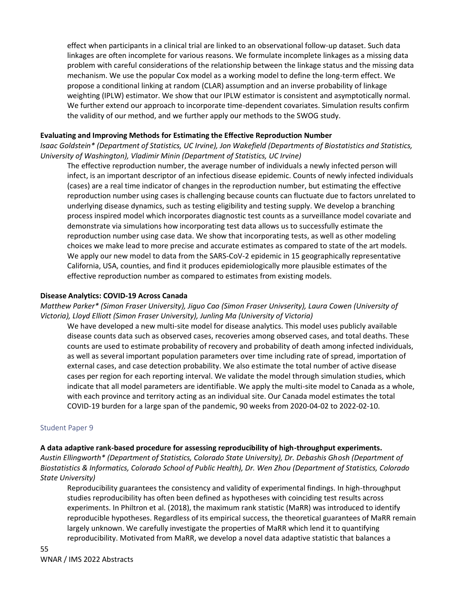effect when participants in a clinical trial are linked to an observational follow-up dataset. Such data linkages are often incomplete for various reasons. We formulate incomplete linkages as a missing data problem with careful considerations of the relationship between the linkage status and the missing data mechanism. We use the popular Cox model as a working model to define the long-term effect. We propose a conditional linking at random (CLAR) assumption and an inverse probability of linkage weighting (IPLW) estimator. We show that our IPLW estimator is consistent and asymptotically normal. We further extend our approach to incorporate time-dependent covariates. Simulation results confirm the validity of our method, and we further apply our methods to the SWOG study.

# **Evaluating and Improving Methods for Estimating the Effective Reproduction Number**

*Isaac Goldstein\* (Department of Statistics, UC Irvine), Jon Wakefield (Departments of Biostatistics and Statistics, University of Washington), Vladimir Minin (Department of Statistics, UC Irvine)*

The effective reproduction number, the average number of individuals a newly infected person will infect, is an important descriptor of an infectious disease epidemic. Counts of newly infected individuals (cases) are a real time indicator of changes in the reproduction number, but estimating the effective reproduction number using cases is challenging because counts can fluctuate due to factors unrelated to underlying disease dynamics, such as testing eligibility and testing supply. We develop a branching process inspired model which incorporates diagnostic test counts as a surveillance model covariate and demonstrate via simulations how incorporating test data allows us to successfully estimate the reproduction number using case data. We show that incorporating tests, as well as other modeling choices we make lead to more precise and accurate estimates as compared to state of the art models. We apply our new model to data from the SARS-CoV-2 epidemic in 15 geographically representative California, USA, counties, and find it produces epidemiologically more plausible estimates of the effective reproduction number as compared to estimates from existing models.

#### **Disease Analytics: COVID-19 Across Canada**

*Matthew Parker\* (Simon Fraser University), Jiguo Cao (Simon Fraser Univserity), Laura Cowen (University of Victoria), Lloyd Elliott (Simon Fraser University), Junling Ma (University of Victoria)*

We have developed a new multi-site model for disease analytics. This model uses publicly available disease counts data such as observed cases, recoveries among observed cases, and total deaths. These counts are used to estimate probability of recovery and probability of death among infected individuals, as well as several important population parameters over time including rate of spread, importation of external cases, and case detection probability. We also estimate the total number of active disease cases per region for each reporting interval. We validate the model through simulation studies, which indicate that all model parameters are identifiable. We apply the multi-site model to Canada as a whole, with each province and territory acting as an individual site. Our Canada model estimates the total COVID-19 burden for a large span of the pandemic, 90 weeks from 2020-04-02 to 2022-02-10.

#### Student Paper 9

#### **A data adaptive rank-based procedure for assessing reproducibility of high-throughput experiments.**

*Austin Ellingworth\* (Department of Statistics, Colorado State University), Dr. Debashis Ghosh (Department of Biostatistics & Informatics, Colorado School of Public Health), Dr. Wen Zhou (Department of Statistics, Colorado State University)* 

Reproducibility guarantees the consistency and validity of experimental findings. In high-throughput studies reproducibility has often been defined as hypotheses with coinciding test results across experiments. In Philtron et al. (2018), the maximum rank statistic (MaRR) was introduced to identify reproducible hypotheses. Regardless of its empirical success, the theoretical guarantees of MaRR remain largely unknown. We carefully investigate the properties of MaRR which lend it to quantifying reproducibility. Motivated from MaRR, we develop a novel data adaptive statistic that balances a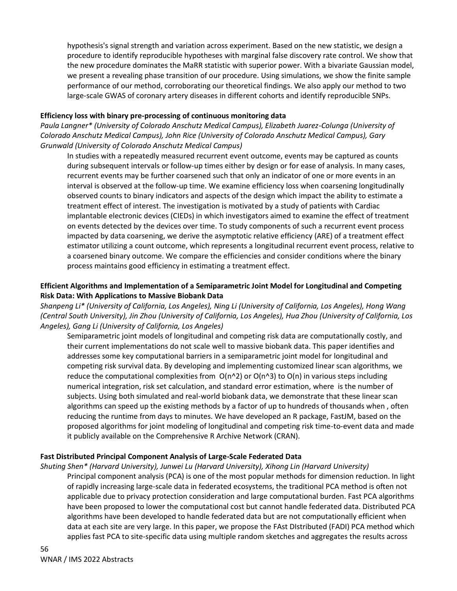hypothesis's signal strength and variation across experiment. Based on the new statistic, we design a procedure to identify reproducible hypotheses with marginal false discovery rate control. We show that the new procedure dominates the MaRR statistic with superior power. With a bivariate Gaussian model, we present a revealing phase transition of our procedure. Using simulations, we show the finite sample performance of our method, corroborating our theoretical findings. We also apply our method to two large-scale GWAS of coronary artery diseases in different cohorts and identify reproducible SNPs.

# **Efficiency loss with binary pre-processing of continuous monitoring data**

*Paula Langner\* (University of Colorado Anschutz Medical Campus), Elizabeth Juarez-Colunga (University of Colorado Anschutz Medical Campus), John Rice (University of Colorado Anschutz Medical Campus), Gary Grunwald (University of Colorado Anschutz Medical Campus)*

In studies with a repeatedly measured recurrent event outcome, events may be captured as counts during subsequent intervals or follow-up times either by design or for ease of analysis. In many cases, recurrent events may be further coarsened such that only an indicator of one or more events in an interval is observed at the follow-up time. We examine efficiency loss when coarsening longitudinally observed counts to binary indicators and aspects of the design which impact the ability to estimate a treatment effect of interest. The investigation is motivated by a study of patients with Cardiac implantable electronic devices (CIEDs) in which investigators aimed to examine the effect of treatment on events detected by the devices over time. To study components of such a recurrent event process impacted by data coarsening, we derive the asymptotic relative efficiency (ARE) of a treatment effect estimator utilizing a count outcome, which represents a longitudinal recurrent event process, relative to a coarsened binary outcome. We compare the efficiencies and consider conditions where the binary process maintains good efficiency in estimating a treatment effect.

# **Efficient Algorithms and Implementation of a Semiparametric Joint Model for Longitudinal and Competing Risk Data: With Applications to Massive Biobank Data**

*Shanpeng Li\* (University of California, Los Angeles), Ning Li (University of California, Los Angeles), Hong Wang (Central South University), Jin Zhou (University of California, Los Angeles), Hua Zhou (University of California, Los Angeles), Gang Li (University of California, Los Angeles)*

Semiparametric joint models of longitudinal and competing risk data are computationally costly, and their current implementations do not scale well to massive biobank data. This paper identifies and addresses some key computational barriers in a semiparametric joint model for longitudinal and competing risk survival data. By developing and implementing customized linear scan algorithms, we reduce the computational complexities from  $O(n^2)$  or  $O(n^3)$  to  $O(n)$  in various steps including numerical integration, risk set calculation, and standard error estimation, where is the number of subjects. Using both simulated and real-world biobank data, we demonstrate that these linear scan algorithms can speed up the existing methods by a factor of up to hundreds of thousands when , often reducing the runtime from days to minutes. We have developed an R package, FastJM, based on the proposed algorithms for joint modeling of longitudinal and competing risk time-to-event data and made it publicly available on the Comprehensive R Archive Network (CRAN).

# **Fast Distributed Principal Component Analysis of Large-Scale Federated Data**

*Shuting Shen\* (Harvard University), Junwei Lu (Harvard University), Xihong Lin (Harvard University)* Principal component analysis (PCA) is one of the most popular methods for dimension reduction. In light of rapidly increasing large-scale data in federated ecosystems, the traditional PCA method is often not applicable due to privacy protection consideration and large computational burden. Fast PCA algorithms have been proposed to lower the computational cost but cannot handle federated data. Distributed PCA algorithms have been developed to handle federated data but are not computationally efficient when data at each site are very large. In this paper, we propose the FAst DIstributed (FADI) PCA method which applies fast PCA to site-specific data using multiple random sketches and aggregates the results across